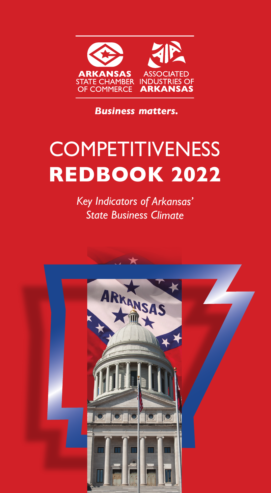

**Business matters.** 

# **COMPETITIVENESS REDBOOK 2022**

*Key Indicators of Arkansas' State Business Climate*

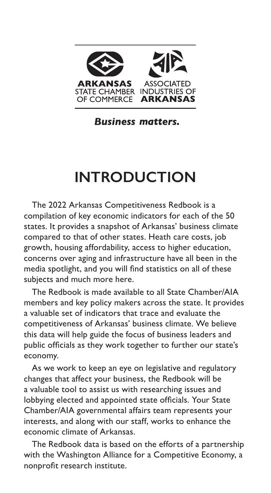

**Business matters.** 

# **INTRODUCTION**

The 2022 Arkansas Competitiveness Redbook is a compilation of key economic indicators for each of the 50 states. It provides a snapshot of Arkansas' business climate compared to that of other states. Heath care costs, job growth, housing affordability, access to higher education, concerns over aging and infrastructure have all been in the media spotlight, and you will find statistics on all of these subjects and much more here.

The Redbook is made available to all State Chamber/AIA members and key policy makers across the state. It provides a valuable set of indicators that trace and evaluate the competitiveness of Arkansas' business climate. We believe this data will help guide the focus of business leaders and public officials as they work together to further our state's economy.

As we work to keep an eye on legislative and regulatory changes that affect your business, the Redbook will be a valuable tool to assist us with researching issues and lobbying elected and appointed state officials. Your State Chamber/AIA governmental affairs team represents your interests, and along with our staff, works to enhance the economic climate of Arkansas.

The Redbook data is based on the efforts of a partnership with the Washington Alliance for a Competitive Economy, a nonprofit research institute.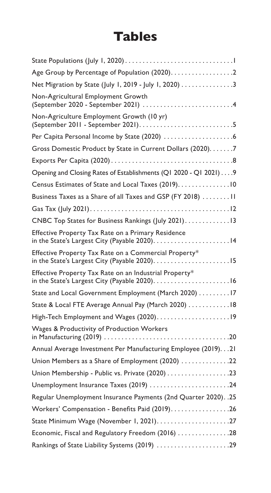## **Tables**

| Net Migration by State (July 1, 2019 - July 1, 2020) 3                                                                |
|-----------------------------------------------------------------------------------------------------------------------|
| Non-Agricultural Employment Growth                                                                                    |
| Non-Agriculture Employment Growth (10 yr)                                                                             |
|                                                                                                                       |
| Gross Domestic Product by State in Current Dollars (2020). 7                                                          |
|                                                                                                                       |
| Opening and Closing Rates of Establishments (Q1 2020 - Q1 2021) 9                                                     |
| Census Estimates of State and Local Taxes (2019). 10                                                                  |
| Business Taxes as a Share of all Taxes and GSP (FY 2018) 11                                                           |
|                                                                                                                       |
| CNBC Top States for Business Rankings (July 2021). 13                                                                 |
| Effective Property Tax Rate on a Primary Residence<br>in the State's Largest City (Payable 2020).<br>. 14             |
| Effective Property Tax Rate on a Commercial Property*<br>in the State's Largest City (Payable 2020).<br>$\ldots$ . 15 |
| Effective Property Tax Rate on an Industrial Property*<br>in the State's Largest City (Payable 2020).<br>. 16         |
| State and Local Government Employment (March 2020) 17                                                                 |
| State & Local FTE Average Annual Pay (March 2020) 18                                                                  |
| High-Tech Employment and Wages (2020)19                                                                               |
| Wages & Productivity of Production Workers<br>$\ldots$ 20                                                             |
| Annual Average Investment Per Manufacturing Employee (2019). 21                                                       |
| Union Members as a Share of Employment (2020) 22                                                                      |
| Union Membership - Public vs. Private (2020) 23                                                                       |
| Unemployment Insurance Taxes (2019) 24                                                                                |
| Regular Unemployment Insurance Payments (2nd Quarter 2020). . 25                                                      |
| Workers' Compensation - Benefits Paid (2019). 26                                                                      |
| State Minimum Wage (November 1, 2021)27                                                                               |
| Economic, Fiscal and Regulatory Freedom (2016) 28                                                                     |
| Rankings of State Liability Systems (2019) 29                                                                         |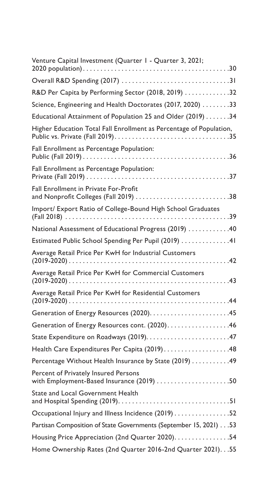| Venture Capital Investment (Quarter 1 - Quarter 3, 2021;                          |
|-----------------------------------------------------------------------------------|
|                                                                                   |
| R&D Per Capita by Performing Sector (2018, 2019) 32                               |
| Science, Engineering and Health Doctorates (2017, 2020) 33                        |
| Educational Attainment of Population 25 and Older (2019) 34                       |
| Higher Education Total Fall Enrollment as Percentage of Population,               |
| Fall Enrollment as Percentage Population:                                         |
| Fall Enrollment as Percentage Population:<br>. 37<br>Private (Fall 2019)          |
| Fall Enrollment in Private For-Profit                                             |
| Import/ Export Ratio of College-Bound High School Graduates                       |
| National Assessment of Educational Progress (2019) 40                             |
| Estimated Public School Spending Per Pupil (2019) 41                              |
| Average Retail Price Per KwH for Industrial Customers                             |
| Average Retail Price Per KwH for Commercial Customers                             |
| Average Retail Price Per KwH for Residential Customers                            |
|                                                                                   |
| Generation of Energy Resources cont. (2020). 46                                   |
|                                                                                   |
| Health Care Expenditures Per Capita (2019)48                                      |
| Percentage Without Health Insurance by State (2019) 49                            |
| Percent of Privately Insured Persons<br>with Employment-Based Insurance (2019) 50 |
| State and Local Government Health                                                 |
| Occupational Injury and Illness Incidence (2019) 52                               |
| Partisan Composition of State Governments (September 15, 2021) 53                 |
| Housing Price Appreciation (2nd Quarter 2020). 54                                 |
| Home Ownership Rates (2nd Quarter 2016-2nd Quarter 2021). 55                      |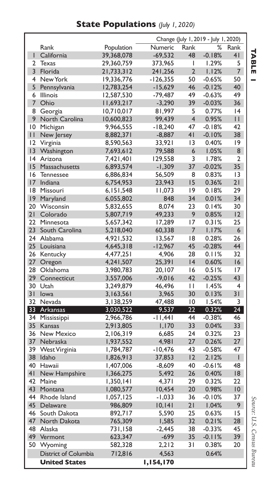**State Populations** *(July 1, 2020)*

|                | Change (July 1, 2019 - July 1, 2020) |            |           |                 |          |                         |
|----------------|--------------------------------------|------------|-----------|-----------------|----------|-------------------------|
|                | Rank                                 | Population | Numeric   | Rank            | %        | Rank                    |
| T              | California                           | 39,368,078 | $-69,532$ | 48              | $-0.18%$ | 41                      |
| $\overline{2}$ | Texas                                | 29,360,759 | 373,965   | I               | 1.29%    | 5                       |
| 3              | Florida                              | 21,733,312 | 241,256   | $\overline{2}$  | 1.12%    | $\overline{7}$          |
| 4              | New York                             | 19,336,776 | -126,355  | 50              | $-0.65%$ | 50                      |
| 5              | Pennsylvania                         | 12,783,254 | $-15,629$ | 46              | $-0.12%$ | 40                      |
| 6              | Illinois                             | 12,587,530 | -79,487   | 49              | $-0.63%$ | 49                      |
| $\overline{7}$ | Ohio                                 | 11,693,217 | $-3,290$  | 39              | $-0.03%$ | 36                      |
| 8              | Georgia                              | 10,710,017 | 81,997    | 5               | 0.77%    | 4                       |
| 9              | North Carolina                       | 10,600,823 | 99,439    | $\overline{4}$  | 0.95%    | П                       |
| 10             | Michigan                             | 9,966,555  | -18,240   | 47              | $-0.18%$ | 42                      |
| П              | New Jersey                           | 8,882,371  | $-8,887$  | 4 <sub>1</sub>  | $-0.10%$ | 38                      |
| 12             | Virginia                             | 8,590,563  | 33,921    | 13              | 0.40%    | 9                       |
| 3              | Washington                           | 7,693,612  | 79,588    | 6               | 1.05%    | 8                       |
| 4              | Arizona                              | 7,421,401  | 129,558   | 3               | 1.78%    | $\overline{2}$          |
| 15             | Massachusetts                        | 6,893,574  | $-1,309$  | 37              | $-0.02%$ | 35                      |
| 16             | <b>Tennessee</b>                     | 6,886,834  | 56,509    | 8               | 0.83%    | $\overline{13}$         |
| 17             | Indiana                              | 6,754,953  | 23,943    | 15              | 0.36%    | 21                      |
| 18             | Missouri                             | 6,151,548  | 11,073    | 9               | 0.18%    | 29                      |
| 9              | Maryland                             | 6,055,802  | 848       | 34              | 0.01%    | 34                      |
| 20             | Wisconsin                            | 5,832,655  | 8,074     | 23              | 0.14%    | 30                      |
| 21             | Colorado                             | 5,807,719  | 49,233    | 9               | 0.85%    | 12                      |
| 22             | Minnesota                            | 5,657,342  | 17,289    | 17              | 0.31%    | 25                      |
| 23             | South Carolina                       | 5,218,040  | 60,338    | 7               | 1.17%    | 6                       |
| 24             | Alabama                              | 4,921,532  | 13,567    | 18              | 0.28%    | 26                      |
| 25             | Louisiana                            | 4,645,318  | $-12,967$ | 45              | $-0.28%$ | 44                      |
| 26             | Kentucky                             | 4,477,251  | 4,906     | 28              | 0.11%    | 32                      |
| 27             | Oregon                               | 4,241,507  | 25,391    | 4               | 0.60%    | 16                      |
| 28             | Oklahoma                             | 3,980,783  | 20,107    | 16              | 0.51%    | 17                      |
| 29             | Connecticut                          | 3,557,006  | $-9,016$  | 42              | $-0.25%$ | 43                      |
| 30             | Utah                                 | 3,249,879  | 46,496    | П               | 1.45%    | $\overline{\mathbf{4}}$ |
| 31             | lowa                                 | 3,163,561  | 3,965     | 30              | 0.13%    | 31                      |
| 32             | Nevada                               | 3,138,259  | 47,488    | $\overline{10}$ | 1.54%    | 3                       |
| 33             | Arkansas                             | 3,030,522  | 9,537     | 22              | 0.32%    | 24                      |
| 34             | Mississippi                          | 2,966,786  | -11,441   | 44              | $-0.38%$ | 46                      |
| 35             | Kansas                               | 2,913,805  | 1,170     | 33              | 0.04%    | 33                      |
| 36             | New Mexico                           | 2,106,319  | 6,685     | 24              | 0.32%    | 23                      |
| 37             | Nebraska                             | 1,937,552  | 4,981     | 27              | 0.26%    | 27                      |
| 39             | West Virginia                        | 1,784,787  | $-10,476$ | 43              | $-0.58%$ | 47                      |
| 38             | Idaho                                | 1,826,913  | 37,853    | 12              | 2.12%    | T                       |
| 40             | Hawaii                               | 1,407,006  | $-8,609$  | 40              | $-0.61%$ | 48                      |
| 4 <sub>1</sub> | New Hampshire                        | 1,366,275  | 5,492     | 26              | 0.40%    | 8                       |
| 42             | Maine                                | 1,350,141  | 4,371     | 29              | 0.32%    | 22                      |
| 43             | Montana                              | 1,080,577  | 10,454    | 20              | 0.98%    | $ 0\rangle$             |
| 44             | Rhode Island                         | 1,057,125  | $-1,033$  | 36              | $-0.10%$ | 37                      |
| 45             | Delaware                             | 986,809    | 10, 141   | 21              | 1.04%    | 9                       |
| 46             | South Dakota                         | 892,717    | 5.590     | 25              | 0.63%    | 15                      |
| 47             | North Dakota                         | 765,309    | 1,585     | 32              | 0.21%    | 28                      |
| 48             | Alaska                               | 731,158    | $-2,445$  | 38              | $-0.33%$ | 45                      |
| 49             | Vermont                              | 623,347    | $-699$    | 35              | $-0.11%$ | 39                      |
| 50             | Wyoming                              | 582,328    | 2,212     | 31              | 0.38%    | 20                      |
|                | District of Columbia                 | 712,816    | 4,563     |                 | 0.64%    |                         |
|                | <b>United States</b>                 |            | 1,154,170 |                 |          |                         |

**TABLE**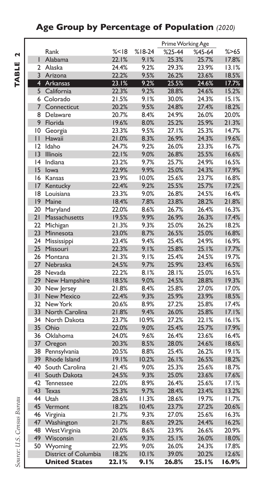### **Age Group by Percentage of Population** *(2020)*

TABLE 2 **TABLE 2**

|                 |                          |                |          | Prime Working Age |          |                |
|-----------------|--------------------------|----------------|----------|-------------------|----------|----------------|
|                 | Rank                     | % < 18         | $%18-24$ | $%25-44$          | $%45-64$ | % > 65         |
| Ī               | Alabama                  | 22.1%          | 9.1%     | 25.3%             | 25.7%    | 17.8%          |
| $\mathcal{P}$   | Alaska                   | 24.4%          | 9.2%     | 29.3%             | 23.9%    | 13.1%          |
|                 | 3 Arizona                | 22.2%          | 9.5%     | 26.2%             | 23.6%    | 18.5%          |
| 4               |                          |                |          | 25.5%             |          |                |
|                 | Arkansas<br>5 California | 23.1%<br>22.3% | 9.2%     | 28.8%             | 24.6%    | 17.7%<br>15.2% |
|                 |                          |                | 9.2%     |                   | 24.6%    | 15.1%          |
|                 | 6 Colorado               | 21.5%          | 9.1%     | 30.0%             | 24.3%    |                |
|                 | 7 Connecticut            | 20.2%          | 9.5%     | 24.8%             | 27.4%    | 18.2%          |
| 8               | Delaware                 | 20.7%          | 8.4%     | 24.9%             | 26.0%    | 20.0%          |
| 9               | Florida                  | 19.6%          | 8.0%     | 25.2%             | 25.9%    | 21.3%          |
| 10              | Georgia                  | 23.3%          | 9.5%     | 27.1%             | 25.3%    | 14.7%          |
| П               | Hawaii                   | 21.0%          | 8.3%     | 26.9%             | 24.3%    | 19.6%          |
| 12              | Idaho                    | 24.7%          | 9.2%     | 26.0%             | 23.3%    | 16.7%          |
| $\overline{3}$  | <b>Illinois</b>          | 22.1%          | 9.0%     | 26.8%             | 25.5%    | 16.6%          |
| 4               | Indiana                  | 23.2%          | 9.7%     | 25.7%             | 24.9%    | 16.5%          |
| 15              | lowa                     | 22.9%          | 9.9%     | 25.0%             | 24.3%    | 17.9%          |
| 16              | Kansas                   | 23.9%          | 10.0%    | 25.6%             | 23.7%    | 16.8%          |
| 17              | Kentucky                 | 22.4%          | 9.2%     | 25.5%             | 25.7%    | 17.2%          |
| 18              | Louisiana                | 23.3%          | 9.0%     | 26.8%             | 24.5%    | 16.4%          |
| $ 9\rangle$     | Maine                    | 18.4%          | 7.8%     | 23.8%             | 28.2%    | 21.8%          |
| 20              | Maryland                 | 22.0%          | 8.6%     | 26.7%             | 26.4%    | 16.3%          |
| 21              | Massachusetts            | 19.5%          | 9.9%     | 26.9%             | 26.3%    | 17.4%          |
| 22              | Michigan                 | 21.3%          | 9.3%     | 25.0%             | 26.2%    | 18.2%          |
| 23              | Minnesota                | 23.0%          | 8.7%     | 26.5%             | 25.0%    | 16.8%          |
| 24              | Mississippi              | 23.4%          | 9.4%     | 25.4%             | 24.9%    | 16.9%          |
| 25              | Missouri                 | 22.3%          | 9.1%     | 25.8%             | 25.1%    | 17.7%          |
| 26              | Montana                  | 21.3%          | 9.1%     | 25.4%             | 24.5%    | 19.7%          |
| 27              | Nebraska                 | 24.5%          | 9.7%     | 25.9%             | 23.4%    | 16.5%          |
| 28              | Nevada                   | 22.2%          | 8.1%     | 28.1%             | 25.0%    | 16.5%          |
| 29              | New Hampshire            | 18.5%          | 9.0%     | 24.5%             | 28.8%    | 19.3%          |
| 30              | New Jersey               | 21.8%          | 8.4%     | 25.8%             | 27.0%    | 17.0%          |
| 31              | <b>New Mexico</b>        | 22.4%          | 9.3%     | 25.9%             | 23.9%    | 18.5%          |
| 32              | New York                 | 20.6%          | 8.9%     | 27.2%             | 25.8%    | 17.4%          |
| 33              | North Carolina           | 21.8%          | 9.4%     | 26.0%             | 25.8%    | 17.1%          |
| 34              | North Dakota             | 23.7%          | 10.9%    | 27.2%             | 22.1%    | 16.1%          |
| 35 <sub>1</sub> | Ohio                     | 22.0%          | 9.0%     | 25.4%             | 25.7%    | 17.9%          |
| 36              | Oklahoma                 | 24.0%          | 9.6%     | 26.4%             | 23.6%    | 16.4%          |
| 37              | Oregon                   | 20.3%          | 8.5%     | 28.0%             | 24.6%    | 18.6%          |
| 38              | Pennsylvania             | 20.5%          | 8.8%     | 25.4%             | 26.2%    | 19.1%          |
| 39              | Rhode Island             | 19.1%          | 10.2%    | 26.1%             | 26.5%    | 18.2%          |
| 40              | South Carolina           | 21.4%          | 9.0%     | 25.3%             | 25.6%    | 18.7%          |
| 41              | South Dakota             | 24.5%          | 9.3%     | 25.0%             | 23.6%    | 17.6%          |
| 42              | <b>Tennessee</b>         | 22.0%          | 8.9%     | 26.4%             | 25.6%    | 17.1%          |
| 43              | <b>Texas</b>             | 25.3%          | 9.7%     | 28.4%             | 23.4%    | 13.2%          |
| 44              | Utah                     | 28.6%          | 11.3%    | 28.6%             | 19.7%    | 11.7%          |
| 45              | Vermont                  | 18.2%          | 10.4%    | 23.7%             | 27.2%    | 20.6%          |
| 46              | Virginia                 | 21.7%          | 9.3%     | 27.0%             | 25.6%    | 16.3%          |
| 47              | Washington               | 21.7%          | 8.6%     | 29.2%             | 24.4%    | 16.2%          |
| 48              | West Virginia            | 20.0%          | $8.6\%$  | 23.9%             | 26.6%    | 20.9%          |
| 49              | Wisconsin                | 21.6%          | 9.3%     | 25.1%             | 26.0%    | 18.0%          |
| 50              | Wyoming                  | 22.9%          | 9.0%     | 26.0%             | 24.3%    | 17.8%          |
|                 | District of Columbia     | 18.2%          | 10.1%    | 39.0%             | 20.2%    | 12.6%          |
|                 | <b>United States</b>     | 22.I%          | 9. I %   | 26.8%             | 25.1%    | 16.9%          |
|                 |                          |                |          |                   |          |                |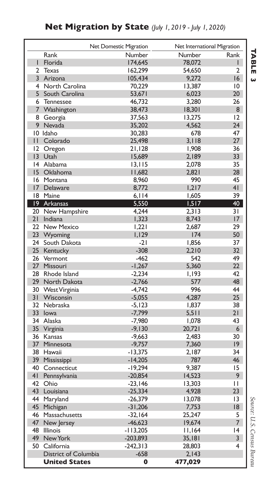|                | Net Domestic Migration       |             |                | Net International Migration |
|----------------|------------------------------|-------------|----------------|-----------------------------|
|                | Rank                         | Number      | Number         | Rank                        |
| L              | Florida                      | 174,645     | 78,072         | L                           |
| $\overline{2}$ | <b>Texas</b>                 | 162,299     | 54,650         | 2                           |
| 3              | Arizona                      | 105,434     | 9,272          | 16                          |
| 4              | North Carolina               | 70,229      | 13,387         | $\overline{10}$             |
| 5              | South Carolina               | 53,671      | 6,023          | 20                          |
| 6              | <b>Tennessee</b>             | 46,732      | 3,280          | 26                          |
| 7              | Washington                   | 38,473      | 18,301         | 8                           |
| 8              | Georgia                      | 37,563      | 13,275         | 12                          |
| 9              | Nevada                       | 35,202      | 4,562          | 24                          |
|                | 10 Idaho                     | 30,283      | 678            | 47                          |
| $\mathbf{H}$   | Colorado                     | 25,498      | 3,118          | 27                          |
| 12             | Oregon                       | 21,128      | 1,908          | 36                          |
| 13             | Utah                         | 15,689      | 2,189          | 33                          |
| 4              | Alabama                      | 13, 115     | 2,078          | 35                          |
| 15             | Oklahoma                     | 11,682      | 2.821          | 28                          |
| 16             | Montana                      | 8,960       | 990            | 45                          |
| 17             | Delaware                     | 8,772       | 1,217          | 41                          |
|                | 18 Maine                     | 6,114       | 1,605          | 39                          |
| 19             | Arkansas                     | 5,550       | 1,517          | 40                          |
| 20             | New Hampshire                | 4,244       | 2,313          | 31                          |
| 21             |                              | 1,323       |                | 17                          |
| 22             | Indiana<br><b>New Mexico</b> | 1,221       | 8,743<br>2,687 | 29                          |
| 23             |                              |             | 174            | 50                          |
| 24             | Wyoming                      | 1,129       |                |                             |
|                | South Dakota                 | $-21$       | 1.856          | 37                          |
| 25             | Kentucky                     | $-308$      | 2,210          | 32                          |
| 26             | Vermont                      | $-462$      | 542            | 49                          |
| 27             | Missouri                     | $-1,267$    | 5,360          | 22                          |
| 28             | Rhode Island                 | $-2,234$    | 1,193          | 42                          |
| 29             | North Dakota                 | $-2,766$    | 577            | 48                          |
| 30             | West Virginia                | -4,742      | 996            | 44                          |
| 31             | Wisconsin                    | $-5,055$    | 4.287          | 25                          |
| 32             | Nebraska                     | $-5, 123$   | 1,837          | 38                          |
| 33             | lowa                         | $-7,799$    | 5,511          | 21                          |
| 34             | Alaska                       | $-7,980$    | 1.078          | 43                          |
| 35             | Virginia                     | $-9,130$    | 20,721         | 6                           |
| 36             | Kansas                       | $-9,663$    | 2.483          | 30                          |
| 37             | Minnesota                    | $-9,757$    | 7,360          | 9                           |
| 38             | Hawaii                       | $-13,375$   | 2,187          | 34                          |
| 39             | Mississippi                  | $-14,205$   | 787            | 46                          |
| 40             | Connecticut                  | $-19,294$   | 9.387          | 15                          |
| 41             | Pennsylvania                 | $-20,854$   | 14,523         | 9                           |
| 42             | Ohio                         | $-23,146$   | 13,303         | $\mathbf{H}$                |
| 43             | Louisiana                    | $-25,334$   | 4,928          | 23                          |
| 44             | Maryland                     | $-26,379$   | 13,078         | 3                           |
| 45             | Michigan                     | $-31,206$   | 7,753          | 18                          |
| 46             | Massachusetts                | $-32,164$   | 25,247         | 5                           |
| 47             | New Jersey                   | $-46,623$   | 19,674         | $\overline{7}$              |
| 48             | <b>Illinois</b>              | $-113,205$  | 11,164         | 4                           |
| 49             | New York                     | $-203,893$  | 35,181         | 3                           |
| 50             | California                   | $-242,313$  | 28.803         | 4                           |
|                | District of Columbia         | $-658$      | 2,143          |                             |
|                | <b>United States</b>         | $\mathbf 0$ | 477,029        |                             |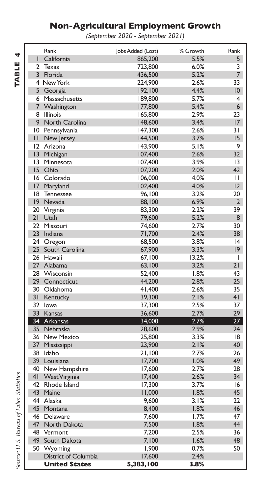### **Non-Agricultural Employment Growth**

*(September 2020 - September 2021)*

|                | Rank                 | Jobs Added (Lost) | % Growth | Rank            |
|----------------|----------------------|-------------------|----------|-----------------|
| L              | California           | 865,200           | 5.5%     | 5               |
| $\overline{2}$ | Texas                | 723.800           | 6.0%     | 3               |
| $\overline{3}$ | Florida              | 436,500           | 5.2%     | $\overline{7}$  |
|                | 4 New York           | 224,900           | 2.6%     | 33              |
|                | 5 Georgia            | 192,100           | 4.4%     | 10 <sup>1</sup> |
| 6              | Massachusetts        | 189,800           | 5.7%     | 4               |
| 7              | Washington           | 177,800           | 5.4%     | 6 <sup>1</sup>  |
| 8              | <b>Illinois</b>      | 165,800           | 2.9%     | 23              |
| 9              | North Carolina       | 148,600           | 3.4%     | 17              |
| 10             | Pennsylvania         | 147,300           | 2.6%     | 31              |
| П              | New Jersey           | 144,500           | 3.7%     | 15              |
| $\overline{2}$ | Arizona              | 143,900           | 5.1%     | 9               |
| 3              | Michigan             | 107,400           | 2.6%     | 32              |
| 3              | Minnesota            | 107,400           | 3.9%     | 13              |
|                | 15 Ohio              | 107,200           | 2.0%     | 42              |
| 16             | Colorado             | 106,000           | 4.0%     | П               |
| 17             | Maryland             | 102,400           | 4.0%     | 12              |
| 18             | <b>Tennessee</b>     | 96,100            | 3.2%     | 20              |
| 19             | Nevada               | 88,100            | 6.9%     | $\overline{2}$  |
| 20             | Virginia             | 83,300            | 2.2%     | 39              |
| 21             | Utah                 | 79,600            | 5.2%     | 8               |
| 22             | Missouri             | 74,600            | 2.7%     | 30              |
| 23             | Indiana              | 71,700            | 2.4%     | 38              |
| 24             | Oregon               | 68,500            | 3.8%     | 4               |
| 25             | South Carolina       | 67,900            | 3.3%     | $ 9\rangle$     |
| 26             | Hawaii               | 67,100            | 13.2%    | I               |
| 27             | Alabama              | 63,100            | 3.2%     | 21              |
| 28             | Wisconsin            | 52,400            | 1.8%     | 43              |
| 29             | Connecticut          | 44,200            | 2.8%     | 25              |
| 30             | Oklahoma             | 41,400            | 2.6%     | 35              |
| 31             | Kentucky             | 39,300            | 2.1%     | 41              |
| 32             | lowa                 | 37,300            | 2.5%     | 37              |
| 33             | Kansas               | 36,600            | 2.7%     | 29              |
| 34             | Arkansas             | 34,000            | 2.7%     | 27              |
|                | 35 Nebraska          | 28,600            | 2.9%     | 24              |
| 36             | <b>New Mexico</b>    | 25,800            | 3.3%     | 18              |
| 37             | Mississippi          | 23,900            | 2.1%     | 40              |
| 38             | Idaho                | 21,100            | 2.7%     | 26              |
| 39             | Louisiana            | 17,700            | 1.0%     | 49              |
| 40             | New Hampshire        | 17,600            | 2.7%     | 28              |
| 4 <sub>1</sub> | <b>West Virginia</b> | 17,400            | 2.6%     | 34              |
| 42             | Rhode Island         | 17,300            | 3.7%     | 16              |
| 43             | Maine                | 11,000            | 1.8%     | 45              |
| 44             | Alaska               | 9,600             | 3.1%     | 22              |
| 45             | Montana              | 8.400             | 1.8%     | 46              |
| 46             | Delaware             | 7,600             | 1.7%     | 47              |
| 47             | North Dakota         | 7,500             | 1.8%     | 44              |
| 48             | Vermont              | 7,200             | 2.5%     | 36              |
| 49             | South Dakota         | 7,100             | 1.6%     | 48              |
| 50             | Wyoming              | 1,900             | 0.7%     | 50              |
|                | District of Columbia | 17,600            | 2.4%     |                 |
|                | <b>United States</b> | 5,383,100         | 3.8%     |                 |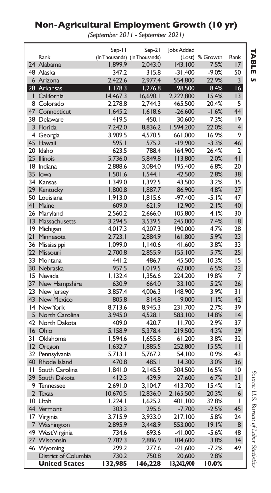### **Non-Agricultural Employment Growth (10 yr)**

*(September 2011 - September 2021)*

|                |                      | Sep-11   | Sep-21                        | <b>lobs Added</b> |                 |                         |
|----------------|----------------------|----------|-------------------------------|-------------------|-----------------|-------------------------|
|                | Rank                 |          | (In Thousands) (In Thousands) |                   | (Lost) % Growth | Rank                    |
|                | 24 Alabama           | 1,899.9  | 2,043.0                       | 143,100           | 7.5%            | 17                      |
|                | 48 Alaska            | 347.2    | 315.8                         | $-31,400$         | $-9.0%$         | 50                      |
|                | 6 Arizona            | 2.422.6  | 2,977.4                       | 554,800           | 22.9%           | 3                       |
|                | 28 Arkansas          | 1,178.3  | 1,276.8                       | 98,500            | 8.4%            | 16                      |
| L              | California           | 14,467.3 | 16,690.1                      | 2,222,800         | 15.4%           | 3                       |
|                | 8 Colorado           | 2,278.8  | 2,744.3                       | 465,500           | 20.4%           | 5                       |
|                | 47 Connecticut       | 1,645.2  | 1,618.6                       | $-26,600$         | $-1.6%$         | 44                      |
|                | 38 Delaware          | 419.5    | 450.I                         | 30,600            | 7.3%            | 9                       |
|                | 3 Florida            | 7.242.0  | 8.836.2                       | 1,594,200         | 22.0%           | $\overline{\mathbf{4}}$ |
|                | 4 Georgia            | 3,909.5  | 4,570.5                       | 661,000           | 16.9%           | 9                       |
| 45             | Hawaii               | 595.I    | 575.2                         | $-19,900$         | $-3.3%$         | 46                      |
|                | 20 Idaho             | 623.5    | 788.4                         | 164,900           | 26.4%           | 2                       |
|                | 25 Illinois          | 5.736.0  | 5.849.8                       | 113,800           | 2.0%            | 4 <sup>1</sup>          |
|                | 18 Indiana           | 2,888.6  | 3,084.0                       | 195,400           | 6.8%            | 20                      |
|                | 35 lowa              | 1,501.6  | 1,544.1                       | 42,500            | 2.8%            | 38                      |
|                | 34 Kansas            | 1,349.0  | 1,392.5                       | 43,500            | 3.2%            | 35                      |
|                | 29 Kentucky          | 1,800.8  | 1,887.7                       | 86,900            | 4.8%            | 27                      |
|                | 50 Louisiana         | 1,913.0  | 1,815.6                       | $-97,400$         | -5.1%           | 47                      |
| 4 <sup>1</sup> | Maine                | 609.0    | 621.9                         | 12,900            | 2.1%            | 40                      |
|                | 26 Maryland          | 2,560.2  | 2,666.0                       | 105,800           | 4.1%            | 30                      |
|                | 13 Massachusetts     | 3,294.5  | 3,539.5                       | 245,000           | 7.4%            | 8                       |
|                | 19 Michigan          | 4,017.3  | 4,207.3                       | 190,000           | 4.7%            | 28                      |
| 21             | Minnesota            | 2,723.1  | 2,884.9                       | 161,800           | 5.9%            | 23                      |
|                | 36 Mississippi       | 1.099.0  | 1.140.6                       | 41,600            | 3.8%            | 33                      |
|                | 22 Missouri          | 2,700.8  | 2,855.9                       | 155,100           | 5.7%            | 25                      |
|                | 33 Montana           | 441.2    | 486.7                         | 45,500            | 10.3%           | 15                      |
|                | 30 Nebraska          | 957.5    | 1,019.5                       | 62,000            | 6.5%            | 22                      |
|                | 15 Nevada            | 1,132.4  | 1,356.6                       | 224,200           | 19.8%           | 7                       |
|                | 37 New Hampshire     | 630.9    | 664.0                         | 33,100            | 5.2%            | 26                      |
|                | 23 New Jersey        | 3,857.4  | 4,006.3                       | 148,900           | 3.9%            | 31                      |
|                | 43 New Mexico        | 805.8    | 814.8                         | 9,000             | 1.1%            | 42                      |
|                | 14 New York          | 8.713.6  | 8,945.3                       | 231,700           | 2.7%            | 39                      |
|                | 5 North Carolina     | 3,945.0  | 4,528.1                       | 583,100           | 14.8%           | 4                       |
|                | 42 North Dakota      | 409.0    | 420.7                         | 11,700            | 2.9%            | 37                      |
|                | 16 Ohio              | 5,158.9  | 5,378.4                       | 219,500           | 4.3%            | 29                      |
| 31             | Oklahoma             | 1,594.6  | 1,655.8                       | 61,200            | 3.8%            | 32                      |
|                | 12 Oregon            | 1,632.7  | 1,885.5                       | 252,800           | 15.5%           | $\mathbf{H}$            |
|                | 32 Pennsylvania      | 5,713.1  | 5,767.2                       | 54,100            | 0.9%            | 43                      |
|                | 40 Rhode Island      | 470.8    | 485.I                         | 14,300            | 3.0%            | 36                      |
| П              | South Carolina       | 1,841.0  | 2,145.5                       | 304,500           | 16.5%           | $\overline{10}$         |
| 39             | South Dakota         | 412.3    | 439.9                         | 27,600            | 6.7%            | 21                      |
|                | 9 Tennessee          | 2.691.0  | 3,104.7                       | 413,700           | 15.4%           | 12                      |
| $\overline{2}$ | Texas                | 10,670.5 | 12,836.0                      | 2,165,500         | 20.3%           | 6                       |
|                | 10 Utah              | 1,224.1  | 1,625.2                       | 401,100           | 32.8%           | T                       |
|                | 44 Vermont           | 303.3    | 295.6                         | $-7,700$          | $-2.5%$         | 45                      |
|                | 17 Virginia          | 3.715.9  | 3.933.0                       | 217,100           | 5.8%            | 24                      |
|                | 7 Washington         | 2,895.9  | 3,448.9                       | 553,000           | 19.1%           | 8                       |
| 49             | West Virginia        | 734.6    | 693.6                         | $-41,000$         | $-5.6%$         | 48                      |
|                | 27 Wisconsin         | 2,782.3  | 2,886.9                       | 104,600           | 3.8%            | 34                      |
|                | 46 Wyoming           | 299.2    | 277.6                         | $-21,600$         | $-7.2%$         | 49                      |
|                | District of Columbia | 730.2    | 750.8                         | 20,600            | 2.8%            |                         |
|                | <b>United States</b> | 132,985  | 146,228                       | 13,242,900        | 10.0%           |                         |

**TABLE TABLE 5**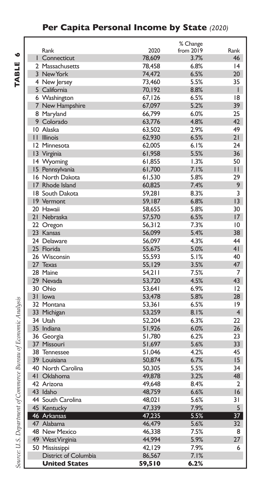### **Per Capita Personal Income by State** *(2020)*

|                      |        | % Change     |                 |
|----------------------|--------|--------------|-----------------|
| Rank                 | 2020   | from 2019    | Rank            |
| Connecticut          | 78.609 | 3.7%         | 46              |
| 2 Massachusetts      | 78,458 | 6.8%         | 4               |
| 3 New York           | 74,472 | 6.5%         | 20              |
| 4 New Jersey         | 73,460 | 5.5%         | 35              |
| 5 California         | 70,192 | 8.8%         | T               |
| 6 Washington         | 67,126 | 6.5%         | 8               |
| 7 New Hampshire      | 67,097 | 5.2%         | 39              |
| 8 Maryland           | 66.799 | 6.0%         | 25              |
| 9 Colorado           | 63,776 | 4.8%         | 42              |
| 10 Alaska            | 63,502 | 2.9%         | 49              |
| II Illinois          | 62,930 | 6.5%         | 21              |
| 12 Minnesota         | 62,005 | 6.1%         | 24              |
| 13 Virginia          | 61,958 | 5.5%         | 36              |
| 14 Wyoming           | 61,855 | 1.3%         | 50              |
| 15 Pennsylvania      | 61,700 | 7.1%         | $\mathbf{H}$    |
| 16 North Dakota      | 61,530 | 5.8%         | 29              |
| 17 Rhode Island      | 60,825 | 7.4%         | 9               |
| 18 South Dakota      | 59,281 | 8.3%         | 3               |
| 19 Vermont           | 59,187 | 6.8%         | 3               |
| 20 Hawaii            | 58,655 | 5.8%         | 30              |
| 21 Nebraska          | 57,570 | 6.5%         | 17              |
| 22 Oregon            | 56,312 | 7.3%         | 10              |
| 23 Kansas            | 56,099 | 5.4%         | 38              |
| 24 Delaware          | 56.097 | 4.3%         | 44              |
| 25 Florida           | 55,675 | 5.0%         | 41              |
| 26 Wisconsin         | 55,593 | 5.1%         | 40              |
| 27 Texas             | 55,129 | 3.5%         | 47              |
| 28 Maine             |        | 7.5%         | 7               |
| 29 Nevada            | 54,211 | 4.5%         | 43              |
| 30 Ohio              | 53,720 |              | 12              |
| 31 Iowa              | 53,641 | 6.9%<br>5.8% | 28              |
|                      | 53,478 |              | 9               |
| 32 Montana           | 53,361 | 6.5%         | $\overline{4}$  |
| 33 Michigan          | 53,259 | 8.1%         |                 |
| 34 Utah              | 52,204 | 6.3%         | 22              |
| 35 Indiana           | 51,926 | 6.0%         | 26              |
| 36 Georgia           | 51,780 | 6.2%         | 23              |
| 37 Missouri          | 51,697 | 5.6%         | 33              |
| 38 Tennessee         | 51,046 | 4.2%         | 45              |
| 39 Louisiana         | 50,874 | 6.7%         | 15              |
| 40 North Carolina    | 50,305 | 5.5%         | 34              |
| 41 Oklahoma          | 49,878 | 3.2%         | 48              |
| 42 Arizona           | 49.648 | 8.4%         | $\overline{2}$  |
| 43 Idaho             | 48,759 | 6.6%         | 16              |
| 44 South Carolina    | 48.021 | 5.6%         | 31              |
| 45 Kentucky          | 47,339 | 7.9%         | 5               |
| 46 Arkansas          | 47,235 | 5.5%         | 37 <sup>2</sup> |
| 47 Alabama           | 46,479 | 5.6%         | 32 <sub>2</sub> |
| 48 New Mexico        | 46,338 | 7.5%         | 8               |
| 49 West Virginia     | 44,994 | 5.9%         | 27              |
| 50 Mississippi       | 42.129 | 7.9%         | 6               |
| District of Columbia | 86,567 | 7.1%         |                 |
| <b>United States</b> | 59,510 | 6.2%         |                 |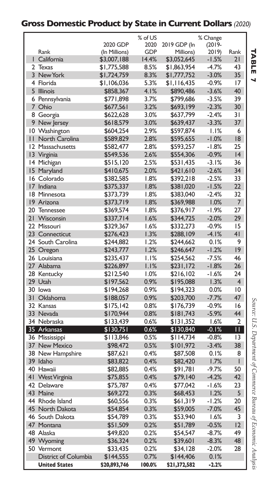### **Gross Domestic Product by State in Current Dollars** *(2020)*

|                |                             |               | % of US    |              | % Change        |                 |
|----------------|-----------------------------|---------------|------------|--------------|-----------------|-----------------|
|                |                             | 2020 GDP      | 2020       | 2019 GDP (In | $(2019 -$       |                 |
|                | Rank                        | (In Millions) | <b>GDP</b> | Millions)    | 2019)           | Rank            |
|                | I California                | \$3,007,188   | 14.4%      | \$3,052,645  | $-1.5%$         | 21              |
| 2              | <b>Texas</b>                | \$1,775,588   | 8.5%       | \$1,863,954  | $-4.7%$         | 43              |
|                | 3 New York                  | \$1,724,759   | 8.3%       | \$1,777,752  | $-3.0%$         | 35              |
|                | 4 Florida                   | \$1,106,036   | 5.3%       | \$1,116,435  | $-0.9%$         | 17              |
| 5              | <b>Illinois</b>             | \$858,367     | 4.1%       | \$890,486    | $-3.6%$         | 40              |
|                | 6 Pennsylvania              | \$771,898     | 3.7%       | \$799,686    | $-3.5%$         | 39              |
| $\overline{7}$ | Ohio                        | \$677,561     | 3.2%       | \$693,199    | $-2.3%$         | 30              |
|                | 8 Georgia                   | \$622,628     | 3.0%       | \$637,799    | $-2.4%$         | 31              |
|                | 9 New Jersey                | \$618,579     | 3.0%       | \$639,437    | $-3.3%$         | 37              |
|                | 10 Washington               | \$604,254     | 2.9%       | \$597,874    | 1.1%            | 6               |
| $\mathbf{H}$   | North Carolina              | \$589,829     | 2.8%       | \$595,655    | $-1.0%$         | 18              |
|                | 12 Massachusetts            | \$582,477     | 2.8%       | \$593,257    | $-1.8%$         | 25              |
|                | 13 Virginia                 | \$549,536     | 2.6%       | \$554,306    | $-0.9%$         | 4               |
|                | 14 Michigan                 | \$515,120     | 2.5%       | \$531,435    | $-3.1%$         | 36              |
|                | 15 Maryland                 | \$410,675     | 2.0%       | \$421,610    | $-2.6%$         | 34              |
|                | 16 Colorado                 | \$382,585     | 1.8%       | \$392,218    | $-2.5%$         | 33              |
| 17             | Indiana                     | \$375,337     | 1.8%       | \$381,020    | $-1.5%$         | 22 <sub>1</sub> |
|                | 18 Minnesota                |               | 1.8%       |              | $-2.4%$         | 32              |
|                |                             | \$373,739     |            | \$383,040    |                 |                 |
| 20             | 19 Arizona                  | \$373,719     | 1.8%       | \$369,988    | 1.0%<br>$-1.9%$ | 7<br>27         |
|                | Tennessee                   | \$369,574     | 1.8%       | \$376,917    |                 |                 |
| 21             | Wisconsin                   | \$337,714     | 1.6%       | \$344,725    | $-2.0%$         | 29              |
|                | 22 Missouri                 | \$329,367     | 1.6%       | \$332,273    | $-0.9%$         | 15              |
|                | 23 Connecticut              | \$276,423     | 1.3%       | \$288,109    | $-4.1%$         | 41              |
|                | 24 South Carolina           | \$244,882     | 1.2%       | \$244,662    | 0.1%            | 9               |
| 25             | Oregon                      | \$243,777     | 1.2%       | \$246,647    | $-1.2%$         | 19              |
|                | 26 Louisiana                | \$235,437     | 1.1%       | \$254,562    | $-7.5%$         | 46              |
|                | 27 Alabama                  | \$226,897     | 1.1%       | \$231,172    | $-1.8%$         | 26              |
|                | 28 Kentucky                 | \$212,540     | 1.0%       | \$216,102    | $-1.6%$         | 24              |
|                | 29 Utah                     | \$197,562     | 0.9%       | \$195,088    | 1.3%            | $\overline{4}$  |
|                | 30 lowa                     | \$194,268     | 0.9%       | \$194,323    | 0.0%            | 10              |
| 31             | Oklahoma                    | \$188,057     | 0.9%       | \$203,700    | $-7.7%$         | 47              |
|                | 32 Kansas                   | \$175,142     | 0.8%       | \$176,739    | $-0.9%$         | 16              |
|                | 33 Nevada                   | \$170,944     | 0.8%       | \$181,743    | $-5.9%$         | 44              |
|                | 34 Nebraska                 | \$133,439     | 0.6%       | \$131,352    | 1.6%            | 2               |
|                | 35 Arkansas                 | \$130,751     | 0.6%       | \$130,840    | $-0.1%$         | П.              |
|                | 36 Mississippi              | \$113,846     | 0.5%       | \$114,734    | $-0.8%$         | $\overline{13}$ |
|                | 37 New Mexico               | \$98,472      | 0.5%       | \$101,972    | $-3.4%$         | 38              |
| 38             | New Hampshire               | \$87,621      | 0.4%       | \$87,508     | 0.1%            | 8               |
| 39             | Idaho                       | \$83,822      | 0.4%       | \$82,420     | 1.7%            | I               |
|                | 40 Hawaii                   | \$82,885      | 0.4%       | \$91,781     | $-9.7%$         | 50              |
| 41             | <b>West Virginia</b>        | \$75,855      | 0.4%       | \$79,140     | $-4.2%$         | 42              |
|                | 42 Delaware                 | \$75,787      | 0.4%       | \$77,042     | $-1.6%$         | 23              |
|                | 43 Maine                    | \$69,272      | 0.3%       | \$68,453     | 1.2%            | 5               |
|                | 44 Rhode Island             | \$60,556      | 0.3%       | \$61,319     | $-1.2%$         | 20              |
|                | 45 North Dakota             | \$54,854      | 0.3%       | \$59,005     | $-7.0%$         | 45              |
|                | 46 South Dakota             | \$54,789      | 0.3%       | \$53,940     | 1.6%            | 3               |
| 47             | Montana                     | \$51,509      | 0.2%       | \$51,789     | $-0.5%$         | 12              |
|                | 48 Alaska                   | \$49,820      | 0.2%       | \$54,547     | $-8.7%$         | 49              |
|                | 49 Wyoming                  | \$36,324      | 0.2%       | \$39,601     | $-8.3%$         | 48              |
| 50             | Vermont                     | \$33,435      | 0.2%       | \$34,128     | $-2.0%$         | 28              |
|                | <b>District of Columbia</b> | \$144,555     | 0.7%       | \$144,406    | 0.1%            |                 |
|                | <b>United States</b>        |               | 100.0%     |              | $-2.2%$         |                 |
|                |                             | \$20,893,746  |            | \$21,372,582 |                 |                 |

Source: U.S. Department of Commerce Bureau of Economic Analysis *Source: U.S. Department of Commerce Bureau of Economic Analysis*

**TABLE** TABLE 7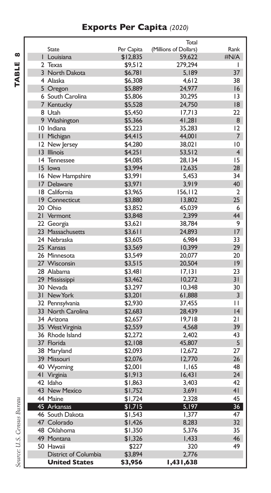### **Exports Per Capita** *(2020)*

TABLE 8 **TABLE 8**

|                      |            | Total                 |                 |
|----------------------|------------|-----------------------|-----------------|
| <b>State</b>         | Per Capita | (Millions of Dollars) | Rank            |
| I Louisiana          | \$12,835   | 59,622                | #N/A            |
| 2 Texas              | \$9,512    | 279,294               | I               |
| 3 North Dakota       | \$6,781    | 5,189                 | 37              |
| 4 Alaska             | \$6,308    | 4,612                 | 38              |
| 5 Oregon             | \$5,889    | 24,977                | 16              |
| 6 South Carolina     | \$5,806    | 30,295                | 13              |
| 7 Kentucky           | \$5,528    | 24,750                | 18              |
| 8 Utah               | \$5,450    | 17,713                | 22              |
| 9 Washington         | \$5,366    | 41,281                | 8               |
| 10 Indiana           | \$5,223    | 35,283                | 12              |
| II Michigan          | \$4,415    | 44,001                | 7               |
| 12 New Jersey        | \$4,280    | 38,021                | 10              |
| 13 Illinois          | \$4,251    | 53,512                | $\overline{4}$  |
| 14 Tennessee         | \$4,085    | 28.134                | 15              |
| 15 lowa              | \$3,994    | 12,635                | 28              |
| 16 New Hampshire     | \$3,991    | 5,453                 | 34              |
| 17 Delaware          | \$3,971    | 3,919                 | 40              |
| 18 California        | \$3,965    | 156,112               | 2               |
| 19 Connecticut       | \$3,880    | 13,802                | 25              |
| 20 Ohio              | \$3,852    | 45,039                | 6               |
| 21 Vermont           | \$3,848    | 2,399                 | 44              |
|                      |            | 38,784                | 9               |
| 22 Georgia           | \$3,621    | 24,893                | 17              |
| 23 Massachusetts     | \$3,611    |                       | 33              |
| 24 Nebraska          | \$3,605    | 6,984                 |                 |
| 25 Kansas            | \$3,569    | 10,399                | 29              |
| 26 Minnesota         | \$3,549    | 20,077                | 20              |
| 27 Wisconsin         | \$3,515    | 20,504                | $ 9\rangle$     |
| 28 Alabama           | \$3,481    | 17,131                | 23              |
| 29 Mississippi       | \$3,462    | 10,272                | 31              |
| 30 Nevada            | \$3,297    | 10,348                | 30              |
| 31 New York          | \$3,201    | 61,888                | $\overline{3}$  |
| 32 Pennsylvania      | \$2,930    | 37,455                | П               |
| 33 North Carolina    | \$2,683    | 28,439                | $\overline{14}$ |
| 34 Arizona           | \$2,657    | 19,718                | 21              |
| 35 West Virginia     | \$2,559    | 4,568                 | 39              |
| 36 Rhode Island      | \$2,272    | 2.402                 | 43              |
| 37 Florida           | \$2,108    | 45,807                | 5               |
| 38 Maryland          | \$2,093    | 12,672                | 27              |
| 39 Missouri          | \$2,076    | 12,770                | 26              |
| 40 Wyoming           | \$2,001    | 1,165                 | 48              |
| 41 Virginia          | \$1,913    | 16,431                | 24              |
| 42 Idaho             | \$1,863    | 3,403                 | 42              |
| 43 New Mexico        | \$1,752    | 3,691                 | 41              |
| 44 Maine             | \$1,724    | 2,328                 | 45              |
| 45 Arkansas          | \$1,715    | 5,197                 | 36 <sub>1</sub> |
| 46 South Dakota      | \$1,543    | 1,377                 | 47              |
| 47 Colorado          | \$1,426    | 8,283                 | 32 <sub>2</sub> |
| 48 Oklahoma          | \$1,350    | 5,376                 | 35              |
| 49 Montana           | \$1,326    | 1,433                 | 46              |
| 50 Hawaii            | \$227      | 320                   | 49              |
| District of Columbia | \$3,894    | 2,776                 |                 |
| <b>United States</b> | \$3,956    | 1,431,638             |                 |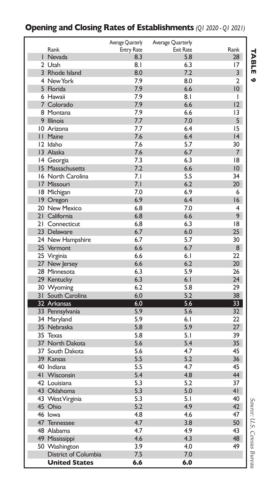#### Rank Average Quarterly Entry Rate Average Quarterly Exit Rate **Rank** 1 Nevada **8.3** 5.8 28 2 Utah 17 and 18.1 6.3 17 3 Rhode Island 8.0 7.2 3 4 New York 7.9 8.0 2 5 Florida 7.9 6.6 10 6 Hawaii 17.9 8.1 1 7 Colorado 7.9 6.6 12 8 Montana **7.9** 6.6 13 9 Illinois 5 7.7 7.0 5 10 Arizona 15 11 Maine 14 14 15 16 16 17.6 17.6 16.4 16 12 Idaho 7.6 5.7 30 13 Alaska 7.6 6.7 7 14 Georgia **7.3** 6.3 18 15 Massachusetts 7.2 6.6 10 16 North Carolina 7.1 5.5 34 17 Missouri 7.1 6.2 20 18 Michigan 7.0 6.9 6 19 Oregon 20 New Mexico 6.8 7.0 4 21 California 6.8 6.6 9 21 Connecticut 6.8 6.3 18 23 Delaware 6.7 6.0 25<br>24 New Hampshire 6.7 5.7 30 24 New Hampshire 6.7 5.7 30<br>25 Vermont 6.6 6.7 6.7 8 25 Vermont 6.6 6.7 8 25 Virginia 6.6 6.1 22 27 New Jersey 6.6 6.2 20 28 Minnesota 6.3 5.9 26 29 Kentucky 6.3 6.1 24 30 Wyoming 6.2 5.8 29 31 South Carolina 32 Arkansas 6.0 5.6 33 33 Pennsylvania 5.9 5.6 34 Maryland 5.9 6.1 22 35 Nebraska 5.8 5.9 27 35 Texas 5.8 5.1 39 37 North Dakota 5.6 5.4 35 37 South Dakota 5.6 4.7 45 39 Kansas 5.5 5.2 36 40 Indiana 5.5 4.7 45 41 Wisconsin 5.4 4.8 44 42 Louisiana 5.3 5.2 37 43 Oklahoma 43 West Virginia **5.3** 5.1 40<br>45 Ohio **1.1 5.2** 4.9 42 45 Ohio 5.2 4.9 42 46 Iowa 4.8 4.6 47 47 Tennessee 4.7 3.8 50 48 Alabama 4.7 4.9 43 49 Mississippi 4.6 4.3 48 50 Washington 3.9 4.0<br>District of Columbia 5 75 70 District of Columbia 7.5 7.0 **United States 6.6 6.0**

#### **Opening and Closing Rates of Establishments** *(Q1 2020 - Q1 2021)*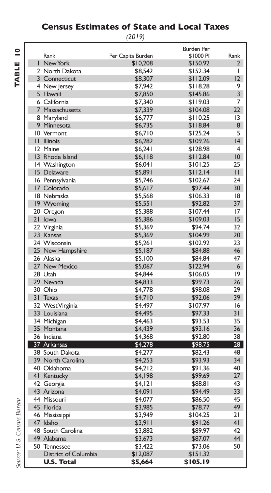### **Census Estimates of State and Local Taxes**

*(2019)*

|              |                      |                   | <b>Burden Per</b> |                |
|--------------|----------------------|-------------------|-------------------|----------------|
|              | Rank                 | Per Capita Burden | \$1000 PI         | Rank           |
|              | I New York           | \$10,208          | \$150.92          | 2              |
|              | 2 North Dakota       | \$8.542           | \$152.34          | T              |
|              | 3 Connecticut        | \$8,307           | \$112.09          | 12             |
|              | 4 New Jersey         | \$7,942           | \$118.28          | 9              |
|              | 5 Hawaii             | \$7,850           | \$145.86          | 3              |
|              | 6 California         | \$7,340           | \$119.03          | 7              |
|              | 7 Massachusetts      | \$7,339           | \$104.08          | 22             |
|              | 8 Maryland           | \$6,777           | \$110.25          | 13             |
|              | 9 Minnesota          | \$6,735           | \$118.84          | 8              |
|              | 10 Vermont           | \$6,710           | \$125.24          | 5              |
| $\mathbf{H}$ | <b>Illinois</b>      | \$6,282           | \$109.26          | 4              |
|              | 12 Maine             | \$6,241           | \$128.98          | $\overline{4}$ |
|              | 13 Rhode Island      | \$6,118           | \$112.84          | 10             |
|              | 14 Washington        | \$6,041           | \$101.25          | 25             |
|              | 15 Delaware          | \$5,891           | \$112.14          | $\mathbf{H}$   |
|              | 16 Pennsylvania      | \$5,746           | \$102.67          | 24             |
|              | 17 Colorado          | \$5,617           | \$97.44           | 30             |
|              | 18 Nebraska          | \$5,568           | \$106.33          | 18             |
|              |                      | \$5,551           | \$92.82           | 37             |
|              | 19 Wyoming           |                   |                   |                |
|              | 20 Oregon            | \$5,388           | \$107.44          | 17             |
|              | 21 Iowa              | \$5,386           | \$109.03          | 15             |
|              | 22 Virginia          | \$5,369           | \$94.74           | 32             |
|              | 23 Kansas            | \$5,369           | \$104.99          | 20             |
|              | 24 Wisconsin         | \$5,261           | \$102.92          | 23             |
|              | 25 New Hampshire     | \$5,187           | \$84.88           | 46             |
|              | 26 Alaska            | \$5,100           | \$84.84           | 47             |
|              | 27 New Mexico        | \$5,067           | \$122.94          | 6              |
|              | 28 Utah              | \$4,844           | \$106.05          | 9              |
|              | 29 Nevada            | \$4,833           | \$99.73           | 26             |
|              | 30 Ohio              | \$4,778           | \$98.08           | 29             |
| 31           | Texas                | \$4,710           | \$92.06           | 39             |
|              | 32 West Virginia     | \$4,497           | \$107.97          | 16             |
|              | 33 Louisiana         | \$4,495           | \$97.33           | 31             |
|              | 34 Michigan          | \$4,463           | \$93.53           | 35             |
|              | 35 Montana           | \$4,439           | \$93.16           | 36             |
|              | 36 Indiana           | \$4,368           | \$92.80           | 38             |
|              | 37 Arkansas          | \$4,278           | \$98.75           | 28             |
|              | 38 South Dakota      | \$4,277           | \$82.43           | 48             |
|              | 39 North Carolina    | \$4,253           | \$93.93           | 34             |
|              | 40 Oklahoma          | \$4,212           | \$91.36           | 40             |
|              | 41 Kentucky          | \$4,198           | \$99.69           | 27             |
|              | 42 Georgia           | \$4,121           | \$88.81           | 43             |
|              | 43 Arizona           | \$4,091           | \$94.49           | 33             |
|              | 44 Missouri          | \$4,077           | \$86.50           | 45             |
|              | 45 Florida           | \$3,985           | \$78.77           | 49             |
|              | 46 Mississippi       | \$3,949           | \$104.25          | 21             |
|              | 47 Idaho             | \$3,911           | \$91.26           | 4 <sub>1</sub> |
|              | 48 South Carolina    | \$3,882           | \$89.97           | 42             |
|              | 49 Alabama           | \$3,673           | \$87.07           | 44             |
|              | 50 Tennessee         | \$3,422           | \$73.06           | 50             |
|              | District of Columbia | \$12,087          | \$151.32          |                |
|              | <b>U.S. Total</b>    | \$5,664           | \$105.19          |                |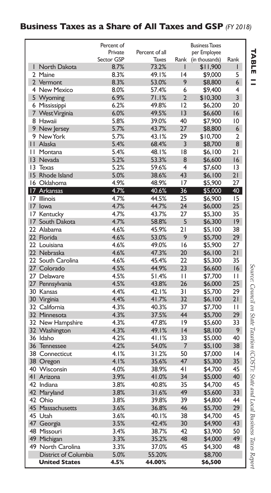#### **Business Taxes as a Share of All Taxes and GSP** *(FY 2018)*

|    |                      | Percent of |                |                         | <b>Business Taxes</b> |                 |
|----|----------------------|------------|----------------|-------------------------|-----------------------|-----------------|
|    |                      | Private    | Percent of all |                         | per Employee          |                 |
|    |                      | Sector GSP | <b>Taxes</b>   | Rank                    | (in thousands)        | Rank            |
|    | I North Dakota       | 8.7%       | 73.2%          | ı                       | \$11,900              | L               |
|    | 2 Maine              | 8.3%       | 49.1%          | 4                       | \$9,000               | 5               |
|    | 2 Vermont            | 8.3%       | 53.0%          | 9                       | \$8,800               | 6               |
|    | 4 New Mexico         | 8.0%       | 57.4%          | 6                       | \$9,400               | 4               |
|    | 5 Wyoming            | 6.9%       | 71.1%          | $\overline{2}$          | \$10,300              | 3               |
|    | 6 Mississippi        | 6.2%       | 49.8%          | 12                      | \$6,200               | 20              |
|    | 7 West Virginia      | 6.0%       | 49.5%          | 3                       | \$6,600               | 16              |
|    | 8 Hawaii             | 5.8%       | 39.0%          | 40                      | \$7,900               | $\overline{10}$ |
|    | 9 New Jersey         | 5.7%       | 43.7%          | 27                      | \$8,800               | 6               |
|    | 9 New York           | 5.7%       | 43.1%          | 29                      | \$10,700              | $\overline{2}$  |
|    | II Alaska            | 5.4%       | 68.4%          | 3                       | \$8,700               | 8               |
|    | II Montana           | 5.4%       | 48.1%          | 18                      | \$6,100               | 21              |
|    | 13 Nevada            | 5.2%       | 53.3%          | 8                       | \$6,600               | 16              |
|    | 13 Texas             | 5.2%       | 59.6%          | $\overline{\mathbf{4}}$ | \$7,600               | 13              |
|    | 15 Rhode Island      | 5.0%       | 38.6%          | 43                      | \$6,100               | 21              |
|    | 16 Oklahoma          | 4.9%       | 48.9%          | 17                      | \$5,900               | 27              |
|    | 17 Arkansas          | 4.7%       | 40.6%          | 36                      | \$5,000               | 40              |
|    | 17 Illinois          | 4.7%       | 44.5%          | 25                      | \$6,900               | 15              |
|    | 17 Iowa              | 4.7%       | 44.7%          | 24                      | \$6,000               | 25              |
| 17 | Kentucky             | 4.7%       | 43.7%          | 27                      | \$5,300               | 35              |
|    | 17 South Dakota      | 4.7%       | 58.8%          | 5                       | \$6,300               | 9               |
|    | 22 Alabama           | 4.6%       | 45.9%          | 21                      | \$5,100               | 38              |
|    | 22 Florida           | 4.6%       | 53.0%          | 9                       | \$5,700               | 29              |
|    | 22 Louisiana         | 4.6%       | 49.0%          | 16                      | \$5,900               | 27              |
|    | 22 Nebraska          | 4.6%       | 47.3%          | 20                      | \$6,100               | 21              |
|    | 22 South Carolina    | 4.6%       | 45.4%          | วว                      |                       | 35              |
|    | 27 Colorado          | 4.5%       | 44.9%          | 23                      | \$5,300               | 16              |
|    | 27 Delaware          | 4.5%       | 51.4%          | П                       | \$6,600               | П               |
|    |                      |            |                |                         | \$7,700               |                 |
|    | 27 Pennsylvania      | 4.5%       | 43.8%          | 26                      | \$6,000               | 25              |
|    | 30 Kansas            | 4.4%       | 42.1%          | $\overline{3}1$         | \$5,700               | 29              |
|    | 30 Virginia          | 4.4%       | 41.7%          | 32                      | \$6,100               | 21              |
|    | 32 California        | 4.3%       | 40.3%          | 37                      | \$7,700               | П               |
|    | 32 Minnesota         | 4.3%       | 37.5%          | 44                      | \$5,700               | 29              |
|    | 32 New Hampshire     | 4.3%       | 47.8%          | 9                       | \$5,600               | 33              |
|    | 32 Washington        | 4.3%       | 49.1%          | 4                       | \$8,100               | 9               |
|    | 36 Idaho             | 4.2%       | 41.1%          | 33                      | \$5,000               | 40              |
|    | 36 Tennessee         | 4.2%       | 54.0%          | $\overline{7}$          | \$5,100               | 38              |
|    | 38 Connecticut       | 4.1%       | 31.2%          | 50                      | \$7,000               | 4               |
|    | 38 Oregon            | 4.1%       | 35.6%          | 47                      | \$5,300               | 35              |
|    | 40 Wisconsin         | 4.0%       | 38.9%          | 41                      | \$4,700               | 45              |
|    | 41 Arizona           | 3.9%       | 41.0%          | 34                      | \$5,000               | 40              |
|    | 42 Indiana           | 3.8%       | 40.8%          | 35                      | \$4,700               | 45              |
|    | 42 Maryland          | 3.8%       | 31.6%          | 49                      | \$5,600               | 33              |
|    | 47 Ohio              | 3.8%       | 39.8%          | 39                      | \$4,800               | 44              |
|    | 45 Massachusetts     | 3.6%       | 36.8%          | 46                      | \$5,700               | 29              |
|    | 45 Utah              | 3.6%       | 40.1%          | 38                      | \$4,700               | 45              |
|    | 47 Georgia           | 3.5%       | 42.4%          | 30                      | \$4,900               | 43              |
|    | 48 Missouri          | 3.4%       | 38.7%          | 42                      | \$3,900               | 50              |
| 49 | Michigan             | 3.3%       | 35.2%          | 48                      | \$4,000               | 49              |
|    | 49 North Carolina    | 3.3%       | 37.0%          | 45                      | \$4,300               | 48              |
|    | District of Columbia | 5.0%       | 55.20%         |                         | \$8,700               |                 |
|    | <b>United States</b> | 4.5%       | 44.00%         |                         | \$6,500               |                 |

**TABLE** 

Source: Council on State Taxation (COST): State and Local Business Taxes Report *Source: Council on State Taxation (COST): State and Local Business Taxes Report*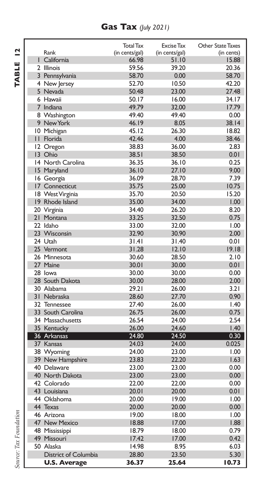### **Gas Tax** *(July 2021)*

|                      | <b>Total Tax</b> | <b>Excise Tax</b> | Other State Taxes |
|----------------------|------------------|-------------------|-------------------|
| Rank                 | (in cents/gal)   | (in cents/gal)    | (in cents)        |
| I California         | 66.98            | 51.10             | 15.88             |
| 2 Illinois           | 59.56            | 39.20             | 20.36             |
| 3 Pennsylvania       | 58.70            | 0.00              | 58.70             |
| 4 New Jersey         | 52.70            | 10.50             | 42.20             |
| 5 Nevada             | 50.48            | 23.00             | 27.48             |
| 6 Hawaii             | 50.17            | 16.00             | 34.17             |
| 7 Indiana            | 49.79            | 32.00             | 17.79             |
| 8 Washington         | 49.40            | 49.40             | 0.00              |
| 9 New York           | 46.19            | 8.05              | 38.14             |
| 10 Michigan          | 45.12            | 26.30             | 18.82             |
| II Florida           | 42.46            | 4.00              | 38.46             |
| 12 Oregon            | 38.83            | 36.00             | 2.83              |
| 13 Ohio              | 38.51            | 38.50             | 0.01              |
| 14 North Carolina    | 36.35            | 36.10             | 0.25              |
| 15 Maryland          | 36.10            | 27.10             | 9.00              |
| 16 Georgia           | 36.09            | 28.70             | 7.39              |
| 17 Connecticut       | 35.75            | 25.00             | 10.75             |
| 18 West Virginia     | 35.70            | 20.50             | 15.20             |
| 19 Rhode Island      | 35.00            | 34.00             | 1.00              |
| 20 Virginia          | 34.40            | 26.20             | 8.20              |
| 21 Montana           | 33.25            | 32.50             | 0.75              |
| 22 Idaho             | 33.00            | 32.00             | 1.00              |
| 23 Wisconsin         | 32.90            | 30.90             | 2.00              |
| 24 Utah              | 31.41            | 31.40             | 0.01              |
| 25 Vermont           | 31.28            | 12.10             | 19.18             |
| 26 Minnesota         | 30.60            | 28.50             | 2.10              |
| 27 Maine             | 30.01            | 30.00             | 0.01              |
| 28 lowa              | 30.00            | 30.00             | 0.00              |
| 28 South Dakota      | 30.00            | 28.00             | 2.00              |
| 30 Alabama           | 29.21            | 26.00             | 3.21              |
| 31 Nebraska          | 28.60            | 27.70             | 0.90              |
| 32 Tennessee         | 27.40            | 26.00             | 1.40              |
| 33 South Carolina    | 26.75            | 26.00             | 0.75              |
| 34 Massachusetts     | 26.54            | 24.00             | 2.54              |
| 35 Kentucky          | 26.00            | 24.60             | 1.40              |
| 36 Arkansas          | 24.80            | 24.50             | 0.30              |
| 37 Kansas            | 24.03            | 24.00             | 0.025             |
| 38 Wyoming           | 24.00            | 23.00             | 1.00              |
| 39 New Hampshire     | 23.83            | 22.20             | 1.63              |
| 40 Delaware          | 23.00            | 23.00             | 0.00              |
| 40 North Dakota      | 23.00            | 23.00             | 0.00              |
| 42 Colorado          | 22.00            | 22.00             | 0.00              |
| 43 Louisiana         | 20.01            | 20.00             | 0.01              |
| 44 Oklahoma          | 20.00            | 19.00             | 1.00              |
| 44 Texas             | 20.00            | 20.00             | 0.00              |
| 46 Arizona           | 19.00            | 18.00             | 1.00              |
| 47 New Mexico        | 18.88            | 17.00             | .88               |
| 48 Mississippi       | 18.79            | 18.00             | 0.79              |
| 49 Missouri          | 17.42            | 17.00             | 0.42              |
| 50 Alaska            | 14.98            | 8.95              | 6.03              |
| District of Columbia | 28.80            | 23.50             | 5.30              |
| <b>U.S. Average</b>  | 36.37            | 25.64             | 10.73             |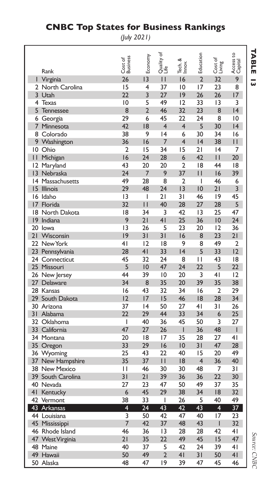|                       |                                         | ,                   | $-\cdots$       |                    |                        |                |                   |                      |
|-----------------------|-----------------------------------------|---------------------|-----------------|--------------------|------------------------|----------------|-------------------|----------------------|
|                       | Rank                                    | Cost of<br>Business | Economy         | Quality of<br>Life | త<br>Tech. &<br>Innov. | Education      | Cost of<br>Living | Access to<br>Capital |
| I                     | Virginia                                | 26                  | 3               | П                  | 16                     | $\overline{2}$ | 32                | 9                    |
| $\mathbf{2}$          | North Carolina                          | 15                  | 4               | 37                 | 10                     | 17             | 23                | 8                    |
| $\overline{3}$        | Utah                                    | 22                  | 3               | 27                 | 9                      | 26             | 26                | 17                   |
| 4                     | Texas                                   | $\overline{10}$     | 5               | 49                 | 12                     | 33             | 13                | 3                    |
| 5                     | <b>Tennessee</b>                        | 8                   | $\overline{2}$  | 46                 | 32                     | 23             | 8                 | 4                    |
| 6                     | Georgia                                 | 29                  | 6               | 45                 | 22                     | 24             | 8                 | 10                   |
| 7                     | Minnesota                               | 42                  | 18              | $\overline{4}$     | 4                      | 5              | 30                | 4                    |
| 8                     | Colorado                                | 38                  | 9               | 4                  | 6                      | 30             | 34                | 16                   |
| 9                     | Washington                              | 36                  | 16              | 7                  | 4                      | 4              | 38                | $\mathsf{I}$         |
| 10                    | Ohio                                    | $\overline{2}$      | 15              | 34                 | 15                     | 21             | 4                 | 7                    |
| $\mathsf{I}$          | Michigan                                | 16                  | 24              | 28                 | 6                      | 42             | П                 | 20                   |
| 12                    | Maryland                                | 43                  | 20              | 20                 | $\overline{2}$<br>37   | 18             | 44                | 18                   |
| $\overline{13}$<br> 4 | Nebraska<br>Massachusetts               | 24<br>49            | 7<br>28         | 9<br>8             | $\overline{2}$         | П<br>I         | 16<br>46          | 39<br>6              |
| 15                    | <b>Illinois</b>                         | 29                  | 48              | 24                 | 3                      | 10             | 21                | 3                    |
| 16                    | Idaho                                   | 13                  | I               | 21                 | 31                     | 46             | 19                | 45                   |
| 17                    | Florida                                 | 32                  | П               | 40                 | 28                     | 27             | 28                | 5                    |
| 18                    | North Dakota                            | 18                  | 34              | 3                  | 42                     | 13             | 25                | 47                   |
| 9                     | Indiana                                 | 9                   | 21              | 4 <sub>l</sub>     | 25                     | 36             | 10                | 24                   |
| 20                    | lowa                                    | 3                   | 26              | 5                  | 23                     | 20             | 12                | 36                   |
| 21                    | Wisconsin                               | 9                   | 31              | 31                 | 16                     | 8              | 23                | 2١                   |
| 22                    | New York                                | 4 <sub>1</sub>      | 12              | 18                 | 9                      | 8              | 49                | $\overline{2}$       |
| 23                    | Pennsylvania                            | 28                  | 4 <sub>1</sub>  | 33                 | 4                      | 5              | 33                | 12                   |
| 24                    | Connecticut                             | 45                  | 32              | 24                 | 8                      | $\mathbf{H}$   | 43                | 18                   |
| 25                    | Missouri                                | 5                   | $\overline{10}$ | 47                 | 24                     | 22             | 5                 | 22                   |
| 26                    | New Jersey                              | 44                  | 39              | 10                 | 20                     | 3              | 4 <sub>1</sub>    | 12                   |
| 27                    | Delaware                                | 34                  | 8<br>43         | 35                 | 20                     | 39             | 35                | 38                   |
| 28<br>29              | Kansas<br>South Dakota                  | 16<br>12            | 17              | 32<br>15           | 34<br>46               | 16<br> 8       | 2<br>28           | 29<br>34             |
| 30                    | Arizona                                 | 37                  | 4               | 50                 | 27                     | 4 <sub>1</sub> | 31                | 26                   |
| 31                    | Alabama                                 | 22                  | 29              | 44                 | 33                     | 34             | 6                 | 25                   |
| 32                    | Oklahoma                                | I                   | 40              | 36                 | 45                     | 50             | 3                 | 27                   |
| 33                    | California                              | 47                  | 27              | 26                 | Ī                      | 36             | 48                | ı                    |
|                       | 34 Montana                              | 20                  | 18              | 17                 | 35                     | 28             | 27                | 41                   |
| 35                    | Oregon                                  | 33                  | 29              | 16                 | 10                     | 31             | 47                | 28                   |
| 36                    | Wyoming                                 | 25                  | 43              | 22                 | 40                     | 15             | 20                | 49                   |
| 37                    | New Hampshire                           | 35                  | 37              | $\mathsf{I}$       | 8                      | 4              | 36                | 40                   |
| 38                    | <b>New Mexico</b>                       | $\mathbf{I}$        | 46              | 30                 | 30                     | 48             | 7                 | 31                   |
| 39                    | South Carolina                          | 31                  | 21              | 39                 | 36                     | 36             | 22                | 30                   |
| 40                    | Nevada                                  | 27                  | 23              | 47                 | 50                     | 49             | 37                | 35                   |
| 4 <sub>1</sub>        | Kentucky                                | 6                   | 45              | 29                 | 38                     | 34             | 8                 | 32                   |
|                       | 42 Vermont                              | 38                  | 33              | I                  | 26                     | 5              | 40                | 49                   |
| 43                    | Arkansas                                | 4                   | 24              | 43                 | 42                     | 43             | 4                 | 37                   |
|                       | 44 Louisiana                            | 3<br>7              | 50              | 42                 | 47                     | 40             | 17<br>Ī           | 23<br>32             |
|                       | 45 Mississippi                          | 46                  | 42<br>36        | 37<br>13           | 48<br>28               | 43<br>28       | 42                | 4 <sub>1</sub>       |
| 47                    | 46 Rhode Island<br><b>West Virginia</b> | 21                  | 35              | 22                 | 49                     | 45             | 15                | 47                   |
| 48                    | Maine                                   | 40                  | 37              | 5                  | 42                     | 24             | 39                | 4 <sub>1</sub>       |
| 49                    | Hawaii                                  | 50                  | 49              | $\overline{2}$     | 41                     | 31             | 50                | 4 <sub>1</sub>       |
|                       | 50 Alaska                               | 48                  | 47              | 19                 | 39                     | 47             | 45                | 46                   |
|                       |                                         |                     |                 |                    |                        |                |                   |                      |

### **CNBC Top States for Business Rankings**

*(July 2021)*

**TABLE TABLE 13** 

> Source: CNBC *Source: CNBC*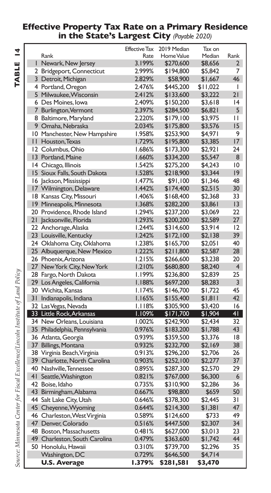#### **Effective Property Tax Rate on a Primary Residence in the State's Largest City** *(Payable 2020)*

|                               | <b>Effective Tax</b> | 2019 Median | Tax on   |                  |
|-------------------------------|----------------------|-------------|----------|------------------|
| Rank                          | Rate                 | Home Value  | Median   | Rank             |
| I Newark, New Jersey          | 3.199%               | \$270,600   | \$8,656  | $\overline{2}$   |
| 2 Bridgeport, Connecticut     | 2.999%               | \$194,800   | \$5,842  | 7                |
| 3 Detroit, Michigan           | 2.829%               | \$58,900    | \$1,667  | 46               |
| 4 Portland, Oregon            | 2.476%               | \$445,200   | \$11,022 | I                |
| 5 Milwaukee, Wisconsin        | 2.412%               | \$133,600   | \$3,222  | 21               |
| 6 Des Moines, Iowa            | 2.409%               | \$150,200   | \$3,618  | 14               |
| 7 Burlington, Vermont         | 2.397%               | \$284,500   | \$6,821  | 5                |
| 8 Baltimore, Maryland         | 2.220%               | \$179,100   | \$3,975  | П                |
| 9 Omaha, Nebraska             | 2.034%               | \$175,800   | \$3,576  | 15               |
| 10 Manchester, New Hampshire  | 1.958%               | \$253,900   | \$4,97 I | 9                |
| II Houston, Texas             | 1.729%               | \$195,800   | \$3,385  | 17               |
| 12 Columbus, Ohio             | 1.686%               | \$173,300   | \$2,921  | 24               |
| 13 Portland, Maine            | 1.660%               | \$334,200   | \$5,547  | 8                |
| 14 Chicago, Illinois          | 1.542%               | \$275,200   | \$4,243  | 10               |
| 15 Sioux Falls, South Dakota  | 1.528%               | \$218,900   | \$3,344  | 19               |
| 16 Jackson, Mississippi       | <b>I.477%</b>        | \$91,100    | \$1,346  | 48               |
| 17 Wilmington, Delaware       | <b>I.442%</b>        | \$174,400   | \$2,515  | 30               |
| 18 Kansas City, Missouri      | <b>1.406%</b>        | \$168,400   | \$2,368  | 33               |
| 19 Minneapolis, Minnesota     | 1.368%               | \$282,200   | \$3,861  | 3                |
| 20 Providence, Rhode Island   | 1.294%               | \$237,200   | \$3,069  | 22               |
| 21 Jacksonville, Florida      | 1.293%               | \$200,200   | \$2,589  | 27               |
| 22 Anchorage, Alaska          | 1.244%               | \$314,600   | \$3,914  | 12               |
| 23 Louisville, Kentucky       | 1.242%               | \$172,100   | \$2,138  | 39               |
| 24 Oklahoma City, Oklahoma    | 1.238%               | \$165,700   | \$2,051  | 40               |
| 25 Albuquerque, New Mexico    | 1.222%               | \$211,800   | \$2,587  | 28               |
| 26 Phoenix, Arizona           | 1.215%               | \$266,600   | \$3,238  | 20               |
| 27 New York City, New York    | 1.210%               | \$680,800   | \$8,240  | $\overline{4}$   |
| 28 Fargo, North Dakota        | I.199%               | \$236,800   | \$2,839  | 25               |
| 29 Los Angeles, California    | 1.188%               | \$697,200   | \$8,283  | 3                |
| 30 Wichita, Kansas            | 1.174%               | \$146,700   | \$1,722  | 45               |
| 31 Indianapolis, Indiana      | 1.165%               | \$155,400   | \$1,811  | 42               |
| 32 Las Vegas, Nevada          | <b>I.II8%</b>        | \$305,900   | \$3,420  | 16               |
| 33 Little Rock, Arkansas      | I.109%               | \$171,700   | \$1,904  | 41               |
| 34 New Orleans, Louisiana     | 1.002%               | \$242,900   | \$2,434  | 32               |
| 35 Philadelphia, Pennsylvania | 0.976%               | \$183,200   | \$1,788  | 43               |
| 36 Atlanta, Georgia           | 0.939%               | \$359,500   | \$3,376  | 18               |
| 37 Billings, Montana          | 0.932%               | \$232,700   | \$2,169  | 38               |
| 38 Virginia Beach, Virginia   | 0.913%               | \$296,200   | \$2,706  | 26               |
| 39 Charlotte, North Carolina  | 0.903%               | \$252,100   | \$2,277  | 37               |
| 40 Nashville, Tennessee       | 0.895%               |             |          | 29               |
|                               | 0.821%               | \$287,300   | \$2,570  | $6 \overline{6}$ |
| 41 Seattle, Washington        |                      | \$767,000   | \$6,300  |                  |
| 42 Boise, Idaho               | 0.735%               | \$310,900   | \$2,286  | 36<br>50         |
| 43 Birmingham, Alabama        | 0.667%               | \$98,800    | \$659    |                  |
| 44 Salt Lake City, Utah       | 0.646%               | \$378,300   | \$2,445  | 31               |
| 45 Cheyenne, Wyoming          | 0.644%               | \$214,300   | \$1,381  | 47               |
| 46 Charleston, West Virginia  | 0.589%               | \$124,600   | \$733    | 49<br>34         |
| 47 Denver, Colorado           | 0.516%               | \$447,500   | \$2,307  |                  |
| 48 Boston, Massachusetts      | 0.481%               | \$627,000   | \$3,013  | 23<br>44         |
| 49 Charleston, South Carolina | 0.479%               | \$363,600   | \$1,742  |                  |
| 50 Honolulu, Hawaii           | 0.310%               | \$739,700   | \$2,296  | 35               |
| Washington, DC                | 0.729%               | \$646,500   | \$4,714  |                  |
| <b>U.S. Average</b>           | 1.379%               | \$281,581   | \$3,470  |                  |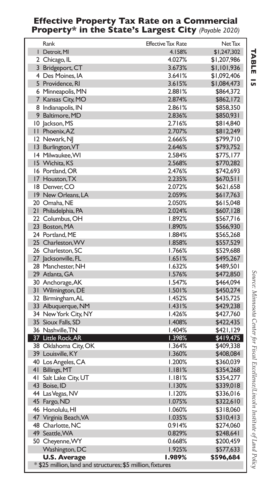#### **Effective Property Tax Rate on a Commercial Property\* in the State's Largest City** *(Payable 2020)*

| Rank                                                       | <b>Effective Tax Rate</b> | Net Tax     |
|------------------------------------------------------------|---------------------------|-------------|
| Detroit, MI                                                | 4.158%                    | \$1,247,302 |
| 2 Chicago, IL                                              | 4.027%                    | \$1,207,986 |
| 3 Bridgeport, CT                                           | 3.673%                    | \$1,101,936 |
| 4 Des Moines, IA                                           | 3.641%                    | \$1,092,406 |
| 5 Providence, RI                                           | 3.615%                    | \$1,084,473 |
| 6 Minneapolis, MN                                          | 2.881%                    | \$864,372   |
| 7 Kansas City, MO                                          | 2.874%                    | \$862,172   |
| 8 Indianapolis, IN                                         | 2.861%                    | \$858,350   |
| 9 Baltimore, MD                                            | 2.836%                    | \$850,931   |
| 10 Jackson, MS                                             | 2.716%                    | \$814,840   |
| II Phoenix, AZ                                             | 2.707%                    | \$812,249   |
| 12 Newark, NJ                                              | 2.666%                    | \$799,710   |
| 13 Burlington, VT                                          | 2.646%                    | \$793,752   |
| 14 Milwaukee, WI                                           | 2.584%                    | \$775,177   |
| 15 Wichita, KS                                             | 2.568%                    | \$770,282   |
| 16 Portland, OR                                            | 2.476%                    | \$742,693   |
| 17 Houston, TX                                             | 2.235%                    | \$670,511   |
| 18 Denver, CO                                              | 2.072%                    | \$621,658   |
| 19 New Orleans, LA                                         | 2.059%                    | \$617,763   |
| 20 Omaha, NE                                               | 2.050%                    | \$615,048   |
| 21 Philadelphia, PA                                        | 2.024%                    | \$607,128   |
| 22 Columbus, OH                                            | 1.892%                    | \$567,716   |
| 23 Boston, MA                                              | 1.890%                    | \$566,930   |
| 24 Portland, ME                                            | 1.884%                    | \$565,268   |
| 25 Charleston, WV                                          | 1.858%                    | \$557,529   |
| 26 Charleston, SC                                          | 1.766%                    | \$529,688   |
| 27 Jacksonville, FL                                        | 1.651%                    | \$495,267   |
| 28 Manchester, NH                                          | 1.632%                    | \$489,501   |
| 29 Atlanta, GA                                             | l.576%                    | \$472,850   |
| 30 Anchorage, AK                                           | 1.547%                    | \$464,094   |
| 31 Wilmington, DE                                          | 1.501%                    | \$450,274   |
| 32 Birmingham, AL                                          | <b>I.452%</b>             | \$435,725   |
| 33 Albuquerque, NM                                         | 1.431%                    | \$429,238   |
| 34 New York City, NY                                       | I.426%                    | \$427,760   |
| 35 Sioux Falls, SD                                         | 1.408%                    | \$422,435   |
| 36 Nashville, TN                                           | 1.404%                    | \$421,129   |
| 37 Little Rock, AR                                         | 1.398%                    | \$419,475   |
| 38 Oklahoma City, OK                                       | 1.364%                    | \$409,338   |
| 39 Louisville, KY                                          | 1.360%                    | \$408,084   |
| 40 Los Angeles, CA                                         | 1.200%                    | \$360,039   |
| 41 Billings, MT                                            | 1.181%                    | \$354,268   |
| 41 Salt Lake City, UT                                      | I.I8I%                    | \$354,277   |
| 43 Boise, ID                                               | I.I30%                    | \$339,018   |
| 44 Las Vegas, NV                                           | 1.120%                    | \$336,016   |
| 45 Fargo, ND                                               | 1.075%                    | \$322,610   |
| 46 Honolulu, HI                                            | 1.060%                    | \$318,060   |
| 47 Virginia Beach, VA                                      | 1.035%                    | \$310,413   |
| 48 Charlotte, NC                                           | 0.914%                    | \$274,060   |
| 49 Seattle, WA                                             | 0.829%                    | \$248,641   |
| 50 Cheyenne, WY                                            | 0.668%                    | \$200,459   |
| Washington, DC                                             | 1.925%                    | \$577,633   |
| <b>U.S. Average</b>                                        | 1.989%                    | \$596,684   |
| * \$25 million, land and structures; \$5 million, fixtures |                           |             |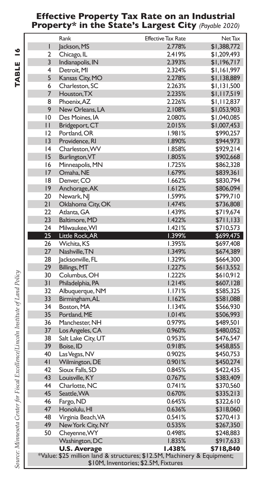#### **Effective Property Tax Rate on an Industrial Property\* in the State's Largest City** *(Payable 2020)*

 **TABLE**

|                | Rank                                                                                                            | <b>Effective Tax Rate</b> | Net Tax     |  |  |  |  |
|----------------|-----------------------------------------------------------------------------------------------------------------|---------------------------|-------------|--|--|--|--|
| T              | Jackson, MS                                                                                                     | 2.778%                    | \$1,388,772 |  |  |  |  |
| 2              | Chicago, IL                                                                                                     | 2.419%                    | \$1,209,493 |  |  |  |  |
| $\overline{3}$ |                                                                                                                 | 2.393%                    | \$1,196,717 |  |  |  |  |
| 4              | Indianapolis, IN                                                                                                | 2.324%                    |             |  |  |  |  |
|                | Detroit, MI                                                                                                     |                           | \$1,161,997 |  |  |  |  |
| 5              | Kansas City, MO                                                                                                 | 2.278%                    | \$1,138,889 |  |  |  |  |
| 6              | Charleston, SC                                                                                                  | 2.263%                    | \$1,131,500 |  |  |  |  |
| 7              | Houston, TX                                                                                                     | 2.235%                    | \$1,117,519 |  |  |  |  |
| 8              | Phoenix, AZ                                                                                                     | 2.226%                    | \$1,112,837 |  |  |  |  |
| 9              | New Orleans, LA                                                                                                 | 2.108%                    | \$1,053,903 |  |  |  |  |
| 10             | Des Moines, IA                                                                                                  | 2.080%                    | \$1,040,085 |  |  |  |  |
| $\mathbf{H}$   | Bridgeport, CT                                                                                                  | 2.015%                    | \$1,007,453 |  |  |  |  |
| 12             | Portland, OR                                                                                                    | 1.981%                    | \$990,257   |  |  |  |  |
| 3              | Providence, RI                                                                                                  | 1.890%                    | \$944,973   |  |  |  |  |
| 4              | Charleston, WV                                                                                                  | 1.858%                    | \$929,214   |  |  |  |  |
| 15             | Burlington, VT                                                                                                  | 1.805%                    | \$902,668   |  |  |  |  |
| 16             | Minneapolis, MN                                                                                                 | 1.725%                    | \$862,328   |  |  |  |  |
| 17             | Omaha, NE                                                                                                       | 1.679%                    | \$839,361   |  |  |  |  |
| 18             | Denver, CO                                                                                                      | 1.662%                    | \$830,794   |  |  |  |  |
| $ 9\rangle$    | Anchorage, AK                                                                                                   | 1.612%                    | \$806,094   |  |  |  |  |
| 20             | Newark, NJ                                                                                                      | 1.599%                    | \$799,710   |  |  |  |  |
| 21             | Oklahoma City, OK                                                                                               | 1.474%                    | \$736,808   |  |  |  |  |
| 22             | Atlanta, GA                                                                                                     | <b>1.439%</b>             | \$719,674   |  |  |  |  |
| 23             | Baltimore, MD                                                                                                   | 1.422%                    | \$711,133   |  |  |  |  |
| 24             | Milwaukee, WI                                                                                                   | 1.421%                    | \$710,573   |  |  |  |  |
| 25             | Little Rock, AR                                                                                                 | 1.399%                    | \$699,475   |  |  |  |  |
| 26             | Wichita, KS                                                                                                     | 1.395%                    | \$697,408   |  |  |  |  |
| 27             | Nashville, TN                                                                                                   | 1.349%                    | \$674,389   |  |  |  |  |
| 28             | Jacksonville, FL                                                                                                | 1.329%                    | \$664,300   |  |  |  |  |
| 29             | Billings, MT                                                                                                    | 1.227%                    | \$613,552   |  |  |  |  |
| 30             | Columbus, OH                                                                                                    | 1.222%                    | \$610,912   |  |  |  |  |
| 31             | Philadelphia, PA                                                                                                | 1.214%                    | \$607,128   |  |  |  |  |
| 32             | Albuquerque, NM                                                                                                 | 1.171%                    | \$585,325   |  |  |  |  |
| 33             | Birmingham, AL                                                                                                  | 1.162%                    | \$581,088   |  |  |  |  |
| 34             | Boston, MA                                                                                                      | 1.134%                    | \$566,930   |  |  |  |  |
| 35             | Portland, ME                                                                                                    | 1.014%                    | \$506,993   |  |  |  |  |
| 36             | Manchester, NH                                                                                                  | 0.979%                    | \$489,501   |  |  |  |  |
| 37             | Los Angeles, CA                                                                                                 | 0.960%                    | \$480,052   |  |  |  |  |
| 38             | Salt Lake City, UT                                                                                              | 0.953%                    | \$476,547   |  |  |  |  |
| 39             | Boise, ID                                                                                                       | 0.918%                    | \$458,855   |  |  |  |  |
| 40             | Las Vegas, NV                                                                                                   | 0.902%                    | \$450,753   |  |  |  |  |
| 4 <sub>1</sub> | Wilmington, DE                                                                                                  | 0.901%                    | \$450,274   |  |  |  |  |
| 42             | Sioux Falls, SD                                                                                                 | 0.845%                    | \$422,435   |  |  |  |  |
| 43             |                                                                                                                 | 0.767%                    |             |  |  |  |  |
| 44             | Louisville, KY<br>Charlotte, NC                                                                                 | 0.741%                    | \$383,409   |  |  |  |  |
| 45             |                                                                                                                 |                           | \$370,560   |  |  |  |  |
|                | Seattle, WA                                                                                                     | 0.670%                    | \$335,213   |  |  |  |  |
| 46             | Fargo, ND                                                                                                       | 0.645%                    | \$322,610   |  |  |  |  |
| 47             | Honolulu, HI                                                                                                    | 0.636%                    | \$318,060   |  |  |  |  |
| 48             | Virginia Beach, VA                                                                                              | 0.541%                    | \$270,413   |  |  |  |  |
| 49             | New York City, NY                                                                                               | 0.535%                    | \$267,350   |  |  |  |  |
| 50             | Cheyenne, WY                                                                                                    | 0.498%                    | \$248,883   |  |  |  |  |
|                | Washington, DC                                                                                                  | 1.835%                    | \$917,633   |  |  |  |  |
|                | <b>U.S. Average</b>                                                                                             | 1.438%                    | \$718,840   |  |  |  |  |
|                | *Value: \$25 million land & structures; \$12.5M, Machinery & Equipment;<br>\$10M, Inventories; \$2.5M, Fixtures |                           |             |  |  |  |  |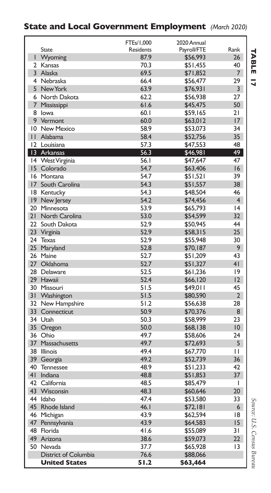### **State and Local Government Employment** *(March 2020)*

|                |                          | FTEs/1,000 | 2020 Annual |                 |
|----------------|--------------------------|------------|-------------|-----------------|
|                | State                    | Residents  | Payroll/FTE | Rank            |
| г              | Wyoming                  | 87.9       | \$56,993    | 26              |
|                | 2 Kansas                 | 70.3       | \$51,455    | 40              |
|                | 3 Alaska                 | 69.5       | \$71,852    | $7^{\circ}$     |
|                | 4 Nebraska               | 66.4       | \$56,477    | 29              |
|                | 5 New York               | 63.9       | \$76,931    | 3               |
|                | 6 North Dakota           | 62.2       | \$56,938    | 27              |
| $\overline{7}$ | Mississippi              | 61.6       | \$45,475    | 50              |
|                | 8 lowa                   | 60.1       | \$59,165    | 21              |
|                | 9 Vermont                | 60.0       | \$63,012    | 17              |
|                | 10 New Mexico            | 58.9       | \$53,073    | 34              |
| $\mathbf{H}$   | Alabama                  | 58.4       | \$52,756    | 35              |
|                | 12 Louisiana             | 57.3       | \$47,553    | 48              |
|                | 13 Arkansas              | 56.3       | \$46,981    | 49              |
| 14             | West Virginia            | 56.I       | \$47,647    | 47              |
|                | 15 Colorado              | 54.7       | \$63,406    | 16              |
|                | 16 Montana               | 54.7       | \$51,521    | 39              |
|                | 17 South Carolina        | 54.3       | \$51,557    | 38              |
|                | 18 Kentucky              | 54.3       | \$48,504    | 46              |
|                | 19 New Jersey            | 54.2       | \$74,456    | $\overline{4}$  |
|                | 20 Minnesota             | 53.9       | \$65,793    | 4               |
| 21             | North Carolina           | 53.0       | \$54,599    | 32 <sub>2</sub> |
|                | 22 South Dakota          | 52.9       | \$50,945    | 44              |
|                | 23 Virginia              | 52.9       | \$58,315    | 25              |
|                | 24 Texas                 | 52.9       | \$55,948    | 30              |
|                | 25 Maryland              | 52.8       | \$70,187    | 9               |
|                | 26 Maine                 | 52.7       | \$51,209    | 43              |
|                | 27 Oklahoma              | 52.7       | \$51,327    | 41              |
|                | 28 Delaware              | 52.5       | \$61,236    | 9               |
|                | 29 Hawaii                | 52.4       | \$66,120    | 12              |
|                | 30 Missouri              | 51.5       | \$49,011    | 45              |
| 31             | Washington               | 51.5       | \$80,590    | $\overline{2}$  |
|                | 32 New Hampshire         | 51.2       | \$56,638    | 28              |
|                | 33 Connecticut           | 50.9       | \$70,376    | 8               |
|                | 34 Utah                  | 50.3       | \$58,999    | 23              |
|                | 35 Oregon                | 50.0       | \$68,138    | 10              |
|                | 36 Ohio                  | 49.7       | \$58,606    | 24              |
| 37             | Massachusetts            | 49.7       | \$72,693    | 5               |
|                | 38 Illinois              | 49.4       | \$67,770    | П               |
|                |                          | 49.2       |             | 36              |
| 40             | 39 Georgia<br>Tennessee  | 48.9       | \$52,739    | 42              |
| 41             |                          | 48.8       | \$51,233    | 37              |
|                | Indiana<br>42 California | 48.5       | \$51,853    | $\overline{1}$  |
|                |                          |            | \$85,479    |                 |
|                | 43 Wisconsin             | 48.3       | \$60,646    | 20              |
|                | 44 Idaho                 | 47.4       | \$53,580    | 33              |
| 45             | Rhode Island             | 46.1       | \$72,181    | 6               |
|                | 46 Michigan              | 43.9       | \$62,594    | 18              |
|                | 47 Pennsylvania          | 43.9       | \$64,583    | 15              |
|                | 48 Florida               | 41.6       | \$55,089    | $\overline{3}1$ |
|                | 49 Arizona               | 38.6       | \$59,073    | $22 \,$         |
|                | 50 Nevada                | 37.7       | \$65,928    | 13              |
|                | District of Columbia     | 76.6       | \$88,066    |                 |
|                | <b>United States</b>     | 51.2       | \$63,464    |                 |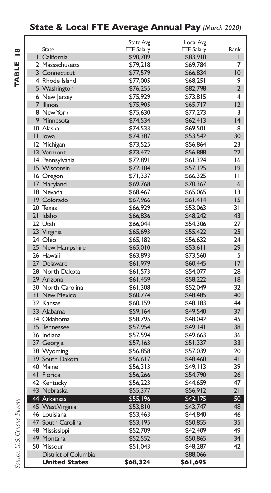### **State & Local FTE Average Annual Pay** *(March 2020)*

|                      | <b>State Avg</b>  | Local Avg         |                |
|----------------------|-------------------|-------------------|----------------|
| <b>State</b>         | <b>FTE Salary</b> | <b>FTE Salary</b> | Rank           |
| I California         | \$90,709          | \$83,910          | L              |
| 2 Massachusetts      | \$79,218          | \$69,784          | 7              |
| 3 Connecticut        | \$77,579          | \$66,834          | 10             |
| 4 Rhode Island       | \$77,005          | \$68,251          | 9              |
| 5 Washington         | \$76,255          | \$82,798          | $\overline{2}$ |
| 6 New Jersey         | \$75,929          | \$73,815          | 4              |
| 7 Illinois           | \$75,905          | \$65,717          | 12             |
| 8 New York           | \$75,630          | \$77,273          | 3              |
| 9 Minnesota          | \$74,534          | \$62,413          | 4              |
| 10 Alaska            | \$74,533          | \$69,501          | 8              |
| II lowa              | \$74,387          | \$53,542          | 30             |
| 12 Michigan          | \$73,525          | \$56,864          | 23             |
| 13 Vermont           | \$73,472          | \$56,888          | $22 \,$        |
| 14 Pennsylvania      | \$72,891          | \$61,324          | 16             |
| 15 Wisconsin         | \$72,104          | \$57,125          | $ 9\rangle$    |
| 16 Oregon            | \$71,337          | \$66,325          | П              |
| 17 Maryland          | \$69,768          | \$70,367          | 6              |
| 18 Nevada            | \$68,467          | \$65,065          | 13             |
| 19 Colorado          | \$67,966          | \$61,414          | 15             |
| 20 Texas             | \$66,929          | \$53,063          | 31             |
| 21 Idaho             | \$66,836          | \$48,242          | 43             |
| 22 Utah              | \$66,044          | \$54,306          | 27             |
| 23 Virginia          | \$65,693          | \$55,422          | 25             |
| 24 Ohio              | \$65,182          | \$56,632          | 24             |
| 25 New Hampshire     | \$65,010          | \$53,611          | 29             |
| 26 Hawaii            | \$63.893          | \$73,560          | 5              |
| 27 Delaware          | \$61,979          | \$60,445          | 17             |
| 28 North Dakota      | \$61,573          | \$54,077          | 28             |
| 29 Arizona           | \$61,459          | \$58,222          | 8              |
| 30 North Carolina    | \$61,308          | \$52,049          | 32             |
| 31 New Mexico        | \$60,774          | \$48,485          | 40             |
| 32 Kansas            | \$60,159          | \$48.183          | 44             |
| 33 Alabama           | \$59,164          | \$49,540          | 37             |
| 34 Oklahoma          | \$58,795          | \$48,042          | 45             |
| 35 Tennessee         | \$57,954          | \$49,141          | 38             |
| 36 Indiana           | \$57,594          | \$49,663          | 36             |
| 37 Georgia           | \$57,163          | \$51,337          | 33             |
| 38 Wyoming           | \$56,858          | \$57,039          | 20             |
| 39 South Dakota      | \$56,617          | \$48,460          | 4 <sub>1</sub> |
| 40 Maine             | \$56,313          | \$49,113          | 39             |
| 41 Florida           | \$56,266          | \$54,790          | 26             |
| 42 Kentucky          | \$56,223          | \$44,659          | 47             |
| 43 Nebraska          | \$55,377          | \$56,912          | 21             |
| 44 Arkansas          | \$55,196          | \$42,175          | 50             |
| 45 West Virginia     | \$53,810          | \$43,747          | 48             |
| 46 Louisiana         | \$53,463          | \$44,840          | 46             |
| 47 South Carolina    | \$53,195          | \$50,855          | 35             |
| 48 Mississippi       | \$52,709          | \$42,409          | 49             |
| 49 Montana           | \$52,552          | \$50,865          | 34             |
| 50 Missouri          | \$51,043          | \$48,287          | 42             |
| District of Columbia |                   | \$88,066          |                |
| <b>United States</b> | \$68,324          | \$61,695          |                |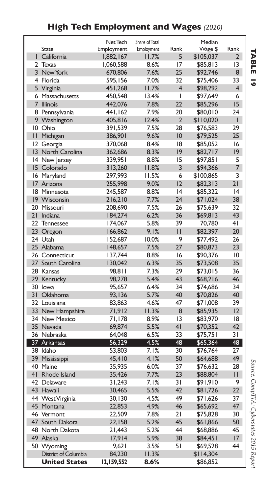### **High Tech Employment and Wages** *(2020)*

|                |                      | Net Tech   | Share of Total |                 | Median    |                |
|----------------|----------------------|------------|----------------|-----------------|-----------|----------------|
|                | State                | Employment | Employment     | Rank            | Wage \$   | Rank           |
|                | California           | 1,882,167  | 11.7%          | 5               | \$105,037 | $\overline{2}$ |
| $\overline{2}$ | <b>Texas</b>         | 1,060,588  | 8.6%           | 17              | \$85,813  | 3              |
|                | 3 New York           | 670,806    | 7.6%           | 25              | \$92,746  | 8              |
|                | 4 Florida            | 595,156    | 7.0%           | 32              | \$75,406  | 33             |
|                | 5 Virginia           | 451,268    | 11.7%          | 4               | \$98,292  | $\overline{4}$ |
|                | 6 Massachusetts      | 450,548    | 13.4%          | T               | \$97,649  | 6              |
| $\overline{7}$ | <b>Illinois</b>      | 442,076    | 7.8%           | 22              | \$85,296  | 15             |
|                | 8 Pennsylvania       | 441,162    | 7.9%           | 20              | \$80,010  | 24             |
|                | 9 Washington         | 405,816    | 12.4%          | $\overline{2}$  | \$110,020 | T              |
|                | 10 Ohio              | 391,539    | 7.5%           | 28              | \$76,583  | 29             |
| П              | Michigan             | 386,901    | 9.6%           | 10              | \$79,525  | 25             |
| 12             | Georgia              | 370,068    | 8.4%           | 18              | \$85,052  | 16             |
| $\overline{3}$ | North Carolina       | 362,686    | 8.3%           | 9               | \$82,717  | 9              |
| 14             | New Jersey           | 339,95 I   | 8.8%           | 15              | \$97,851  | 5              |
|                | 15 Colorado          | 313,260    | 11.8%          | 3               | \$94,366  | 7              |
|                | 16 Maryland          | 297,993    | 11.5%          | 6               | \$100,865 | 3              |
|                | 17 Arizona           | 255,998    | 9.0%           | 12              | \$82,313  | 21             |
|                | 18 Minnesota         | 245,587    | 8.8%           | 4               | \$85,322  | 4              |
|                | 19 Wisconsin         | 216,210    | 7.7%           | 24              | \$71,024  | 38             |
|                | 20 Missouri          | 208,690    | 7.5%           | 26              | \$75,639  | 32             |
| 21             | Indiana              | 184,274    | 6.2%           | 36              | \$69,813  | 43             |
| 22             | <b>Tennessee</b>     | 174,067    | 5.8%           | 39              | 70,780    | 4 <sub>1</sub> |
| $23 -$         | Oregon               | 166,862    | 9.1%           | $\mathsf{I}$    | \$82,397  | 20             |
|                | 24 Utah              | 152,687    | 10.0%          | 9               | \$77,492  | 26             |
|                | 25 Alabama           | 148,657    | 7.5%           | 27              | \$80,873  | 23             |
|                | 26 Connecticut       | 137,744    | 8.8%           | 16              | \$90,376  | 10             |
| 27             | South Carolina       | 130,042    | 6.3%           | 35              | \$73,508  | 35             |
|                | 28 Kansas            | 98.811     | 7.3%           | 29              | \$73,015  | 36             |
|                | 29 Kentucky          | 98,278     | 5.4%           | 43              | \$68,216  | 46             |
|                | 30 lowa              | 95,657     | 6.4%           | 34              | \$74,686  | 34             |
| 31             | Oklahoma             | 93,136     | 5.7%           | 40              | \$70,826  | 40             |
|                | 32 Louisiana         | 83.863     | 4.6%           | 47              | \$71,008  | 39             |
|                | 33 New Hampshire     | 71,912     | 11.3%          | 8               | \$85,935  | 12             |
|                | 34 New Mexico        | 71.178     | 8.9%           | 13              | \$83,970  | 18             |
|                | 35 Nevada            | 69,874     | 5.5%           | 41              | \$70,352  | 42             |
|                | 36 Nebraska          | 64,048     | 6.5%           | 33              | \$75,751  | 31             |
|                | 37 Arkansas          | 56,329     | 4.5%           | 48              | \$65,364  | 48             |
|                | 38 Idaho             | 53,803     | 7.1%           | 30              | \$76,764  | 27             |
| 39             | Mississippi          | 45,410     | 4.1%           | 50              | \$64,688  | 49             |
|                | 40 Maine             | 35,935     | 6.0%           | 37              | \$76,632  | 28             |
|                | 41 Rhode Island      | 35,426     | 7.7%           | 23              | \$88,804  | П              |
|                | 42 Delaware          | 31,243     | 7.1%           | $\overline{3}1$ | \$91,910  | 9              |
| 43             | Hawaii               | 30,465     | 5.5%           | 42              | \$81,726  | 22             |
|                | 44 WestVirginia      | 30,130     | 4.5%           | 49              | \$71,626  | 37             |
|                | 45 Montana           | 22,853     | 4.9%           | 46              | \$65,692  | 47             |
|                | 46 Vermont           | 22,509     | 7.8%           | 21              | \$75,828  | 30             |
|                | 47 South Dakota      | 22,158     | 5.2%           | 45              | \$61,866  | 50             |
|                | 48 North Dakota      | 21,443     | 5.2%           | 44              | \$68,886  | 45             |
|                | 49 Alaska            | 17,914     | 5.9%           | 38              | \$84,451  | 17             |
|                | 50 Wyoming           | 9,621      | 3.5%           | 51              | \$69,528  | 44             |
|                | District of Columbia | 84,230     | 11.3%          |                 | \$114,304 |                |
|                | <b>United States</b> | 12,159,552 | 8.6%           |                 | \$86,852  |                |
|                |                      |            |                |                 |           |                |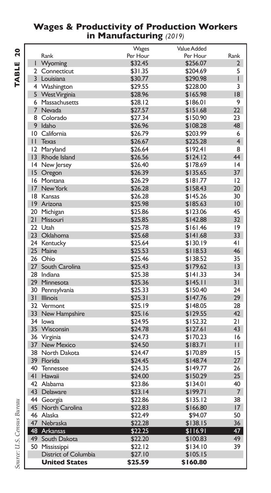#### **Wages & Productivity of Production Workers in Manufacturing** *(2019)*

| <b>Value Added</b><br>Wages<br>Per Hour<br>Rank<br>Rank<br>Per Hour<br>T<br>Wyoming<br>\$32.45<br>\$256.07<br>2<br>2 Connecticut<br>\$31.35<br>\$204.69<br>5<br>3 Louisiana<br>\$30.77<br>\$290.98<br>I<br>4 Washington<br>\$29.55<br>\$228.00<br>3<br>18<br>5 West Virginia<br>\$165.98<br>\$28.96<br>9<br>6 Massachusetts<br>\$28.12<br>\$186.01<br>7 Nevada<br>22<br>\$27.57<br>\$151.68<br>8<br>Colorado<br>\$27.34<br>\$150.90<br>23<br>9 Idaho<br>48<br>\$26.96<br>\$108.28<br>10 California<br>\$26.79<br>\$203.99<br>6<br>4<br>II Texas<br>\$26.67<br>\$225.28<br>12 Maryland<br>\$26.64<br>\$192.41<br>8<br>44<br>$ 3\rangle$<br>Rhode Island<br>\$26.56<br>\$124.12<br>14 New Jersey<br>\$26.40<br>\$178.69<br> 4<br>37<br>15 Oregon<br>\$26.39<br>\$135.65<br>16 Montana<br>12<br>\$26.29<br>\$181.77<br>17<br>New York<br>\$26.28<br>\$158.43<br>20<br>18 Kansas<br>30<br>\$26.28<br>\$145.26<br>19 Arizona<br>10<br>\$25.98<br>\$185.63<br>45<br>20 Michigan<br>\$25.86<br>\$123.06<br>21<br>32<br>Missouri<br>\$25.85<br>\$142.88<br>22 Utah<br> 9<br>\$25.78<br>\$161.46<br>23 Oklahoma<br>33<br>\$25.68<br>\$141.68<br>24 Kentucky<br>4 <sub>1</sub><br>\$25.64<br>\$130.19<br>25 Maine<br>\$25.53<br>\$118.53<br>46<br>26 Ohio<br>35<br>\$25.46<br>\$138.52<br>27 South Carolina<br>\$25.43<br>\$179.62<br> 3<br>28 Indiana<br>34<br>\$25.38<br>\$141.33<br>31<br>29<br>Minnesota<br>\$25.36<br>\$145.11<br>24<br>30 Pennsylvania<br>\$25.33<br>\$150.40<br>31<br>29<br><b>Illinois</b><br>\$25.31<br>\$147.76<br>32 Vermont<br>\$25.19<br>28<br>\$148.05<br>33 New Hampshire<br>\$25.16<br>\$129.55<br>42<br>21<br>34 lowa<br>\$152.32<br>\$24.95<br>35 Wisconsin<br>43<br>\$24.78<br>\$127.61<br>36<br>16<br>Virginia<br>\$24.73<br>\$170.23<br>37<br><b>New Mexico</b><br>\$24.50<br>\$183.71<br>П<br>38 North Dakota<br>15<br>\$24.47<br>\$170.89<br>39 Florida<br>\$24.45<br>27<br>\$148.74<br>40<br>26<br>\$24.35<br>\$149.77<br><b>Tennessee</b><br>41<br>25<br>Hawaii<br>\$24.00<br>\$150.29<br>42 Alabama<br>40<br>\$23.86<br>\$134.01<br>43 Delaware<br>$\overline{7}$<br>\$23.14<br>\$199.71<br>44 Georgia<br>38<br>\$22.86<br>\$135.12<br>45<br>North Carolina<br>\$22.83<br>17<br>\$166.80<br>50<br>46 Alaska<br>\$22.49<br>\$94.07<br>47 Nebraska<br>\$22.28<br>36<br>\$138.15<br>48 Arkansas<br>47<br>\$22.25<br>\$116.91<br>49<br>49<br>South Dakota<br>\$22.20<br>\$100.83<br>50<br>39<br>Mississippi<br>\$22.12<br>\$134.10<br>District of Columbia<br>\$27.10<br>\$105.15<br><b>United States</b><br>\$25.59<br>\$160.80 |  |  |  |
|--------------------------------------------------------------------------------------------------------------------------------------------------------------------------------------------------------------------------------------------------------------------------------------------------------------------------------------------------------------------------------------------------------------------------------------------------------------------------------------------------------------------------------------------------------------------------------------------------------------------------------------------------------------------------------------------------------------------------------------------------------------------------------------------------------------------------------------------------------------------------------------------------------------------------------------------------------------------------------------------------------------------------------------------------------------------------------------------------------------------------------------------------------------------------------------------------------------------------------------------------------------------------------------------------------------------------------------------------------------------------------------------------------------------------------------------------------------------------------------------------------------------------------------------------------------------------------------------------------------------------------------------------------------------------------------------------------------------------------------------------------------------------------------------------------------------------------------------------------------------------------------------------------------------------------------------------------------------------------------------------------------------------------------------------------------------------------------------------------------------------------------------------------------------------------------------------------------------------------------------------------------------------------------------------------------------------------------------------------------------------------------------------------------------------------------------------------------------------------------------------------------------------------------------------------------|--|--|--|
|                                                                                                                                                                                                                                                                                                                                                                                                                                                                                                                                                                                                                                                                                                                                                                                                                                                                                                                                                                                                                                                                                                                                                                                                                                                                                                                                                                                                                                                                                                                                                                                                                                                                                                                                                                                                                                                                                                                                                                                                                                                                                                                                                                                                                                                                                                                                                                                                                                                                                                                                                              |  |  |  |
|                                                                                                                                                                                                                                                                                                                                                                                                                                                                                                                                                                                                                                                                                                                                                                                                                                                                                                                                                                                                                                                                                                                                                                                                                                                                                                                                                                                                                                                                                                                                                                                                                                                                                                                                                                                                                                                                                                                                                                                                                                                                                                                                                                                                                                                                                                                                                                                                                                                                                                                                                              |  |  |  |
|                                                                                                                                                                                                                                                                                                                                                                                                                                                                                                                                                                                                                                                                                                                                                                                                                                                                                                                                                                                                                                                                                                                                                                                                                                                                                                                                                                                                                                                                                                                                                                                                                                                                                                                                                                                                                                                                                                                                                                                                                                                                                                                                                                                                                                                                                                                                                                                                                                                                                                                                                              |  |  |  |
|                                                                                                                                                                                                                                                                                                                                                                                                                                                                                                                                                                                                                                                                                                                                                                                                                                                                                                                                                                                                                                                                                                                                                                                                                                                                                                                                                                                                                                                                                                                                                                                                                                                                                                                                                                                                                                                                                                                                                                                                                                                                                                                                                                                                                                                                                                                                                                                                                                                                                                                                                              |  |  |  |
|                                                                                                                                                                                                                                                                                                                                                                                                                                                                                                                                                                                                                                                                                                                                                                                                                                                                                                                                                                                                                                                                                                                                                                                                                                                                                                                                                                                                                                                                                                                                                                                                                                                                                                                                                                                                                                                                                                                                                                                                                                                                                                                                                                                                                                                                                                                                                                                                                                                                                                                                                              |  |  |  |
|                                                                                                                                                                                                                                                                                                                                                                                                                                                                                                                                                                                                                                                                                                                                                                                                                                                                                                                                                                                                                                                                                                                                                                                                                                                                                                                                                                                                                                                                                                                                                                                                                                                                                                                                                                                                                                                                                                                                                                                                                                                                                                                                                                                                                                                                                                                                                                                                                                                                                                                                                              |  |  |  |
|                                                                                                                                                                                                                                                                                                                                                                                                                                                                                                                                                                                                                                                                                                                                                                                                                                                                                                                                                                                                                                                                                                                                                                                                                                                                                                                                                                                                                                                                                                                                                                                                                                                                                                                                                                                                                                                                                                                                                                                                                                                                                                                                                                                                                                                                                                                                                                                                                                                                                                                                                              |  |  |  |
|                                                                                                                                                                                                                                                                                                                                                                                                                                                                                                                                                                                                                                                                                                                                                                                                                                                                                                                                                                                                                                                                                                                                                                                                                                                                                                                                                                                                                                                                                                                                                                                                                                                                                                                                                                                                                                                                                                                                                                                                                                                                                                                                                                                                                                                                                                                                                                                                                                                                                                                                                              |  |  |  |
|                                                                                                                                                                                                                                                                                                                                                                                                                                                                                                                                                                                                                                                                                                                                                                                                                                                                                                                                                                                                                                                                                                                                                                                                                                                                                                                                                                                                                                                                                                                                                                                                                                                                                                                                                                                                                                                                                                                                                                                                                                                                                                                                                                                                                                                                                                                                                                                                                                                                                                                                                              |  |  |  |
|                                                                                                                                                                                                                                                                                                                                                                                                                                                                                                                                                                                                                                                                                                                                                                                                                                                                                                                                                                                                                                                                                                                                                                                                                                                                                                                                                                                                                                                                                                                                                                                                                                                                                                                                                                                                                                                                                                                                                                                                                                                                                                                                                                                                                                                                                                                                                                                                                                                                                                                                                              |  |  |  |
|                                                                                                                                                                                                                                                                                                                                                                                                                                                                                                                                                                                                                                                                                                                                                                                                                                                                                                                                                                                                                                                                                                                                                                                                                                                                                                                                                                                                                                                                                                                                                                                                                                                                                                                                                                                                                                                                                                                                                                                                                                                                                                                                                                                                                                                                                                                                                                                                                                                                                                                                                              |  |  |  |
|                                                                                                                                                                                                                                                                                                                                                                                                                                                                                                                                                                                                                                                                                                                                                                                                                                                                                                                                                                                                                                                                                                                                                                                                                                                                                                                                                                                                                                                                                                                                                                                                                                                                                                                                                                                                                                                                                                                                                                                                                                                                                                                                                                                                                                                                                                                                                                                                                                                                                                                                                              |  |  |  |
|                                                                                                                                                                                                                                                                                                                                                                                                                                                                                                                                                                                                                                                                                                                                                                                                                                                                                                                                                                                                                                                                                                                                                                                                                                                                                                                                                                                                                                                                                                                                                                                                                                                                                                                                                                                                                                                                                                                                                                                                                                                                                                                                                                                                                                                                                                                                                                                                                                                                                                                                                              |  |  |  |
|                                                                                                                                                                                                                                                                                                                                                                                                                                                                                                                                                                                                                                                                                                                                                                                                                                                                                                                                                                                                                                                                                                                                                                                                                                                                                                                                                                                                                                                                                                                                                                                                                                                                                                                                                                                                                                                                                                                                                                                                                                                                                                                                                                                                                                                                                                                                                                                                                                                                                                                                                              |  |  |  |
|                                                                                                                                                                                                                                                                                                                                                                                                                                                                                                                                                                                                                                                                                                                                                                                                                                                                                                                                                                                                                                                                                                                                                                                                                                                                                                                                                                                                                                                                                                                                                                                                                                                                                                                                                                                                                                                                                                                                                                                                                                                                                                                                                                                                                                                                                                                                                                                                                                                                                                                                                              |  |  |  |
|                                                                                                                                                                                                                                                                                                                                                                                                                                                                                                                                                                                                                                                                                                                                                                                                                                                                                                                                                                                                                                                                                                                                                                                                                                                                                                                                                                                                                                                                                                                                                                                                                                                                                                                                                                                                                                                                                                                                                                                                                                                                                                                                                                                                                                                                                                                                                                                                                                                                                                                                                              |  |  |  |
|                                                                                                                                                                                                                                                                                                                                                                                                                                                                                                                                                                                                                                                                                                                                                                                                                                                                                                                                                                                                                                                                                                                                                                                                                                                                                                                                                                                                                                                                                                                                                                                                                                                                                                                                                                                                                                                                                                                                                                                                                                                                                                                                                                                                                                                                                                                                                                                                                                                                                                                                                              |  |  |  |
|                                                                                                                                                                                                                                                                                                                                                                                                                                                                                                                                                                                                                                                                                                                                                                                                                                                                                                                                                                                                                                                                                                                                                                                                                                                                                                                                                                                                                                                                                                                                                                                                                                                                                                                                                                                                                                                                                                                                                                                                                                                                                                                                                                                                                                                                                                                                                                                                                                                                                                                                                              |  |  |  |
|                                                                                                                                                                                                                                                                                                                                                                                                                                                                                                                                                                                                                                                                                                                                                                                                                                                                                                                                                                                                                                                                                                                                                                                                                                                                                                                                                                                                                                                                                                                                                                                                                                                                                                                                                                                                                                                                                                                                                                                                                                                                                                                                                                                                                                                                                                                                                                                                                                                                                                                                                              |  |  |  |
|                                                                                                                                                                                                                                                                                                                                                                                                                                                                                                                                                                                                                                                                                                                                                                                                                                                                                                                                                                                                                                                                                                                                                                                                                                                                                                                                                                                                                                                                                                                                                                                                                                                                                                                                                                                                                                                                                                                                                                                                                                                                                                                                                                                                                                                                                                                                                                                                                                                                                                                                                              |  |  |  |
|                                                                                                                                                                                                                                                                                                                                                                                                                                                                                                                                                                                                                                                                                                                                                                                                                                                                                                                                                                                                                                                                                                                                                                                                                                                                                                                                                                                                                                                                                                                                                                                                                                                                                                                                                                                                                                                                                                                                                                                                                                                                                                                                                                                                                                                                                                                                                                                                                                                                                                                                                              |  |  |  |
|                                                                                                                                                                                                                                                                                                                                                                                                                                                                                                                                                                                                                                                                                                                                                                                                                                                                                                                                                                                                                                                                                                                                                                                                                                                                                                                                                                                                                                                                                                                                                                                                                                                                                                                                                                                                                                                                                                                                                                                                                                                                                                                                                                                                                                                                                                                                                                                                                                                                                                                                                              |  |  |  |
|                                                                                                                                                                                                                                                                                                                                                                                                                                                                                                                                                                                                                                                                                                                                                                                                                                                                                                                                                                                                                                                                                                                                                                                                                                                                                                                                                                                                                                                                                                                                                                                                                                                                                                                                                                                                                                                                                                                                                                                                                                                                                                                                                                                                                                                                                                                                                                                                                                                                                                                                                              |  |  |  |
|                                                                                                                                                                                                                                                                                                                                                                                                                                                                                                                                                                                                                                                                                                                                                                                                                                                                                                                                                                                                                                                                                                                                                                                                                                                                                                                                                                                                                                                                                                                                                                                                                                                                                                                                                                                                                                                                                                                                                                                                                                                                                                                                                                                                                                                                                                                                                                                                                                                                                                                                                              |  |  |  |
|                                                                                                                                                                                                                                                                                                                                                                                                                                                                                                                                                                                                                                                                                                                                                                                                                                                                                                                                                                                                                                                                                                                                                                                                                                                                                                                                                                                                                                                                                                                                                                                                                                                                                                                                                                                                                                                                                                                                                                                                                                                                                                                                                                                                                                                                                                                                                                                                                                                                                                                                                              |  |  |  |
|                                                                                                                                                                                                                                                                                                                                                                                                                                                                                                                                                                                                                                                                                                                                                                                                                                                                                                                                                                                                                                                                                                                                                                                                                                                                                                                                                                                                                                                                                                                                                                                                                                                                                                                                                                                                                                                                                                                                                                                                                                                                                                                                                                                                                                                                                                                                                                                                                                                                                                                                                              |  |  |  |
|                                                                                                                                                                                                                                                                                                                                                                                                                                                                                                                                                                                                                                                                                                                                                                                                                                                                                                                                                                                                                                                                                                                                                                                                                                                                                                                                                                                                                                                                                                                                                                                                                                                                                                                                                                                                                                                                                                                                                                                                                                                                                                                                                                                                                                                                                                                                                                                                                                                                                                                                                              |  |  |  |
|                                                                                                                                                                                                                                                                                                                                                                                                                                                                                                                                                                                                                                                                                                                                                                                                                                                                                                                                                                                                                                                                                                                                                                                                                                                                                                                                                                                                                                                                                                                                                                                                                                                                                                                                                                                                                                                                                                                                                                                                                                                                                                                                                                                                                                                                                                                                                                                                                                                                                                                                                              |  |  |  |
|                                                                                                                                                                                                                                                                                                                                                                                                                                                                                                                                                                                                                                                                                                                                                                                                                                                                                                                                                                                                                                                                                                                                                                                                                                                                                                                                                                                                                                                                                                                                                                                                                                                                                                                                                                                                                                                                                                                                                                                                                                                                                                                                                                                                                                                                                                                                                                                                                                                                                                                                                              |  |  |  |
|                                                                                                                                                                                                                                                                                                                                                                                                                                                                                                                                                                                                                                                                                                                                                                                                                                                                                                                                                                                                                                                                                                                                                                                                                                                                                                                                                                                                                                                                                                                                                                                                                                                                                                                                                                                                                                                                                                                                                                                                                                                                                                                                                                                                                                                                                                                                                                                                                                                                                                                                                              |  |  |  |
|                                                                                                                                                                                                                                                                                                                                                                                                                                                                                                                                                                                                                                                                                                                                                                                                                                                                                                                                                                                                                                                                                                                                                                                                                                                                                                                                                                                                                                                                                                                                                                                                                                                                                                                                                                                                                                                                                                                                                                                                                                                                                                                                                                                                                                                                                                                                                                                                                                                                                                                                                              |  |  |  |
|                                                                                                                                                                                                                                                                                                                                                                                                                                                                                                                                                                                                                                                                                                                                                                                                                                                                                                                                                                                                                                                                                                                                                                                                                                                                                                                                                                                                                                                                                                                                                                                                                                                                                                                                                                                                                                                                                                                                                                                                                                                                                                                                                                                                                                                                                                                                                                                                                                                                                                                                                              |  |  |  |
|                                                                                                                                                                                                                                                                                                                                                                                                                                                                                                                                                                                                                                                                                                                                                                                                                                                                                                                                                                                                                                                                                                                                                                                                                                                                                                                                                                                                                                                                                                                                                                                                                                                                                                                                                                                                                                                                                                                                                                                                                                                                                                                                                                                                                                                                                                                                                                                                                                                                                                                                                              |  |  |  |
|                                                                                                                                                                                                                                                                                                                                                                                                                                                                                                                                                                                                                                                                                                                                                                                                                                                                                                                                                                                                                                                                                                                                                                                                                                                                                                                                                                                                                                                                                                                                                                                                                                                                                                                                                                                                                                                                                                                                                                                                                                                                                                                                                                                                                                                                                                                                                                                                                                                                                                                                                              |  |  |  |
|                                                                                                                                                                                                                                                                                                                                                                                                                                                                                                                                                                                                                                                                                                                                                                                                                                                                                                                                                                                                                                                                                                                                                                                                                                                                                                                                                                                                                                                                                                                                                                                                                                                                                                                                                                                                                                                                                                                                                                                                                                                                                                                                                                                                                                                                                                                                                                                                                                                                                                                                                              |  |  |  |
|                                                                                                                                                                                                                                                                                                                                                                                                                                                                                                                                                                                                                                                                                                                                                                                                                                                                                                                                                                                                                                                                                                                                                                                                                                                                                                                                                                                                                                                                                                                                                                                                                                                                                                                                                                                                                                                                                                                                                                                                                                                                                                                                                                                                                                                                                                                                                                                                                                                                                                                                                              |  |  |  |
|                                                                                                                                                                                                                                                                                                                                                                                                                                                                                                                                                                                                                                                                                                                                                                                                                                                                                                                                                                                                                                                                                                                                                                                                                                                                                                                                                                                                                                                                                                                                                                                                                                                                                                                                                                                                                                                                                                                                                                                                                                                                                                                                                                                                                                                                                                                                                                                                                                                                                                                                                              |  |  |  |
|                                                                                                                                                                                                                                                                                                                                                                                                                                                                                                                                                                                                                                                                                                                                                                                                                                                                                                                                                                                                                                                                                                                                                                                                                                                                                                                                                                                                                                                                                                                                                                                                                                                                                                                                                                                                                                                                                                                                                                                                                                                                                                                                                                                                                                                                                                                                                                                                                                                                                                                                                              |  |  |  |
|                                                                                                                                                                                                                                                                                                                                                                                                                                                                                                                                                                                                                                                                                                                                                                                                                                                                                                                                                                                                                                                                                                                                                                                                                                                                                                                                                                                                                                                                                                                                                                                                                                                                                                                                                                                                                                                                                                                                                                                                                                                                                                                                                                                                                                                                                                                                                                                                                                                                                                                                                              |  |  |  |
|                                                                                                                                                                                                                                                                                                                                                                                                                                                                                                                                                                                                                                                                                                                                                                                                                                                                                                                                                                                                                                                                                                                                                                                                                                                                                                                                                                                                                                                                                                                                                                                                                                                                                                                                                                                                                                                                                                                                                                                                                                                                                                                                                                                                                                                                                                                                                                                                                                                                                                                                                              |  |  |  |
|                                                                                                                                                                                                                                                                                                                                                                                                                                                                                                                                                                                                                                                                                                                                                                                                                                                                                                                                                                                                                                                                                                                                                                                                                                                                                                                                                                                                                                                                                                                                                                                                                                                                                                                                                                                                                                                                                                                                                                                                                                                                                                                                                                                                                                                                                                                                                                                                                                                                                                                                                              |  |  |  |
|                                                                                                                                                                                                                                                                                                                                                                                                                                                                                                                                                                                                                                                                                                                                                                                                                                                                                                                                                                                                                                                                                                                                                                                                                                                                                                                                                                                                                                                                                                                                                                                                                                                                                                                                                                                                                                                                                                                                                                                                                                                                                                                                                                                                                                                                                                                                                                                                                                                                                                                                                              |  |  |  |
|                                                                                                                                                                                                                                                                                                                                                                                                                                                                                                                                                                                                                                                                                                                                                                                                                                                                                                                                                                                                                                                                                                                                                                                                                                                                                                                                                                                                                                                                                                                                                                                                                                                                                                                                                                                                                                                                                                                                                                                                                                                                                                                                                                                                                                                                                                                                                                                                                                                                                                                                                              |  |  |  |
|                                                                                                                                                                                                                                                                                                                                                                                                                                                                                                                                                                                                                                                                                                                                                                                                                                                                                                                                                                                                                                                                                                                                                                                                                                                                                                                                                                                                                                                                                                                                                                                                                                                                                                                                                                                                                                                                                                                                                                                                                                                                                                                                                                                                                                                                                                                                                                                                                                                                                                                                                              |  |  |  |
|                                                                                                                                                                                                                                                                                                                                                                                                                                                                                                                                                                                                                                                                                                                                                                                                                                                                                                                                                                                                                                                                                                                                                                                                                                                                                                                                                                                                                                                                                                                                                                                                                                                                                                                                                                                                                                                                                                                                                                                                                                                                                                                                                                                                                                                                                                                                                                                                                                                                                                                                                              |  |  |  |
|                                                                                                                                                                                                                                                                                                                                                                                                                                                                                                                                                                                                                                                                                                                                                                                                                                                                                                                                                                                                                                                                                                                                                                                                                                                                                                                                                                                                                                                                                                                                                                                                                                                                                                                                                                                                                                                                                                                                                                                                                                                                                                                                                                                                                                                                                                                                                                                                                                                                                                                                                              |  |  |  |
|                                                                                                                                                                                                                                                                                                                                                                                                                                                                                                                                                                                                                                                                                                                                                                                                                                                                                                                                                                                                                                                                                                                                                                                                                                                                                                                                                                                                                                                                                                                                                                                                                                                                                                                                                                                                                                                                                                                                                                                                                                                                                                                                                                                                                                                                                                                                                                                                                                                                                                                                                              |  |  |  |
|                                                                                                                                                                                                                                                                                                                                                                                                                                                                                                                                                                                                                                                                                                                                                                                                                                                                                                                                                                                                                                                                                                                                                                                                                                                                                                                                                                                                                                                                                                                                                                                                                                                                                                                                                                                                                                                                                                                                                                                                                                                                                                                                                                                                                                                                                                                                                                                                                                                                                                                                                              |  |  |  |
|                                                                                                                                                                                                                                                                                                                                                                                                                                                                                                                                                                                                                                                                                                                                                                                                                                                                                                                                                                                                                                                                                                                                                                                                                                                                                                                                                                                                                                                                                                                                                                                                                                                                                                                                                                                                                                                                                                                                                                                                                                                                                                                                                                                                                                                                                                                                                                                                                                                                                                                                                              |  |  |  |
|                                                                                                                                                                                                                                                                                                                                                                                                                                                                                                                                                                                                                                                                                                                                                                                                                                                                                                                                                                                                                                                                                                                                                                                                                                                                                                                                                                                                                                                                                                                                                                                                                                                                                                                                                                                                                                                                                                                                                                                                                                                                                                                                                                                                                                                                                                                                                                                                                                                                                                                                                              |  |  |  |
|                                                                                                                                                                                                                                                                                                                                                                                                                                                                                                                                                                                                                                                                                                                                                                                                                                                                                                                                                                                                                                                                                                                                                                                                                                                                                                                                                                                                                                                                                                                                                                                                                                                                                                                                                                                                                                                                                                                                                                                                                                                                                                                                                                                                                                                                                                                                                                                                                                                                                                                                                              |  |  |  |
|                                                                                                                                                                                                                                                                                                                                                                                                                                                                                                                                                                                                                                                                                                                                                                                                                                                                                                                                                                                                                                                                                                                                                                                                                                                                                                                                                                                                                                                                                                                                                                                                                                                                                                                                                                                                                                                                                                                                                                                                                                                                                                                                                                                                                                                                                                                                                                                                                                                                                                                                                              |  |  |  |
|                                                                                                                                                                                                                                                                                                                                                                                                                                                                                                                                                                                                                                                                                                                                                                                                                                                                                                                                                                                                                                                                                                                                                                                                                                                                                                                                                                                                                                                                                                                                                                                                                                                                                                                                                                                                                                                                                                                                                                                                                                                                                                                                                                                                                                                                                                                                                                                                                                                                                                                                                              |  |  |  |
|                                                                                                                                                                                                                                                                                                                                                                                                                                                                                                                                                                                                                                                                                                                                                                                                                                                                                                                                                                                                                                                                                                                                                                                                                                                                                                                                                                                                                                                                                                                                                                                                                                                                                                                                                                                                                                                                                                                                                                                                                                                                                                                                                                                                                                                                                                                                                                                                                                                                                                                                                              |  |  |  |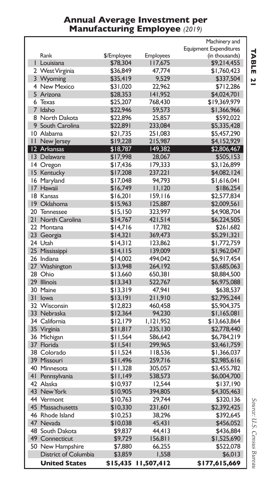#### **Annual Average Investment per Manufacturing Employee** *(2019)*

|    |                      |             |                  | Machinery and                 |
|----|----------------------|-------------|------------------|-------------------------------|
|    |                      |             |                  | <b>Equipment Expenditures</b> |
|    | Rank                 | \$/Employee | <b>Employees</b> | (in thousands)                |
|    | I Louisiana          | \$78,304    | l I7,675         | \$9,214,455                   |
|    | 2 West Virginia      | \$36,849    | 47,774           | \$1,760,423                   |
|    | 3 Wyoming            | \$35,419    | 9,529            | \$337,504                     |
|    | 4 New Mexico         | \$31,020    | 22,962           | \$712,286                     |
|    | 5 Arizona            | \$28,353    | 141,952          | \$4,024,701                   |
| 6  | Texas                | \$25,207    | 768,430          | \$19,369,979                  |
|    | 7 Idaho              | \$22,946    | 59,573           | \$1,366,966                   |
|    | 8 North Dakota       | \$22,896    | 25,857           | \$592,022                     |
|    | 9 South Carolina     | \$22,891    | 233,084          | \$5,335,428                   |
|    | 10 Alabama           | \$21,735    | 251,083          | \$5,457,290                   |
| П. | New Jersey           | \$19,228    | 215,987          | \$4,152,929                   |
|    | 12 Arkansas          | \$18,787    | 149,382          | \$2,806,467                   |
|    | 13 Delaware          | \$17,998    | 28,067           | \$505,153                     |
|    | 14 Oregon            | \$17,436    | 179,333          | \$3,126,899                   |
|    | 15 Kentucky          | \$17,208    | 237,221          | \$4,082,124                   |
|    | 16 Maryland          | \$17,048    | 94,793           | \$1,616,041                   |
|    | 17 Hawaii            | \$16,749    | 11,120           | \$186,254                     |
|    | 18 Kansas            | \$16,201    | 159,116          | \$2,577,834                   |
|    | 19 Oklahoma          | \$15,963    | 125,887          | \$2,009,561                   |
| 20 | Tennessee            | \$15,150    | 323,997          | \$4,908,704                   |
| 21 | North Carolina       | \$14,767    | 421,514          | \$6,224,505                   |
|    | 22 Montana           | \$14,716    | 17,782           | \$261,682                     |
|    | 23 Georgia           | \$14,321    | 369,473          | \$5,291,321                   |
|    | 24 Utah              | \$14,312    | 123,862          | \$1,772,759                   |
|    | 25 Mississippi       | \$14,115    | 139,009          | \$1,962,047                   |
|    | 26 Indiana           | \$14,002    | 494.042          | \$6,917,454                   |
|    | 27 Washington        | \$13,948    | 264,192          | \$3,685,063                   |
|    | 28 Ohio              | \$13,660    | 650,381          | \$8,884,500                   |
|    | 29 Illinois          | \$13,343    | 522,767          | \$6,975,088                   |
|    | 30 Maine             | \$13,319    | 47,941           | \$638,537                     |
| 31 | <b>lowa</b>          | \$13,191    | 211,910          | \$2,795,244                   |
|    | 32 Wisconsin         |             | 460,458          | \$5,904,375                   |
|    | 33 Nebraska          | \$12,823    |                  |                               |
|    |                      | \$12,364    | 94,230           | \$1,165,081                   |
|    | 34 California        | \$12,179    | 1,121,952        | \$13,663,864                  |
|    | 35 Virginia          | \$11,817    | 235,130          | \$2,778,440                   |
|    | 36 Michigan          | \$11,564    | 586,642          | \$6,784,219                   |
|    | 37 Florida           | \$11,541    | 299,965          | \$3,461,759                   |
|    | 38 Colorado          | \$11,524    | 118,536          | \$1,366,037                   |
|    | 39 Missouri          | \$11,496    | 259,716          | \$2,985,616                   |
|    | 40 Minnesota         | \$11,328    | 305,057          | \$3,455,782                   |
| 41 | Pennsylvania         | \$11,149    | 538,573          | \$6,004,700                   |
|    | 42 Alaska            | \$10,937    | 12,544           | \$137,190                     |
|    | 43 New York          | \$10,905    | 394,805          | \$4,305,463                   |
|    | 44 Vermont           | \$10,763    | 29,744           | \$320,136                     |
|    | 45 Massachusetts     | \$10,330    | 231,601          | \$2,392,425                   |
|    | 46 Rhode Island      | \$10,253    | 38,296           | \$392,645                     |
|    | 47 Nevada            | \$10,038    | 45,431           | \$456,052                     |
|    | 48 South Dakota      | \$9,837     | 44,413           | \$436,884                     |
|    | 49 Connecticut       | \$9,729     | 156,811          | \$1,525,690                   |
|    | 50 New Hampshire     | \$7,880     | 66.255           | \$522,078                     |
|    | District of Columbia | \$3,859     | 1,558            | \$6,013                       |
|    | <b>United States</b> | \$15,435    | 11,507,412       | \$177,615,669                 |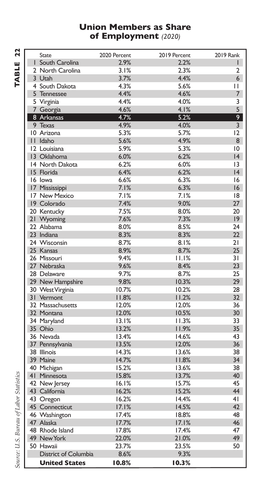#### **Union Members as Share of Employment** *(2020)*

| <b>State</b>                   | 2020 Percent   | 2019 Percent   | <b>2019 Rank</b> |
|--------------------------------|----------------|----------------|------------------|
| I South Carolina               | 2.9%           | 2.2%           | ı                |
| 2 North Carolina               | 3.1%           | 2.3%           | 2                |
| 3 Utah                         | 3.7%           | 4.4%           | 6                |
| 4 South Dakota                 | 4.3%           | 5.6%           | $\mathbf{L}$     |
| 5 Tennessee                    | 4.4%           | 4.6%           | 7                |
| 5 Virginia                     | 4.4%           | 4.0%           | 3                |
| 7 Georgia                      | 4.6%           | 4.1%           | 5                |
| 8 Arkansas                     | 4.7%           | 5.2%           | 9                |
| 9 Texas                        | 4.9%           | 4.0%           | $\overline{3}$   |
| 10 Arizona                     | 5.3%           | 5.7%           | 12               |
| II Idaho                       | 5.6%           | 4.9%           | 8                |
| 12 Louisiana                   | 5.9%           | 5.3%           | 10               |
| 13 Oklahoma                    | 6.0%           | 6.2%           | 4                |
| 14 North Dakota                | 6.2%           | 6.0%           | 13               |
| 15 Florida                     | 6.4%           | 6.2%           | 4                |
| 16 lowa                        | 6.6%           | 6.3%           | 16               |
| 17 Mississippi                 | 7.1%           | 6.3%           | 16               |
| 17 New Mexico                  | 7.1%           | 7.1%           | 18               |
| 19 Colorado                    | 7.4%           | 9.0%           | 27               |
| 20 Kentucky                    | 7.5%           | 8.0%           | 20               |
| 21 Wyoming                     | 7.6%           | 7.3%           | 9                |
| 22 Alabama                     | 8.0%           | 8.5%           | 24               |
| 23 Indiana                     | 8.3%           | 8.3%           | 22               |
| 24 Wisconsin                   | 8.7%           | 8.1%           | 21               |
| 25 Kansas                      | 8.9%           | 8.7%           | 25               |
| 26 Missouri                    | 9.4%           | 11.1%          | $\overline{3}1$  |
| 27 Nebraska                    | 9.6%           | 8.4%           | 23               |
| 28 Delaware                    |                | 8.7%           | 25               |
|                                | 9.7%<br>9.8%   | 10.3%          | 29               |
| 29 New Hampshire               |                |                | 28               |
| 30 West Virginia               | 10.7%<br>11.8% | 10.2%<br>11.2% | 32 <sub>2</sub>  |
| 31 Vermont<br>32 Massachusetts | 12.0%          | 12.0%          | 36               |
|                                |                |                |                  |
| 32 Montana                     | 12.0%          | 10.5%          | 30               |
| 34 Maryland                    | 13.1%          | 11.3%          | 33               |
| 35 Ohio                        | 13.2%          | 11.9%          | 35               |
| 36 Nevada                      | 13.4%          | 14.6%          | 43               |
| 37 Pennsylvania                | 13.5%          | 12.0%          | 36               |
| 38 Illinois                    | 14.3%          | 13.6%          | 38               |
| 39 Maine                       | 14.7%          | 11.8%          | 34               |
| 40 Michigan                    | 15.2%          | 13.6%          | 38               |
| 41 Minnesota                   | 15.8%          | 13.7%          | 40               |
| 42 New Jersey                  | 16.1%          | 15.7%          | 45               |
| 43 California                  | 16.2%          | 15.2%          | 44               |
| 43 Oregon                      | 16.2%          | 14.4%          | 4 <sub>1</sub>   |
| 45 Connecticut                 | 17.1%          | 14.5%          | 42               |
| 46 Washington                  | 17.4%          | 18.8%          | 48               |
| 47 Alaska                      | 17.7%          | 17.1%          | 46               |
| 48 Rhode Island                | 17.8%          | 17.4%          | 47               |
| 49 New York                    | 22.0%          | 21.0%          | 49               |
| 50 Hawaii                      | 23.7%          | 23.5%          | 50               |
| District of Columbia           | 8.6%           | 9.3%           |                  |
| <b>United States</b>           | 10.8%          | 10.3%          |                  |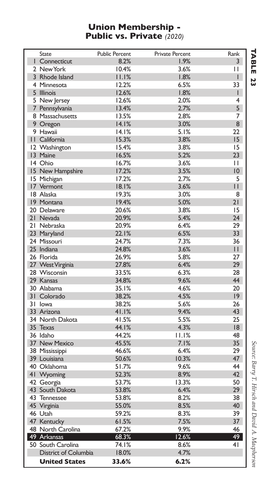#### **Union Membership - Public vs. Private** *(2020)*

| <b>State</b>                | <b>Public Percent</b> | <b>Private Percent</b> | Rank           |
|-----------------------------|-----------------------|------------------------|----------------|
| I Connecticut               | 8.2%                  | 1.9%                   | 3              |
| 2 New York                  | 10.4%                 | 3.6%                   | Н              |
| 3 Rhode Island              | 11.1%                 | 1.8%                   | T              |
| 4 Minnesota                 | 12.2%                 | 6.5%                   | 33             |
| 5 Illinois                  | 12.6%                 | 1.8%                   | г              |
| 5 New Jersey                | 12.6%                 | 2.0%                   | 4              |
| 7 Pennsylvania              | 13.4%                 | 2.7%                   | 5              |
| 8 Massachusetts             | 13.5%                 | 2.8%                   | 7              |
| 9 Oregon                    | 14.1%                 | 3.0%                   | 8              |
| 9 Hawaii                    | 14.1%                 | 5.1%                   | 22             |
| II California               | 15.3%                 | 3.8%                   | 15             |
| 12 Washington               | 15.4%                 | 3.8%                   | 15             |
| 13 Maine                    | 16.5%                 | 5.2%                   | 23             |
| 14 Ohio                     | 16.7%                 | 3.6%                   | $\mathbf{H}$   |
| 15 New Hampshire            | 17.2%                 | 3.5%                   | 10             |
|                             | 17.2%                 | 2.7%                   | 5              |
| 15 Michigan                 |                       | 3.6%                   | П              |
| 17 Vermont                  | 18.1%                 |                        |                |
| 18 Alaska                   | 19.3%                 | 3.0%                   | 8              |
| 19 Montana                  | 19.4%                 | 5.0%                   | 21             |
| 20 Delaware                 | 20.6%                 | 3.8%                   | 15             |
| 21 Nevada                   | 20.9%                 | 5.4%                   | 24             |
| 21 Nebraska                 | 20.9%                 | 6.4%                   | 29             |
| 23 Maryland                 | 22.1%                 | 6.5%                   | 33             |
| 24 Missouri                 | 24.7%                 | 7.3%                   | 36             |
| 25 Indiana                  | 24.8%                 | 3.6%                   | $\mathbf{H}$   |
| 26 Florida                  | 26.9%                 | 5.8%                   | 27             |
| 27 West Virginia            | 27.8%                 | 6.4%                   | 29             |
| 28 Wisconsin                | 33.5%                 | 6.3%                   | 28             |
| 29 Kansas                   | 34.8%                 | 9.6%                   | 44             |
| 30 Alabama                  | 35.1%                 | 4.6%                   | 20             |
| 31 Colorado                 | 38.2%                 | 4.5%                   | $ 9\rangle$    |
| 31 Iowa                     | 38.2%                 | 5.6%                   | 26             |
| 33 Arizona                  | 41.1%                 | 9.4%                   | 43             |
| 34 North Dakota             | 41.5%                 | 5.5%                   | 25             |
| 35 Texas                    | 44.1%                 | 4.3%                   | 18             |
| 36 Idaho                    | 44.2%                 | 11.1%                  | 48             |
| 37 New Mexico               | 45.5%                 | 7.1%                   | 35             |
| 38 Mississippi              | 46.6%                 | 6.4%                   | 29             |
| 39 Louisiana                | 50.6%                 | 10.3%                  | 47             |
| 40 Oklahoma                 | 51.7%                 | 9.6%                   | 44             |
| 41 Wyoming                  | 52.3%                 | 8.9%                   | 42             |
| 42 Georgia                  | 53.7%                 | 13.3%                  | 50             |
| 43 South Dakota             | 53.8%                 | 6.4%                   | 29             |
|                             | 53.8%                 | 8.2%                   | 38             |
| 43 Tennessee                |                       |                        | 40             |
| 45 Virginia                 | 55.0%                 | 8.5%                   |                |
| 46 Utah                     | 59.2%                 | 8.3%                   | 39             |
| 47 Kentucky                 | 61.5%                 | 7.5%                   | 37             |
| 48 North Carolina           | 67.2%                 | 9.9%                   | 46             |
| 49 Arkansas                 | 68.3%                 | 12.6%                  | 49             |
| 50 South Carolina           | 74.1%                 | 8.6%                   | 4 <sub>1</sub> |
| <b>District of Columbia</b> | 18.0%                 | 4.7%                   |                |
| <b>United States</b>        | 33.6%                 | 6.2%                   |                |

**TABLE TABLE 23**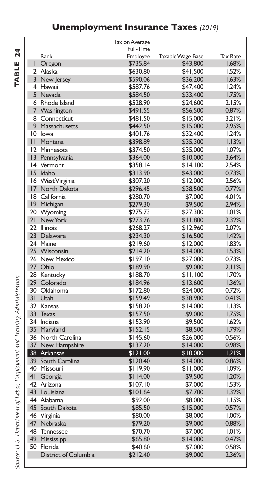### **Unemployment Insurance Taxes** *(2019)*

TABLE 24 **TABLE 24**

|                 |                      | Tax on Average       |                          |                 |
|-----------------|----------------------|----------------------|--------------------------|-----------------|
|                 |                      | Full-Time            |                          |                 |
|                 | Rank                 | Employee             | <b>Taxable Wage Base</b> | <b>Tax Rate</b> |
| ı               | Oregon               | \$735.84             | \$43,800                 | 1.68%           |
| 2               | Alaska               | \$630.80             | \$41.500                 | 1.52%           |
| $\overline{3}$  | New Jersey           | \$590.06             | \$36,200                 | 1.63%           |
|                 | 4 Hawaii             | \$587.76             | \$47,400                 | 1.24%           |
|                 | 5 Nevada             | \$584.50             | \$33,400                 | 1.75%           |
| 6               | Rhode Island         | \$528.90             | \$24,600                 | 2.15%           |
| 7               | Washington           | \$491.55             | \$56,500                 | 0.87%           |
|                 | 8 Connecticut        | \$481.50             | \$15,000                 | 3.21%           |
|                 | 9 Massachusetts      | \$442.50             | \$15,000                 | 2.95%           |
| 10              | lowa                 | \$401.76             | \$32,400                 | 1.24%           |
| П               | Montana              | \$398.89             | \$35,300                 | 1.13%           |
| 12              | Minnesota            | \$374.50             | \$35,000                 | 1.07%           |
| $\overline{13}$ | Pennsylvania         | \$364.00             | \$10,000                 | 3.64%           |
| 4               | Vermont              | \$358.14             | \$14,100                 | 2.54%           |
| 15              | Idaho                | \$313.90             | \$43,000                 | 0.73%           |
|                 | 16 West Virginia     | \$307.20             | \$12,000                 | 2.56%           |
| 17              | North Dakota         | \$296.45             | \$38,500                 | 0.77%           |
| 18              | California           | \$280.70             | \$7,000                  | 4.01%           |
| $ 9\rangle$     | Michigan             | \$279.30             | \$9,500                  | 2.94%           |
| 20              | Wyoming              | \$275.73             | \$27,300                 | 1.01%           |
| 21              | New York             | \$273.76             | \$11,800                 | 2.32%           |
| フフ              | <b>Illinois</b>      | \$268.27             | \$12,960                 | 2.07%           |
| 23              | Delaware             | \$234.30             | \$16,500                 | 1.42%           |
| 24              | Maine                | \$219.60             | \$12,000                 | 1.83%           |
|                 | 25 Wisconsin         | \$214.20             | \$14,000                 | 1.53%           |
| 26              | <b>New Mexico</b>    | \$197.10             | \$27,000                 | 0.73%           |
| 27 <sub>2</sub> | Ohio                 | \$189.90             | \$9,000                  | 2.11%           |
| 28              | Kentucky             | \$188.70             | \$11.100                 | 1.70%           |
| 29              | Colorado             | \$184.96             | \$13,600                 | 1.36%           |
| 30              | Oklahoma             | \$172.80             | \$24,000                 | 0.72%           |
| 31              | Utah                 |                      |                          | 0.41%           |
| 32              | Kansas               | \$159.49<br>\$158.20 | \$38,900<br>\$14,000     | 1.13%           |
| 33              |                      |                      |                          |                 |
|                 | <b>Texas</b>         | \$157.50             | \$9,000                  | 1.75%           |
| 34              | Indiana              | \$153.90             | \$9,500                  | 1.62%           |
| 35              | Maryland             | \$152.15             | \$8,500                  | 1.79%           |
| 36              | North Carolina       | \$145.60             | \$26,000                 | 0.56%           |
| 37              | New Hampshire        | \$137.20             | \$14,000                 | 0.98%           |
| 38              | Arkansas             | \$121.00             | \$10,000                 | 1.21%           |
| 39              | South Carolina       | \$120.40             | \$14,000                 | 0.86%           |
| 40              | Missouri             | \$119.90             | \$11,000                 | 1.09%           |
| 4 <sub>1</sub>  | Georgia              | \$114.00             | \$9,500                  | 1.20%           |
| 42              | Arizona              | \$107.10             | \$7,000                  | 1.53%           |
| 43              | Louisiana            | \$101.64             | \$7,700                  | 1.32%           |
|                 | 44 Alabama           | \$92.00              | \$8,000                  | 1.15%           |
| 45              | South Dakota         | \$85.50              | \$15,000                 | 0.57%           |
| 46              | Virginia             | \$80.00              | \$8,000                  | 1.00%           |
| 47              | Nebraska             | \$79.20              | \$9,000                  | 0.88%           |
| 48              | Tennessee            | \$70.70              | \$7,000                  | 1.01%           |
| 49              | Mississippi          | \$65.80              | \$14,000                 | 0.47%           |
| 50              | Florida              | \$40.60              | \$7,000                  | 0.58%           |
|                 | District of Columbia | \$212.40             | \$9,000                  | 2.36%           |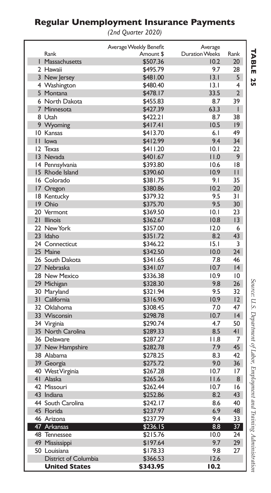### **Regular Unemployment Insurance Payments**

*(2nd Quarter 2020)*

|                      | Average Weekly Benefit | Average               |                 |
|----------------------|------------------------|-----------------------|-----------------|
| Rank                 | Amount \$              | <b>Duration Weeks</b> | Rank            |
| 1 Massachusetts      | \$507.36               | 10.2                  | 20              |
| 2 Hawaii             | \$495.79               | 9.7                   | 28              |
| 3 New Jersey         | \$481.00               | 3.1                   | 5               |
| 4 Washington         | \$480.40               | 13.1                  | 4               |
| 5 Montana            | \$478.17               | 33.5                  | $\overline{2}$  |
| 6 North Dakota       | \$455.83               | 8.7                   | 39              |
| 7 Minnesota          | \$427.39               | 63.3                  | I               |
| 8 Utah               | \$422.21               | 8.7                   | 38              |
| 9 Wyoming            | \$417.41               | 10.5                  | 19              |
| 10 Kansas            | \$413.70               | 6.1                   | 49              |
| II Iowa              | \$412.99               | 9.4                   | 34              |
| 12 Texas             | \$411.20               | 10.1                  | 22              |
| 13 Nevada            | \$401.67               | 11.0                  | 9               |
| 14 Pennsylvania      | \$393.80               | 10.6                  | 18              |
| 15 Rhode Island      | \$390.60               | 10.9                  | П               |
| 16 Colorado          | \$381.75               | 9.1                   | 35              |
| 17 Oregon            | \$380.86               | 10.2                  | 20              |
| 18 Kentucky          | \$379.32               | 9.5                   | 31              |
| 19 Ohio              | \$375.70               | 9.5                   | 30              |
| 20 Vermont           | \$369.50               | 10.1                  | 23              |
| 21 Illinois          | \$362.67               | 10.8                  | 13              |
| 22 New York          | \$357.00               | 12.0                  | 6               |
| 23 Idaho             | \$351.72               | 8.2                   | 43              |
| 24 Connecticut       | \$346.22               | 15.1                  | 3               |
| 25 Maine             | \$342.50               | 10.0                  | 24              |
| 26 South Dakota      | \$341.65               | 7.8                   | 46              |
| 27 Nebraska          | \$341.07               | 10.7                  | 4               |
| 28 New Mexico        | \$336.38               | 10.9                  | 10              |
| 29 Michigan          | \$328.30               | 9.8                   | 26              |
| 30 Maryland          | \$321.94               | 9.5                   | 32              |
| 31 California        | \$316.90               | 10.9                  | 12              |
| 32 Oklahoma          | \$308.45               | 7.0                   | 47              |
| 33 Wisconsin         | \$298.78               | 10.7                  | 4               |
| 34 Virginia          | \$290.74               | 4.7                   | 50              |
| 35 North Carolina    | \$289.33               | 8.5                   | 4 <sub>1</sub>  |
| 36 Delaware          | \$287.27               | 11.8                  | 7               |
| 37 New Hampshire     | \$282.78               | 7.9                   | 45              |
| 38 Alabama           | \$278.25               | 8.3                   | 42              |
| 39 Georgia           | \$275.72               | 9.0                   | 36              |
| 40 West Virginia     | \$267.28               | 10.7                  | 17              |
| 41 Alaska            | \$265.26               | 11.6                  | 8               |
| 42 Missouri          | \$262.44               | 10.7                  | 16              |
| 43 Indiana           | \$252.86               | 8.2                   | 43              |
| 44 South Carolina    | \$242.17               | 8.6                   | 40              |
| 45 Florida           | \$237.97               | 6.9                   | 48              |
| 46 Arizona           | \$237.79               | 9.4                   | 33              |
| 47 Arkansas          | \$236.15               | 8.8                   | $\overline{37}$ |
| 48 Tennessee         | \$215.76               | 10.0                  | 24              |
| 49 Mississippi       | \$197.64               | 9.7                   | 29              |
| 50 Louisiana         | \$178.33               | 9.8                   | 27              |
| District of Columbia | \$366.53               | 12.6                  |                 |
| <b>United States</b> | \$343.95               | 10.2                  |                 |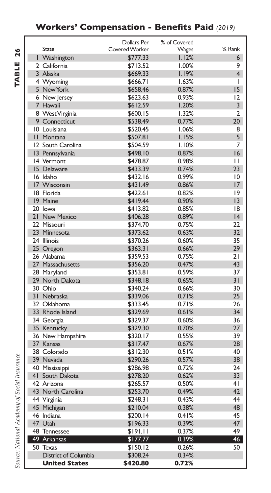### **Workers' Compensation - Benefits Paid** *(2019)*

|                                   | Dollars Per          | % of Covered   |                 |
|-----------------------------------|----------------------|----------------|-----------------|
| <b>State</b>                      | Covered Worker       | Wages          | % Rank          |
| I Washington                      | \$777.33             | 1.12%          | 6               |
| 2 California                      | \$713.52             | 1.00%          | 9               |
| 3 Alaska                          | \$669.33             | 1.19%          | $\overline{4}$  |
| 4 Wyoming                         | \$666.71             | 1.63%          | ı               |
| 5 New York                        | \$658.46             | 0.87%          | 15              |
| 6 New Jersey                      | \$623.63             | 0.93%          | 12              |
| 7 Hawaii                          | \$612.59             | 1.20%          | 3               |
| 8 West Virginia                   | \$600.15             | 1.32%          | $\overline{2}$  |
| 9 Connecticut                     | \$538.49             | 0.77%          | 20 <sub>2</sub> |
| 10 Louisiana                      | \$520.45             | 1.06%          | 8               |
| II Montana                        | \$507.81             | 1.15%          | 5               |
| 12 South Carolina                 | \$504.59             | 1.10%          | 7               |
| 13 Pennsylvania                   | \$498.10             | 0.87%          | 16              |
| 14 Vermont                        | \$478.87             | 0.98%          | $\mathbf{H}$    |
| 15 Delaware                       | \$433.39             | 0.74%          | 23              |
| 16 Idaho                          | \$432.16             | 0.99%          | 10              |
| 17 Wisconsin                      | \$431.49             | 0.86%          | 17              |
| 18 Florida                        | \$422.61             | 0.82%          | 9               |
| 19 Maine                          | \$419.44             | 0.90%          | $ 3\rangle$     |
| 20 lowa                           | \$413.82             | 0.85%          | 8               |
| 21 New Mexico                     | \$406.28             | 0.89%          | 4               |
| 22 Missouri                       | \$374.70             | 0.75%          | 22              |
| 23 Minnesota                      | \$373.62             | 0.63%          | 32              |
| 24 Illinois                       | \$370.26             | 0.60%          | 35              |
| 25 Oregon                         | \$363.31             | 0.66%          | 29              |
| 26 Alabama                        | \$359.53             | 0.75%          | 21              |
| 27 Massachusetts                  | \$356.20             | 0.47%          | 43              |
| 28 Maryland                       | \$353.81             | 0.59%          | 37              |
| 29 North Dakota                   | \$348.18             | 0.65%          | 31              |
| 30 Ohio                           | \$340.24             | 0.66%          | 30              |
| 31 Nebraska                       | \$339.06             | 0.71%          | 25              |
| 32 Oklahoma                       | \$333.45             | 0.71%          | 26              |
| 33 Rhode Island                   | \$329.69             | 0.61%          | 34              |
| 34 Georgia                        | \$329.37             | 0.60%          | 36              |
| 35 Kentucky                       | \$329.30             | 0.70%          | 27              |
| 36 New Hampshire                  | \$320.17             | 0.55%          | 39              |
| 37 Kansas                         | \$317.47             | 0.67%          | 28              |
| 38 Colorado<br>39 Nevada          | \$312.30<br>\$290.26 | 0.51%<br>0.57% | 40<br>38        |
|                                   | \$286.98             | 0.72%          | 24              |
| 40 Mississippi<br>41 South Dakota |                      | 0.62%          | 33              |
| 42 Arizona                        | \$278.20             | 0.50%          | 4 <sub>1</sub>  |
|                                   | \$265.57             |                | 42              |
| 43 North Carolina                 | \$253.70<br>\$248.31 | 0.49%<br>0.43% | 44              |
| 44 Virginia<br>45 Michigan        |                      | 0.38%          | 48              |
| 46 Indiana                        | \$210.04<br>\$200.14 | 0.41%          | 45              |
| 47 Utah                           | \$196.33             | 0.39%          | 47              |
| 48 Tennessee                      | \$191.11             | 0.37%          | 49              |
| 49 Arkansas                       | \$177.77             | 0.39%          | 46              |
| 50 Texas                          | \$150.12             | 0.26%          | 50              |
| District of Columbia              | \$308.24             | 0.34%          |                 |
| <b>United States</b>              | \$420.80             | 0.72%          |                 |
|                                   |                      |                |                 |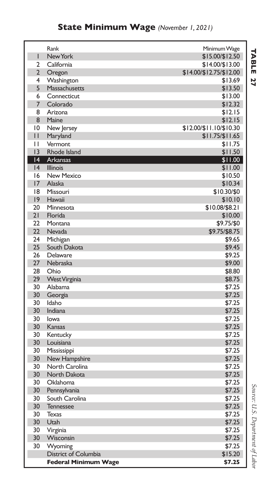|                | Rank                        | Minimum Wage             |
|----------------|-----------------------------|--------------------------|
| ı              | New York                    | \$15.00/\$12.50          |
| $\overline{2}$ | California                  | \$14.00/\$13.00          |
| $\overline{2}$ | Oregon                      | $$14.00/\$12.75/\$12.00$ |
| 4              | Washington                  | \$13.69                  |
| 5              | Massachusetts               | \$13.50                  |
| 6              | Connecticut                 | \$13.00                  |
| 7              | Colorado                    | \$12.32                  |
| 8              | Arizona                     | \$12.15                  |
| 8              | Maine                       | \$12.15                  |
| $\overline{0}$ | New Jersey                  | \$12.00/\$11.10/\$10.30  |
| П              | Maryland                    | $$11.75/\$11.65$         |
| $\mathbf{L}$   | Vermont                     | \$11.75                  |
| 3              | Rhode Island                | \$11.50                  |
| 4              | <b>Arkansas</b>             | \$11.00                  |
| 4              | Illinois                    | \$11.00                  |
| 16             | <b>New Mexico</b>           | \$10.50                  |
| 17             | Alaska                      | \$10.34                  |
| 18             | Missouri                    | \$10.30/\$0              |
| 9              | Hawaii                      | \$10.10                  |
| 20             | Minnesota                   | \$10.08/\$8.21           |
| 21             | Florida                     | \$10.00                  |
| 22             | Montana                     | \$9.75/\$0               |
| 22             | Nevada                      | \$9.75/\$8.75            |
| 24             | Michigan                    | \$9.65                   |
| 25             | South Dakota                | \$9.45                   |
| 26             | Delaware                    | \$9.25                   |
| 27             | Nebraska                    | \$9.00                   |
| 28             | Ohio                        | \$8.80                   |
| 29             | <b>West Virginia</b>        | \$8.75                   |
| 30             | Alabama                     | \$7.25                   |
| 30             | Georgia                     | \$7.25                   |
| 30             | Idaho                       | \$7.25                   |
| 30             | Indiana                     | \$7.25                   |
| 30             | lowa                        | \$7.25                   |
| 30             | Kansas                      | \$7.25                   |
| 30             | Kentucky                    | \$7.25                   |
| 30             | Louisiana                   | \$7.25                   |
| 30             | Mississippi                 | \$7.25                   |
| 30             | New Hampshire               | \$7.25                   |
| 30             | North Carolina              | \$7.25                   |
| 30             | North Dakota                | \$7.25                   |
| 30             | Oklahoma                    | \$7.25                   |
| 30             | Pennsylvania                | \$7.25                   |
| 30             | South Carolina              | \$7.25                   |
| 30             | <b>Tennessee</b>            | \$7.25                   |
| 30             | <b>Texas</b>                | \$7.25                   |
| 30             | Utah                        | \$7.25                   |
| 30             | Virginia                    | \$7.25                   |
| 30             | Wisconsin                   | \$7.25                   |
| 30             | Wyoming                     | \$7.25                   |
|                | District of Columbia        | \$15.20                  |
|                | <b>Federal Minimum Wage</b> | \$7.25                   |

**TABLE 7ABLE 27**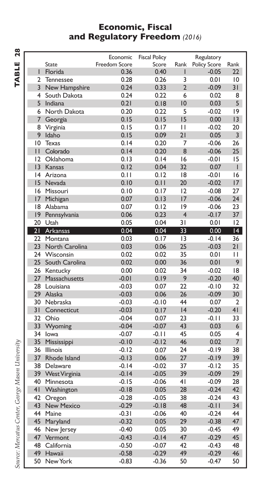#### **Economic, Fiscal and Regulatory Freedom** *(2016)*

|                |                      | Economic      | <b>Fiscal Policy</b> |                 | Regulatory   |                 |
|----------------|----------------------|---------------|----------------------|-----------------|--------------|-----------------|
|                | <b>State</b>         | Freedom Score | Score                | Rank            | Policy Score | Rank            |
| T              | Florida              | 0.36          | 0.40                 | I               | $-0.05$      | $22 \,$         |
| 2              | Tennessee            | 0.28          | 0.26                 | 3               | 0.01         | 10              |
| $\overline{3}$ | New Hampshire        | 0.24          | 0.33                 | $\overline{2}$  | $-0.09$      | 31              |
| 4              | South Dakota         | 0.24          | 0.22                 | 6               | 0.02         | 8               |
| 5              | <b>Indiana</b>       | 0.21          | 0.18                 | $\overline{10}$ | 0.03         | 5               |
| 6              | North Dakota         | 0.20          | 0.22                 | 5               | $-0.02$      | 19              |
| 7              | Georgia              | 0.15          | 0.15                 | 15              | 0.00         | 13              |
| 8              | Virginia             | 0.15          | 0.17                 | $\mathbf{H}$    | $-0.02$      | 20              |
| 9              | Idaho                | 0.15          | 0.09                 | 21              | 0.05         | $\overline{3}$  |
| 10             | Texas                | 0.14          | 0.20                 | $\overline{7}$  | $-0.06$      | 26              |
| $\mathbf{H}$   | Colorado             | 0.14          | 0.20                 | 8               | $-0.06$      | 25 <sub>1</sub> |
| 12             | Oklahoma             | 0.13          | 0.14                 | 16              | $-0.01$      | 15              |
| 3              | Kansas               | 0.12          | 0.04                 | 32              | 0.07         | L               |
| 4              | Arizona              | 0.11          | 0.12                 | 18              | $-0.01$      | 16              |
| 15             | Nevada               | 0.10          | 0.11                 | 20              | $-0.02$      | 17              |
| 16             | Missouri             | 0.10          | 0.17                 | 12              | $-0.08$      | 27              |
| 17             | Michigan             | 0.07          | 0.13                 | 17              | $-0.06$      | 24              |
| 18             | Alabama              | 0.07          | 0.12                 | 19              | $-0.06$      | 23              |
| 9              | Pennsylvania         | 0.06          | 0.23                 | $\overline{4}$  | $-0.17$      | 37              |
| 20             | Utah                 | 0.05          | 0.04                 | 31              | 0.01         | 12              |
|                | 21 Arkansas          | 0.04          | 0.04                 | 33              | 0.00         | $\overline{14}$ |
| 22             | Montana              | 0.03          | 0.17                 | 13              | $-0.14$      | 36              |
| 23             | North Carolina       | 0.03          | 0.06                 | 25              | $-0.03$      | 21              |
| 24             | Wisconsin            | 0.02          | 0.02                 | 35              | 0.01         | П               |
| 25             | South Carolina       | 0.02          | 0.00                 | 36              | 0.01         | 9               |
| 26             | Kentucky             | 0.00          | 0.02                 | 34              | $-0.02$      | 18              |
| 27             | Massachusetts        | $-0.01$       | 0.19                 | 9               | $-0.20$      | 40              |
| 28             | Louisiana            | $-0.03$       | 0.07                 | 22              | $-0.10$      | 32              |
| 29             | Alaska               | $-0.03$       | 0.06                 | 26              | $-0.09$      | 30              |
| 30             | Nebraska             | $-0.03$       | $-0.10$              | 44              | 0.07         | $\overline{2}$  |
| 31             | Connecticut          | $-0.03$       | 0.17                 | 4               | $-0.20$      | 4 <sub>1</sub>  |
| 32             | Ohio                 | $-0.04$       | 0.07                 | 23              | $-0.11$      | 33              |
| 33             | Wyoming              | $-0.04$       | $-0.07$              | 43              | 0.03         | 6               |
| 34             | lowa                 | $-0.07$       | $-0.11$              | 45              | 0.05         | $\overline{4}$  |
| 35             | Mississippi          | $-0.10$       | $-0.12$              | 46              | 0.02         | $\overline{7}$  |
| 36             | Illinois             | $-0.12$       | 0.07                 | 24              | $-0.19$      | 38              |
| 37             | Rhode Island         | $-0.13$       | 0.06                 | 27              | $-0.19$      | 39              |
| 38             | Delaware             | $-0.14$       | $-0.02$              | 37              | $-0.12$      | 35              |
| 39             | <b>West Virginia</b> | $-0.14$       | $-0.05$              | 39              | $-0.09$      | 29              |
| 40             | Minnesota            | $-0.15$       | $-0.06$              | 4 <sub>1</sub>  | $-0.09$      | 28              |
| 4 <sub>l</sub> | Washington           | $-0.18$       | 0.05                 | 28              | $-0.24$      | 42              |
| 42             | Oregon               | $-0.28$       | $-0.05$              | 38              | $-0.24$      | 43              |
| 43             | <b>New Mexico</b>    | $-0.29$       | $-0.18$              | 48              | $-0.11$      | 34              |
| 44             | Maine                | $-0.31$       | $-0.06$              | 40              | $-0.24$      | 44              |
| 45             | Maryland             | $-0.32$       | 0.05                 | 29              | $-0.38$      | 47              |
| 46             | New Jersey           | $-0.40$       | 0.05                 | 30              | $-0.45$      | 49              |
| 47             | Vermont              | $-0.43$       | $-0.14$              | 47              | $-0.29$      | 45              |
| 48             | California           | $-0.50$       | $-0.07$              | 42              | $-0.43$      | 48              |
| 49             | Hawaii               | $-0.58$       | $-0.29$              | 49              | $-0.29$      | 46              |
| 50             | New York             | $-0.83$       | $-0.36$              | 50              | $-0.47$      | 50              |
|                |                      |               |                      |                 |              |                 |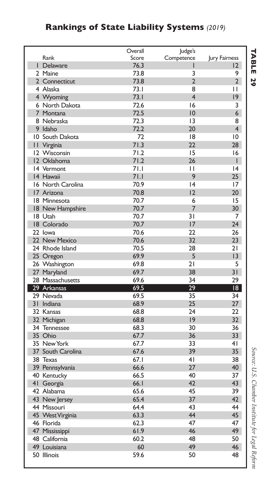### **Rankings of State Liability Systems** *(2019)*

|                   | Overall | Judge's                 |                 |
|-------------------|---------|-------------------------|-----------------|
| Rank              | Score   | Competence              | Jury Fairness   |
| I Delaware        | 76.3    | ı                       | $\overline{2}$  |
| 2 Maine           | 73.8    | 3                       | 9               |
| 2 Connecticut     | 73.8    | $\overline{2}$          | $\overline{2}$  |
| 4 Alaska          | 73.1    | 8                       | Н               |
| 4 Wyoming         | 73.1    | $\overline{\mathbf{4}}$ | 19              |
| 6 North Dakota    | 72.6    | 16                      | 3               |
| 7 Montana         | 72.5    | 10                      | 6               |
| 8 Nebraska        | 72.3    | 13                      | 8               |
| 9 Idaho           | 72.2    | 20                      | $\overline{4}$  |
| 10 South Dakota   | 72      | 18                      | 10              |
| II Virginia       | 71.3    | 22                      | 28              |
| 12 Wisconsin      | 71.2    | 15                      | 16              |
| 12 Oklahoma       | 71.2    | 26                      | ı               |
| 14 Vermont        | 71.1    | П                       | 4               |
| 14 Hawaii         | 71.1    | 9                       | 25              |
| 16 North Carolina | 70.9    | 4                       | 17              |
| 17 Arizona        | 70.8    | 12                      | 20              |
| 18 Minnesota      | 70.7    | 6                       | 15              |
| 18 New Hampshire  | 70.7    | 7                       | 30              |
| 18 Utah           | 70.7    | 31                      | 7               |
| 18 Colorado       | 70.7    | 17                      | 24              |
| 22 lowa           | 70.6    | 22                      | 26              |
| 22 New Mexico     | 70.6    | 32                      | 23              |
| 24 Rhode Island   | 70.5    | 28                      | 21              |
| 25 Oregon         | 69.9    | 5                       | 3               |
| 26 Washington     | 69.8    | 21                      | 5               |
| 27 Maryland       | 69.7    | 38                      | 31              |
| 28 Massachusetts  | 69.6    | 34                      | 29              |
| 29 Arkansas       | 69.5    | 29                      | $\overline{18}$ |
| 29 Nevada         | 69.5    | 35                      | 34              |
| 31 Indiana        | 68.9    | 25                      | 27              |
| 32 Kansas         | 68.8    | 74                      | 22              |
| 32 Michigan       | 68.8    | 9                       | 32              |
| 34 Tennessee      | 68.3    | 30                      | 36              |
| 35 Ohio           | 67.7    | 36                      | 33              |
| 35 New York       | 67.7    | 33                      | 4 <sub>1</sub>  |
| 37 South Carolina | 67.6    | 39                      | 35              |
| 38 Texas          | 67.1    | 4 <sub>1</sub>          | 38              |
|                   | 66.6    | 27                      | 40              |
| 39 Pennsylvania   | 66.5    | 40                      | 37              |
| 40 Kentucky       | 66.1    | 42                      | 43              |
| 41 Georgia        |         | 45                      |                 |
| 42 Alabama        | 65.6    |                         | 39              |
| 43 New Jersey     | 65.4    | 37                      | 42              |
| 44 Missouri       | 64.4    | 43                      | 44              |
| 45 West Virginia  | 63.3    | 44                      | 45              |
| 46 Florida        | 62.3    | 47                      | 47              |
| 47 Mississippi    | 61.9    | 46                      | 49              |
| 48 California     | 60.2    | 48                      | 50              |
| 49 Louisiana      | 60      | 49                      | 46              |
| 50 Illinois       | 59.6    | 50                      | 48              |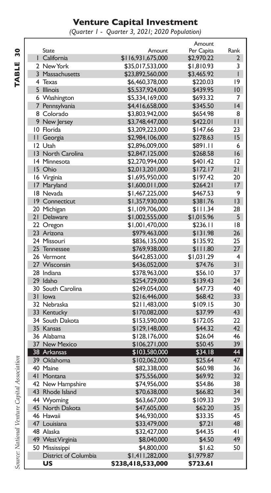#### **Venture Capital Investment**

*(Quarter 1 - Quarter 3, 2021; 2020 Population)*

 $\frac{Rank}{2}$ 

|                                              |                            |                   | Amount     |                |
|----------------------------------------------|----------------------------|-------------------|------------|----------------|
| ន្ល                                          | <b>State</b>               | Amount            | Per Capita | Rank           |
|                                              | I California               | \$116,931,675,000 | \$2,970.22 | $\overline{2}$ |
| <b>TABLE</b>                                 | 2 New York                 | \$35,017,533,000  | \$1,810.93 | 3              |
|                                              | 3 Massachusetts            | \$23,892,560,000  | \$3,465.92 | $\overline{1}$ |
|                                              | 4 Texas                    | \$6,460,378,000   | \$220.03   | 19             |
|                                              | 5 Illinois                 | \$5,537,924,000   | \$439.95   | 10             |
|                                              | 6 Washington               | \$5,334,169,000   | \$693.32   | 7              |
|                                              | 7 Pennsylvania             | \$4,416,658,000   | \$345.50   | 4              |
|                                              | 8 Colorado                 | \$3,803,942,000   | \$654.98   | 8              |
|                                              | 9 New Jersey               | \$3,748,447,000   | \$422.01   | $\mathbf{I}$   |
|                                              | 10 Florida                 | \$3,209,223,000   | \$147.66   | 23             |
|                                              | II Georgia                 | \$2,984,106,000   | \$278.63   | 15             |
|                                              | 12 Utah                    | \$2,896,009,000   | \$891.11   | 6              |
|                                              | 13 North Carolina          | \$2,847,125,000   | \$268.58   | 16             |
|                                              | 14 Minnesota               | \$2,270,994,000   | \$401.42   | 2              |
|                                              | 15 Ohio                    | \$2,013,201,000   | \$172.17   | 21             |
|                                              | 16 Virginia                | \$1,695,950,000   | \$197.42   | 20             |
|                                              | 17 Maryland                | \$1,600,011,000   | \$264.21   | 17             |
|                                              | 18 Nevada                  | \$1,467,225,000   | \$467.53   | 9              |
|                                              | 19 Connecticut             | \$1,357,930,000   | \$381.76   | 13             |
|                                              | 20 Michigan                | \$1,109,706,000   | \$111.34   | 28             |
|                                              | 21 Delaware                | \$1,002,555,000   | \$1,015.96 | 5              |
|                                              | 22 Oregon                  | \$1,001,470,000   | \$236.11   | 18             |
|                                              | 23 Arizona                 | \$979,463,000     | \$131.98   | 26             |
|                                              | 24 Missouri                | \$836,135,000     | \$135.92   | 25             |
|                                              |                            |                   | \$111.80   | 27             |
|                                              | 25 Tennessee               | \$769,938,000     |            | $\overline{4}$ |
|                                              | 26 Vermont<br>27 Wisconsin | \$642,853,000     | \$1,031.29 | 31             |
|                                              |                            | \$436,052,000     | \$74.76    |                |
|                                              | 28 Indiana                 | \$378,963,000     | \$56.10    | 37             |
|                                              | 29 Idaho                   | \$254,729,000     | \$139.43   | 24             |
|                                              | 30 South Carolina          | \$249,054,000     | \$47.73    | 40             |
|                                              | 31 Iowa                    | \$216,446,000     | \$68.42    | 33             |
|                                              | 32 Nebraska                | \$211,483,000     | \$109.15   | 30             |
|                                              | 33 Kentucky                | \$170,082,000     | \$37.99    | 43             |
|                                              | 34 South Dakota            | \$153,590,000     | \$172.05   | 22             |
|                                              | 35 Kansas                  | \$129,148,000     | \$44.32    | 42             |
|                                              | 36 Alabama                 | \$128,176,000     | \$26.04    | 46             |
|                                              | 37 New Mexico              | \$106,271,000     | \$50.45    | 39             |
|                                              | 38 Arkansas                | \$103,580,000     | \$34.18    | 44             |
|                                              | 39 Oklahoma                | \$102,062,000     | \$25.64    | 47             |
|                                              | 40 Maine                   | \$82,338,000      | \$60.98    | 36             |
|                                              | 41 Montana                 | \$75,556,000      | \$69.92    | 32             |
|                                              | 42 New Hampshire           | \$74,956,000      | \$54.86    | 38             |
|                                              | 43 Rhode Island            | \$70,638,000      | \$66.82    | 34             |
|                                              | 44 Wyoming                 | \$63,667,000      | \$109.33   | 29             |
|                                              | 45 North Dakota            | \$47,605,000      | \$62.20    | 35             |
|                                              | 46 Hawaii                  | \$46,930,000      | \$33.35    | 45             |
|                                              | 47 Louisiana               | \$33,479,000      | \$7.21     | 48             |
|                                              | 48 Alaska                  | \$32,427,000      | \$44.35    | 41             |
|                                              | 49 West Virginia           | \$8,040,000       | \$4.50     | 49             |
|                                              | 50 Mississippi             | \$4,800,000       | \$1.62     | 50             |
|                                              | District of Columbia       | \$1,411,282,000   | \$1,979.87 |                |
| Source: National Venture Capital Association | บร                         | \$238,418,533,000 | \$723.61   |                |
|                                              |                            |                   |            |                |

í **TABLE 30** Ï í. Í í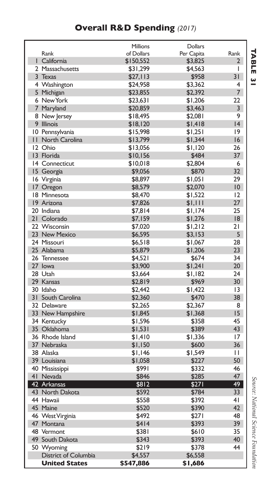### **Overall R&D Spending** *(2017)*

|                     |                      | Millions           | <b>Dollars</b> |                |
|---------------------|----------------------|--------------------|----------------|----------------|
| Rank                |                      | of Dollars         | Per Capita     | Rank           |
| California<br>L     |                      | \$150,552          | \$3,825        | 2              |
| 2 Massachusetts     |                      | \$31,299           | \$4,563        | I              |
| 3 Texas             |                      | \$27,113           | \$958          | 31             |
| 4 Washington        |                      | \$24,958           | \$3,362        | 4              |
| 5 Michigan          |                      | \$23,855           | \$2,392        | 7              |
| 6 New York          |                      | \$23,631           | \$1,206        | 22             |
| 7 Maryland          |                      | \$20,859           | \$3,463        | 3              |
| 8 New Jersey        |                      | \$18.495           | \$2,081        | 9              |
| 9 Illinois          |                      | \$18,120           | \$1,418        | 4              |
| 10<br>Pennsylvania  |                      | \$15,998           | \$1,251        | 9              |
| П<br>North Carolina |                      | \$13,799           | \$1,344        | 16             |
| 12 Ohio             |                      | \$13,056           | \$1,120        | 26             |
| 13 Florida          |                      | \$10,156           | \$484          | 37             |
| 14 Connecticut      |                      | \$10,018           | \$2,804        | 6              |
| 15 Georgia          |                      | \$9,056            | \$870          | 32             |
| 16 Virginia         |                      | \$8,897            | \$1,051        | 29             |
| 17 Oregon           |                      | \$8,579            | \$2,070        | 10             |
| 18<br>Minnesota     |                      | \$8,470            | \$1,522        | 12             |
| 19 Arizona          |                      | \$7,826            | \$1,111        | 27             |
| 20 Indiana          |                      | \$7,814            | \$1,174        | 25             |
| 21 Colorado         |                      | \$7,159            | \$1,276        | 8              |
| 22 Wisconsin        |                      | \$7,020            | \$1,212        | 21             |
| 23 New Mexico       |                      | \$6,595            | \$3,153        | 5              |
| 24 Missouri         |                      | \$6,518            | \$1,067        | 28             |
| 25 Alabama          |                      | \$5,879            | \$1,206        | 23             |
| 26 Tennessee        |                      | \$4,521            | \$674          | 34             |
| 27 lowa             |                      | \$3,900            | \$1,241        | 20             |
| 28 Utah             |                      | \$3,664            | \$1,182        | 24             |
| 29 Kansas           |                      |                    | \$969          | 30             |
| 30 Idaho            |                      | \$2,819<br>\$2,442 | \$1,422        | 13             |
| 31 South Carolina   |                      |                    | \$470          | 38             |
| 32 Delaware         |                      | \$2,360            |                | 8              |
|                     |                      | \$2,265            | \$2,367        | 15             |
| 33 New Hampshire    |                      | \$1,845            | \$1,368        |                |
| 34 Kentucky         |                      | \$1,596            | \$358          | 45<br>43       |
| 35 Oklahoma         |                      | \$1,531            | \$389          |                |
| 36 Rhode Island     |                      | \$1,410            | \$1,336        | 17             |
| 37 Nebraska         |                      | \$1,150            | \$600          | 36             |
| 38 Alaska           |                      | \$1,146            | \$1,549        | п              |
| 39 Louisiana        |                      | \$1,058            | \$227          | 50             |
| 40 Mississippi      |                      | \$991              | \$332          | 46             |
| 41 Nevada           |                      | \$846              | \$285          | 47             |
| 42 Arkansas         |                      | \$812              | \$271          | 49             |
| 43 North Dakota     |                      | \$592              | \$784          | 33             |
| 44 Hawaii           |                      | \$558              | \$392          | 4 <sub>1</sub> |
| 45 Maine            |                      | \$520              | \$390          | 42             |
| 46 West Virginia    |                      | \$492              | \$271          | 48             |
| 47 Montana          |                      | \$414              | \$393          | 39             |
| 48 Vermont          |                      | \$381              | \$610          | 35             |
| 49 South Dakota     |                      | \$343              | \$393          | 40             |
| 50 Wyoming          |                      | \$219              | \$378          | 44             |
|                     | District of Columbia | \$4,557            | \$6,558        |                |
|                     | <b>United States</b> | \$547,886          | \$1,686        |                |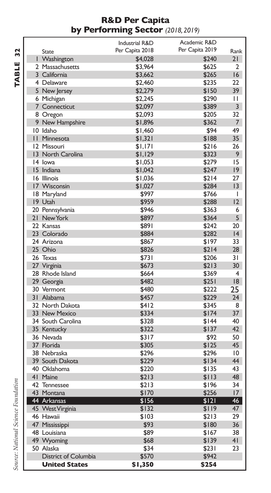#### **R&D Per Capita by Performing Sector** *(2018, 2019)*

TABLE 32 **TABLE 32**

|                          | <b>Industrial R&amp;D</b> | Academic R&D    |                 |
|--------------------------|---------------------------|-----------------|-----------------|
| <b>State</b>             | Per Capita 2018           | Per Capita 2019 | Rank            |
| I Washington             | \$4,028                   | \$240           | 21              |
| 2 Massachusetts          | \$3,964                   | \$625           | 2               |
| 3 California             | \$3,662                   | \$265           | 16              |
| 4 Delaware               | \$2,460                   | \$235           | 22              |
| 5 New Jersey             | \$2,279                   | \$150           | 39              |
| 6 Michigan               | \$2,245                   | \$290           | П               |
| 7 Connecticut            | \$2,097                   | \$389           | 3               |
| 8 Oregon                 | \$2,093                   | \$205           | 32              |
| 9 New Hampshire          | \$1,896                   | \$362           | 7               |
| 10 Idaho                 | \$1,460                   | \$94            | 49              |
| <b>II</b> Minnesota      | \$1,321                   | \$188           | 35              |
| 12 Missouri              | \$1,171                   | \$216           | 26              |
| 13 North Carolina        | \$1,129                   | \$323           | 9               |
| 14 lowa                  | \$1,053                   | \$279           | 15              |
| 15 Indiana               | \$1,042                   | \$247           | 9               |
| 16 Illinois              | \$1,036                   | \$214           | 27              |
| 17 Wisconsin             | \$1,027                   | \$284           | 13              |
| 18 Maryland              | \$997                     | \$766           | I               |
| 19 Utah                  | \$959                     | \$288           | 12              |
| 20 Pennsylvania          | \$946                     | \$363           | 6               |
| 21 New York              | \$897                     | \$364           | 5               |
| 22 Kansas                | \$891                     | \$242           | 20              |
| 23 Colorado              | \$884                     | \$282           | 4               |
| 24 Arizona               | \$867                     | \$197           | 33              |
| 25 Ohio                  | \$826                     | \$214           | 28              |
| 26 Texas                 | \$731                     | \$206           | 31              |
| 27 Virginia              | \$673                     | \$213           | 30              |
| 28 Rhode Island          | \$664                     | \$369           | $\overline{4}$  |
| 29 Georgia               | \$482                     | \$251           | 18              |
| 30 Vermont               | \$480                     | \$222           | 25              |
| 31 Alabama               | \$457                     | \$229           | 24              |
| 32 North Dakota          | \$412                     | \$345           | 8               |
| 33 New Mexico            | \$334                     | \$174           | 37              |
| 34 South Carolina        | \$328                     | \$144           | 40              |
|                          |                           |                 | 42              |
| 35 Kentucky<br>36 Nevada | \$322                     | \$137           |                 |
| 37 Florida               | \$317                     | \$92            | 50<br>45        |
|                          | \$305                     | \$125           | $\overline{10}$ |
| 38 Nebraska              | \$296                     | \$296           |                 |
| 39 South Dakota          | \$229                     | \$134           | 44              |
| 40 Oklahoma              | \$220                     | \$135           | 43              |
| 41 Maine                 | \$213                     | \$113           | 48              |
| 42 Tennessee             | \$213                     | \$196           | 34              |
| 43 Montana               | \$170                     | \$256           | 17              |
| 44 Arkansas              | \$156                     | \$121           | 46              |
| 45 West Virginia         | \$132                     | \$119           | 47              |
| 46 Hawaii                | \$103                     | \$213           | 29              |
| 47 Mississippi           | \$93                      | \$180           | 36              |
| 48 Louisiana             | \$89                      | \$167           | 38              |
| 49 Wyoming               | \$68                      | \$139           | 41              |
| 50 Alaska                | \$34                      | \$231           | 23              |
| District of Columbia     | \$570                     | \$942           |                 |
| <b>United States</b>     | \$1,350                   | \$254           |                 |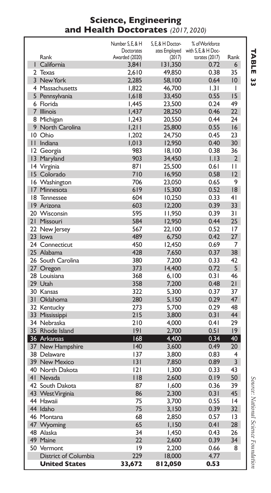#### **Science, Engineering and Health Doctorates** *(2017, 2020)*

|                 |                      | Number S. E. & H | S. E. & H Doctor- | % of Workforce                    |                 |
|-----------------|----------------------|------------------|-------------------|-----------------------------------|-----------------|
|                 |                      | Doctorates       |                   | ates Employed with S, E, & H Doc- |                 |
|                 | Rank                 | Awarded (2020)   | (2017)            | torates (2017)                    | Rank            |
|                 | I California         | 3,841            | 131,350           | 0.72                              | 6               |
|                 | 2 Texas              | 2,610            | 49,850            | 0.38                              | 35              |
|                 | 3 New York           | 2,285            | 58,100            | 0.64                              | $10^{\circ}$    |
|                 | 4 Massachusetts      | 1,822            | 46,700            | 1.31                              | I               |
|                 | 5 Pennsylvania       | 1,618            | 33,450            | 0.55                              | 15              |
|                 | 6 Florida            | I,445            | 23,500            | 0.24                              | 49              |
|                 | 7 Illinois           | 1,437            | 28,250            | 0.46                              | $22 \,$         |
|                 | 8 Michigan           | 1,243            | 20,550            | 0.44                              | 24              |
| 9               | North Carolina       | 1,211            | 25,800            | 0.55                              | 16              |
|                 | 10 Ohio              | 1,202            | 24,750            | 0.45                              | 23              |
|                 | II Indiana           | 1,013            | 12,950            | 0.40                              | 30 <sup>°</sup> |
|                 | 12 Georgia           | 983              | 18,100            | 0.38                              | 36              |
| $\overline{13}$ | Maryland             | 903              | 34,450            | 1.13                              | $\overline{2}$  |
|                 | 14 Virginia          | 871              | 25,500            | 0.61                              | $\mathbf{H}$    |
|                 | 15 Colorado          | 710              | 16,950            | 0.58                              | 12              |
|                 | 16 Washington        | 706              | 23.050            | 0.65                              | 9               |
| 17              | Minnesota            | 619              | 15,300            | 0.52                              | 18              |
|                 | 18 Tennessee         | 604              | 10,250            | 0.33                              | 4 <sub>1</sub>  |
|                 | 19 Arizona           | 603              | 12,200            | 0.39                              | 33              |
|                 | 20 Wisconsin         | 595              | 11,950            | 0.39                              | $\overline{3}1$ |
|                 | 21 Missouri          | 584              | 12,950            | 0.44                              | 25              |
|                 | 22 New Jersey        | 567              | 22,100            | 0.52                              | 17              |
|                 | 23 lowa              | 489              | 6,750             | 0.42                              | 27              |
|                 | 24 Connecticut       | 450              | 12,450            | 0.69                              | 7               |
|                 | 25 Alabama           | 428              | 7,650             | 0.37                              | 38              |
|                 | 26 South Carolina    | 380              | 7,200             | 0.33                              | 42              |
|                 | 27 Oregon            | 373              | 14,400            | 0.72                              | 5               |
|                 | 28 Louisiana         | 368              | 6,100             | 0.31                              | 46              |
|                 | 29 Utah              | 358              | 7,200             | 0.48                              | 21              |
|                 | 30 Kansas            | 322              | 5,300             | 0.37                              | 37              |
|                 | 31 Oklahoma          | 280              | 5,150             | 0.29                              | 47              |
|                 | 32 Kentucky          | 273              | 5,700             | 0.29                              | 48              |
|                 | 33 Mississippi       | 215              | 3,800             | 0.31                              | 44              |
|                 | 34 Nebraska          | 210              | 4,000             | 0.41                              | 29              |
|                 | 35 Rhode Island      | 9                | 2,700             | 0.51                              | 9               |
|                 | 36 Arkansas          | 168              | 4,400             | 0.34                              | 40              |
|                 | 37 New Hampshire     | 140              | 3,600             | 0.49                              | 20              |
|                 | 38 Delaware          | 137              | 3,800             | 0.83                              | 4               |
|                 | 39 New Mexico        | 3                | 7,850             | 0.89                              | $\overline{3}$  |
|                 | 40 North Dakota      | 2                | 1,300             | 0.33                              | 43              |
|                 | 41 Nevada            | 118              | 2,600             | 0.19                              | 50              |
|                 | 42 South Dakota      | 87               | 1,600             | 0.36                              | 39              |
|                 | 43 West Virginia     | 86               | 2,300             | 0.31                              | 45              |
|                 | 44 Hawaii            | 75               | 3,700             | 0.55                              | 4               |
|                 | 44 Idaho             | 75               | 3,150             | 0.39                              | 32 <sub>2</sub> |
|                 | 46 Montana           | 68               | 2,850             | 0.57                              | 13              |
|                 | 47 Wyoming           | 65               | 1,150             | 0.41                              | 28              |
|                 | 48 Alaska            | 34               | 1,450             | 0.43                              | 26              |
|                 | 49 Maine             | 22               | 2,600             | 0.39                              | 34              |
|                 | 50 Vermont           | 9                | 2,200             | 0.66                              | 8               |
|                 | District of Columbia | 229              | 18,000            | 4.77                              |                 |
|                 | <b>United States</b> | 33,672           | 812,050           | 0.53                              |                 |
|                 |                      |                  |                   |                                   |                 |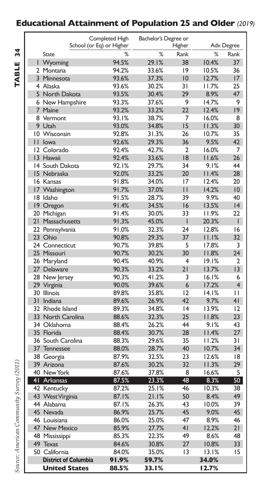### **Educational Attainment of Population 25 and Older** *(2019)*

|                 |                             | Completed High           | Bachelor's Degree or |        |       |                 |
|-----------------|-----------------------------|--------------------------|----------------------|--------|-------|-----------------|
|                 |                             | School (or Eq) or Higher |                      | Higher |       | Adv. Degree     |
|                 | State                       | ℀                        | %                    | Rank   | %     | Rank            |
| ı               | Wyoming                     | 94.5%                    | 29.1%                | 38     | 10.4% | 37              |
|                 | 2 Montana                   | 94.2%                    | 33.6%                | 9      | 10.5% | 36              |
|                 | 3 Minnesota                 | 93.6%                    | 37.3%                | 10     | 12.7% | 17              |
|                 | 4 Alaska                    | 93.6%                    | 30.2%                | 31     | 11.7% | 25              |
|                 | 5 North Dakota              | 93.5%                    | 30.4%                | 29     | 8.9%  | 47              |
|                 | 6 New Hampshire             | 93.3%                    | 37.6%                | 9      | 14.7% | 9               |
| $\overline{7}$  | Maine                       | 93.2%                    | 33.2%                | 22     | 12.4% | 9               |
|                 | 8 Vermont                   | 93.1%                    | 38.7%                | 7      | 16.0% | 8               |
|                 | 9 Utah                      | 93.0%                    | 34.8%                | 15     | 11.3% | 30              |
|                 | 10 Wisconsin                | 92.8%                    | 31.3%                | 26     | 10.7% | 35              |
| П               | lowa                        | 92.6%                    | 29.3%                | 36     | 9.5%  | 42              |
|                 | 12 Colorado                 | 92.4%                    | 42.7%                | 2      | 16.0% | 7               |
|                 | 13 Hawaii                   | 92.4%                    | 33.6%                | 18     | 11.6% | 26              |
|                 | 14 South Dakota             | 92.1%                    | 29.7%                | 34     | 9.1%  | 44              |
|                 | 15 Nebraska                 | 92.0%                    | 33.2%                | 20     | 11.4% | 28              |
|                 | 16 Kansas                   | 91.8%                    | 34.0%                | 17     | 12.4% | 20              |
|                 | 17 Washington               | 91.7%                    | 37.0%                | П      | 14.2% | 10              |
|                 | 18 Idaho                    | 91.5%                    | 28.7%                | 39     | 9.9%  | 40              |
|                 | 19 Oregon                   | 91.4%                    | 34.5%                | 16     | 13.5% | 4               |
|                 | 20 Michigan                 | 91.4%                    | 30.0%                | 33     | 11.9% | 22              |
| 21              | Massachusetts               | 91.3%                    | 45.0%                | ı      | 20.3% | T               |
|                 | 22 Pennsylvania             | 91.0%                    | 32.3%                | 24     | 12.8% | 16              |
|                 | 23 Ohio                     | 90.8%                    | 29.3%                | 37     | 11.1% | 32              |
|                 | 24 Connecticut              | 90.7%                    | 39.8%                | 5      | 17.8% | 3               |
|                 | 25 Missouri                 | 90.7%                    | 30.2%                | 30     | 11.8% | 24              |
|                 | 26 Maryland                 | 90.4%                    | 40.9%                | 4      | 19.1% | 2               |
|                 | 27 Delaware                 | 90.3%                    | 33.2%                | 21     | 13.7% | 3               |
|                 | 28 New Jersey               | 90.3%                    | 41.2%                | 3      | 16.1% | 6               |
|                 | 29 Virginia                 | 90.0%                    | 39.6%                | 6      | 17.2% | $\overline{4}$  |
|                 | 30 Illinois                 | 89.8%                    | 35.8%                | 12     | 14.1% | Н               |
|                 | 31 Indiana                  | 89.6%                    | 26.9%                | 47     | 9.7%  | 41              |
|                 | 32 Rhode Island             | 89.3%                    | 34.8%                | 4      | 13.9% | 12              |
| 33 <sup>2</sup> | North Carolina              | 88.6%                    | 32.3%                | 25     | 11.8% | 23              |
|                 | 34 Oklahoma                 | 88.4%                    | 26.2%                | 44     | 9.1%  | 43              |
|                 | 35 Florida                  | 88.4%                    | 30.7%                | 28     | 11.4% | 27              |
|                 | 36 South Carolina           | 88.3%                    | 29.6%                | 35     | 11.2% | $\overline{3}1$ |
| 37              | Tennessee                   | 88.0%                    | 28.7%                | 40     | 10.7% | 34              |
|                 | 38 Georgia                  | 87.9%                    | 32.5%                | 23     | 12.6% | 18              |
|                 | 39 Arizona                  | 87.6%                    | 30.2%                | 32     | 11.3% | 29              |
|                 | 40 New York                 | 87.6%                    | 37.8%                | 8      | 16.6% | 5               |
| S               | 41 Arkansas                 | 87.5%                    | 23.3%                | 48     | 8.3%  | 50              |
|                 | 42 Kentucky                 | 87.2%                    | 25.1%                | 46     | 10.3% | 38              |
| S               | 43 West Virginia            | 87.1%                    | 21.1%                | 50     | 8.4%  | 49              |
|                 | 44 Alabama                  | 87.1%                    | 26.3%                | 43     | 10.0% | 39              |
|                 | 45 Nevada                   | 86.9%                    | 25.7%                | 45     | 9.0%  | 45              |
|                 | 46 Louisiana                | 86.0%                    | 25.0%                | 47     | 8.9%  | 46              |
|                 | 47 New Mexico               | 85.9%                    | 27.7%                | 41     | 12.2% | 21              |
|                 | 48 Mississippi              | 85.3%                    | 22.3%                | 49     | 8.6%  | 48              |
|                 | 49 Texas                    | 84.6%                    | 30.8%                | 27     | 10.8% | 33              |
| 50              | California                  | 84.0%                    | 35.0%                | 13     | 13.1% | 15              |
|                 | <b>District of Columbia</b> | 91.9%                    | 59.7%                |        | 34.0% |                 |
|                 | <b>United States</b>        | 88.5%                    | 33.1%                |        | 12.7% |                 |

TABLE 34 **TABLE 34**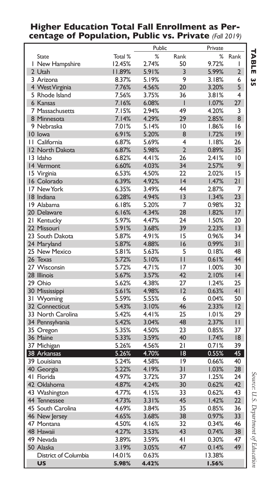#### **Higher Education Total Fall Enrollment as Percentage of Population, Public vs. Private** *(Fall 2019)*

|                            |         | Public |                | Private |                 |
|----------------------------|---------|--------|----------------|---------|-----------------|
| State                      | Total % | %      | Rank           | %       | Rank            |
| I New Hampshire            | 12.45%  | 2.74%  | 50             | 9.72%   | I               |
| 2 Utah                     | 11.89%  | 5.91%  | 3              | 5.99%   | $\overline{2}$  |
| 3 Arizona                  | 8.37%   | 5.19%  | 9              | 3.18%   | 6               |
| 4 West Virginia            | 7.76%   | 4.56%  | 20             | 3.20%   | 5               |
| 5 Rhode Island             | 7.56%   | 3.75%  | 36             | 3.81%   | 4               |
| 6 Kansas                   | 7.16%   | 6.08%  | ı              | 1.07%   | 27              |
| 7 Massachusetts            | 7.15%   | 2.94%  | 49             | 4.20%   | 3               |
| 8 Minnesota                | 7.14%   | 4.29%  | 29             | 2.85%   | 8               |
| 9 Nebraska                 | 7.01%   | 5.14%  | 10             | 1.86%   | 16              |
| 10 lowa                    | 6.91%   | 5.20%  | 8              | 1.72%   | $ 9\rangle$     |
| II California              | 6.87%   | 5.69%  | 4              | 1.18%   | 26              |
| 12 North Dakota            | 6.87%   | 5.98%  | $\overline{2}$ | 0.89%   | 35              |
| 13 Idaho                   | 6.82%   | 4.41%  | 26             | 2.41%   | 10              |
| 14 Vermont                 | 6.60%   | 4.03%  | 34             | 2.57%   | 9               |
|                            | 6.53%   | 4.50%  | 22             | 2.02%   | 15              |
| 15 Virginia<br>16 Colorado | 6.39%   | 4.92%  | 4              | 1.47%   | 21              |
|                            |         |        | 44             |         |                 |
| 17 New York                | 6.35%   | 3.49%  |                | 2.87%   | 7               |
| 18 Indiana                 | 6.28%   | 4.94%  | 13             | 1.34%   | 23              |
| 19 Alabama                 | 6.18%   | 5.20%  | 7              | 0.98%   | 32              |
| 20 Delaware                | 6.16%   | 4.34%  | 28             | 1.82%   | 17              |
| 21 Kentucky                | 5.97%   | 4.47%  | 24             | 1.50%   | 20              |
| 22 Missouri                | 5.91%   | 3.68%  | 39             | 2.23%   | 13              |
| 23 South Dakota            | 5.87%   | 4.91%  | 15             | 0.96%   | 34              |
| 24 Maryland                | 5.87%   | 4.88%  | 16             | 0.99%   | 31              |
| 25 New Mexico              | 5.81%   | 5.63%  | 5              | 0.18%   | 48              |
| 26 Texas                   | 5.72%   | 5.10%  | $\mathbf{H}$   | 0.61%   | 44              |
| 27 Wisconsin               | 5.72%   | 4.71%  | 17             | 1.00%   | 30              |
| 28 Illinois                | 5.67%   | 3.57%  | 42             | 2.10%   | 4               |
| 29 Ohio                    | 5.62%   | 4.38%  | 27             | 1.24%   | 25              |
| 30 Mississippi             | 5.61%   | 4.98%  | 12             | 0.63%   | 4 <sub>1</sub>  |
| 31 Wyoming                 | 5.59%   | 5.55%  | 6              | 0.04%   | 50              |
| 32 Connecticut             | 5.43%   | 3.10%  | 46             | 2.33%   | 12              |
| 33 North Carolina          | 5.42%   | 4.41%  | 25             | 1.01%   | 29              |
| 34 Pennsylvania            | 5.42%   | 3.04%  | 48             | 2.37%   | $\mathsf{L}$    |
| 35 Oregon                  | 5.35%   | 4.50%  | 23             | 0.85%   | 37              |
| 36 Maine                   | 5.33%   | 3.59%  | 40             | 1.74%   | 18              |
| 37 Michigan                | 5.26%   | 4.56%  | 21             | 0.71%   | 39              |
| 38 Arkansas                | 5.26%   | 4.70%  | 18             | 0.55%   | 45              |
| 39 Louisiana               | 5.24%   | 4.58%  | 9              | 0.66%   | 40              |
| 40 Georgia                 | 5.22%   | 4.19%  | 31             | 1.03%   | 28              |
| 41 Florida                 | 4.97%   | 3.72%  | 37             | 1.25%   | 24              |
| 42 Oklahoma                | 4.87%   | 4.24%  | 30             | 0.62%   | 42              |
|                            | 4.77%   | 4.15%  | 33             | 0.62%   | 43              |
| 43 Washington              |         |        |                |         |                 |
| 44 Tennessee               | 4.73%   | 3.31%  | 45             | 1.42%   | 22 <sub>1</sub> |
| 45 South Carolina          | 4.69%   | 3.84%  | 35             | 0.85%   | 36              |
| 46 New Jersey              | 4.65%   | 3.68%  | 38             | 0.97%   | 33              |
| 47 Montana                 | 4.50%   | 4.16%  | 32             | 0.34%   | 46              |
| 48 Hawaii                  | 4.27%   | 3.53%  | 43             | 0.74%   | 38              |
| 49 Nevada                  | 3.89%   | 3.59%  | 41             | 0.30%   | 47              |
| 50 Alaska                  | 3.19%   | 3.05%  | 47             | 0.14%   | 49              |
| District of Columbia       | 14.01%  | 0.63%  |                | 13.38%  |                 |
| <b>US</b>                  | 5.98%   | 4.42%  |                | 1.56%   |                 |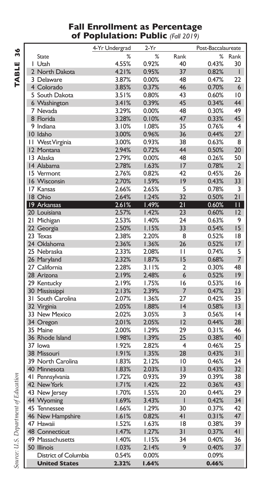#### **Fall Enrollment as Percentage of Poplulation: Public** *(Fall 2019)*

TABLE 36 **TABLE 36**

|                       | 4-Yr Undergrad | $2-Yr$ |                         | Post-Baccalaureate |                 |
|-----------------------|----------------|--------|-------------------------|--------------------|-----------------|
| <b>State</b>          | %              | %      | Rank                    | %                  | Rank            |
| I Utah                | 4.55%          | 0.92%  | 40                      | 0.43%              | 30              |
| 2 North Dakota        | 4.21%          | 0.95%  | 37                      | 0.82%              | T               |
| 3 Delaware            | 3.87%          | 0.00%  | 48                      | 0.47%              | 22              |
| 4 Colorado            | 3.85%          | 0.37%  | 46                      | 0.70%              | 6               |
| 5 South Dakota        | 3.51%          | 0.80%  | 43                      | 0.60%              | 10              |
| 6 Washington          | 3.41%          | 0.39%  | 45                      | 0.34%              | 44              |
| 7 Nevada              | 3.29%          | 0.00%  | 48                      | 0.30%              | 49              |
| 8 Florida             | 3.28%          | 0.10%  | 47                      | 0.33%              | 45              |
| 9 Indiana             | 3.10%          | 1.08%  | 35                      | 0.76%              | $\overline{4}$  |
| 10 Idaho              | 3.00%          | 0.96%  | 36                      | 0.44%              | 27              |
|                       | 3.00%          |        | 38                      | 0.63%              | 8               |
| II West Virginia      |                | 0.93%  |                         |                    |                 |
| 12 Montana            | 2.94%          | 0.72%  | 44<br>48                | 0.50%              | 20              |
| 13 Alaska             | 2.79%          | 0.00%  |                         | 0.26%              | 50              |
| 14 Alabama            | 2.78%          | 1.63%  | 17                      | 0.78%              | $\overline{2}$  |
| 15 Vermont            | 2.76%          | 0.82%  | 42                      | 0.45%              | 26              |
| 16 Wisconsin          | 2.70%          | 1.59%  | 9                       | 0.43%              | 33              |
| 17 Kansas             | 2.66%          | 2.65%  | 5                       | 0.78%              | 3               |
| 18 Ohio               | 2.64%          | 1.24%  | 32                      | 0.50%              | 21              |
| 19 Arkansas           | 2.61%          | 1.49%  | 21                      | 0.60%              | Ш               |
| 20 Louisiana          | 2.57%          | 1.42%  | 23                      | 0.60%              | 12              |
| 21 Michigan           | 2.53%          | 1.40%  | 24                      | 0.63%              | 9               |
| 22 Georgia            | 2.50%          | 1.15%  | 33                      | 0.54%              | 15              |
| 23 Texas              | 2.38%          | 2.20%  | 8                       | 0.52%              | 18              |
| 24 Oklahoma           | 2.36%          | 1.36%  | 26                      | 0.52%              | 17              |
| 25 Nebraska           | 2.33%          | 2.08%  | П                       | 0.74%              | 5               |
| 26 Maryland           | 2.32%          | 1.87%  | 15                      | 0.68%              | 7               |
| 27 California         | 2.28%          | 3.11%  | $\overline{2}$          | 0.30%              | 48              |
| 28 Arizona            | 2.19%          | 2.48%  | 6                       | 0.52%              | 9               |
| 29 Kentucky           | 2.19%          | 1.75%  | 16                      | 0.53%              | 16              |
| 30 Mississippi        | 2.13%          | 2.39%  | 7                       | 0.47%              | 23              |
| 31 South Carolina     | 2.07%          | 1.36%  | 27                      | 0.42%              | 35              |
| 32 Virginia           | 2.05%          | 1.88%  | 4                       | 0.58%              | 13              |
| 33 New Mexico         | 2.02%          | 3.05%  | 3                       | 0.56%              | 4               |
| 34 Oregon             | 2.01%          | 2.05%  | 12                      | 0.44%              | 28              |
| 35 Maine              | 2.00%          | 1.29%  | 29                      | 0.31%              | 46              |
| 36 Rhode Island       | 1.98%          | 1.39%  | 25                      | 0.38%              | 40              |
| 37 Iowa               | 1.92%          | 2.82%  | $\overline{\mathbf{4}}$ | 0.46%              | 25              |
| 38 Missouri           | 1.91%          | 1.35%  | 28                      | 0.43%              | $\overline{31}$ |
| 39 North Carolina     | 1.83%          | 2.12%  | $\overline{10}$         | 0.46%              | 24              |
| 40 Minnesota          | 1.83%          | 2.03%  | 13                      | 0.43%              | 32              |
|                       | 1.72%          | 0.93%  | 39                      | 0.39%              | 38              |
| 41 Pennsylvania       | 1.71%          | 1.42%  | 22                      | 0.36%              | 43              |
| 42 New York           |                |        |                         |                    |                 |
| 43 New Jersey         | 1.70%          | 1.55%  | 20                      | 0.44%              | 29              |
| 44 Wyoming            | 1.69%          | 3.43%  | T                       | 0.42%              | 34              |
| 45 Tennessee          | 1.66%          | 1.29%  | 30                      | 0.37%              | 42              |
| 46 New Hampshire      | 1.61%          | 0.82%  | 4 <sub>1</sub>          | 0.31%              | 47              |
| 47 Hawaii             | 1.52%          | 1.63%  | 18                      | 0.38%              | 39              |
| <b>48 Connecticut</b> | 1.47%          | 1.27%  | 31                      | 0.37%              | 4 <sub>1</sub>  |
| 49 Massachusetts      | 1.40%          | 1.15%  | 34                      | 0.40%              | 36              |
| 50 Illinois           | 1.03%          | 2.14%  | 9                       | 0.40%              | 37              |
| District of Columbia  | 0.54%          | 0.00%  |                         | 0.09%              |                 |
| <b>United States</b>  | 2.32%          | 1.64%  |                         | 0.46%              |                 |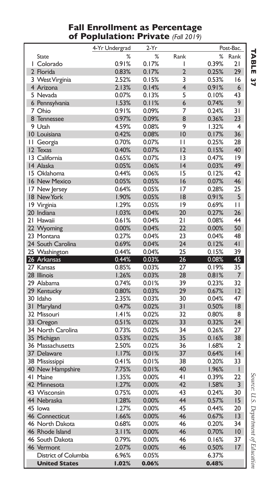#### **Fall Enrollment as Percentage of Poplulation: Private** *(Fall 2019)*

|                       | 4-Yr Undergrad | 2-Yr           |                         |                | Post-Bac.      |
|-----------------------|----------------|----------------|-------------------------|----------------|----------------|
| State                 | %              | %              | Rank                    | ℅              | Rank           |
| I Colorado            | 0.91%          | 0.17%          | ı                       | 0.39%          | 21             |
| 2 Florida             | 0.83%          | 0.17%          | $\overline{2}$          | 0.25%          | 29             |
| 3 West Virginia       | 2.52%          | 0.15%          | 3                       | 0.53%          | 16             |
| 4 Arizona             | 2.13%          | 0.14%          | $\overline{\mathbf{4}}$ | 0.91%          | 6              |
| 5 Nevada              | 0.07%          | 0.13%          | 5                       | 0.10%          | 43             |
| 6 Pennsylvania        | 1.53%          | 0.11%          | 6                       | 0.74%          | 9              |
| 7 Ohio                | 0.91%          | 0.09%          | 7                       | 0.24%          | 31             |
| 8 Tennessee           | 0.97%          | 0.09%          | 8                       | 0.36%          | 23             |
| 9 Utah                | 4.59%          | 0.08%          | 9                       | 1.32%          | 4              |
| 10 Louisiana          | 0.42%          | 0.08%          | 10                      | 0.17%          | 36             |
| II Georgia            | 0.70%          | 0.07%          | П                       | 0.25%          | 28             |
| 12 Texas              | 0.40%          | 0.07%          | 12                      | 0.15%          | 40             |
| 13 California         | 0.65%          | 0.07%          | 13                      | 0.47%          | 9              |
| 14 Alaska             | 0.05%          | 0.06%          | 4                       | 0.03%          | 49             |
| 15 Oklahoma           | 0.44%          | 0.06%          | 15                      | 0.12%          | 42             |
| 16 New Mexico         | 0.05%          | 0.05%          | 16                      | 0.07%          | 46             |
| 17 New Jersey         | 0.64%          | 0.05%          | 17                      | 0.28%          | 25             |
| 18 New York           | 1.90%          | 0.05%          | 18                      | 0.91%          | 5              |
| 19 Virginia           | 1.29%          | 0.05%          | 9                       | 0.69%          | П              |
| 20 Indiana            | 1.03%          | 0.04%          | 20                      | 0.27%          | 26             |
| 21 Hawaii             | 0.61%          | 0.04%          | 21                      | 0.08%          | 44             |
| 22 Wyoming            | 0.00%          | 0.04%          | 22                      | 0.00%          | 50             |
| 23 Montana            | 0.27%          | 0.04%          | 23                      | 0.04%          | 48             |
| 24 South Carolina     | 0.69%          | 0.04%          | 24                      | 0.12%          | 4 <sub>l</sub> |
| 25 Washington         | 0.44%          | 0.04%          | 25                      | 0.15%          | 39             |
| 26 Arkansas           | 0.44%          | 0.03%          | 26                      | 0.08%          | 45             |
| 27 Kansas             | 0.85%          | 0.03%          | 27                      | 0.19%          | 35             |
| 28 Illinois           | 1.26%          | 0.03%          | 28                      | 0.81%          | 7              |
| 29 Alabama            | 0.74%          | 0.01%          | 39                      | 0.23%          | 32             |
| 29 Kentucky           | 0.80%          | 0.03%          | 29                      | 0.67%          | 12             |
| 30 Idaho              | 2.35%          | 0.03%          | 30                      | 0.04%          | 47             |
| 31 Maryland           | 0.47%          | 0.02%          | 31                      | 0.50%          | 18             |
| 32 Missouri           | 1.41%          | 0.02%          | 32                      | 0.80%          | 8              |
| 33 Oregon             | 0.51%          | 0.02%          | 33                      | 0.32%          | 24             |
| 34 North Carolina     | 0.73%          | 0.02%          | 34                      | 0.26%          | 27             |
| 35 Michigan           | 0.53%          | 0.02%          | 35                      | 0.16%          | 38             |
| 36 Massachusetts      | 2.50%          |                | 36                      |                | $\overline{2}$ |
| 37 Delaware           | 1.17%          | 0.02%<br>0.01% | 37                      | 1.68%<br>0.64% | 4              |
|                       |                |                |                         |                |                |
| 38 Mississippi        | 0.41%<br>7.75% | 0.01%<br>0.01% | 38<br>40                | 0.20%<br>1.96% | 33<br>I        |
| 40 New Hampshire      |                |                | 41                      |                |                |
| 41 Maine              | 1.35%          | 0.00%          | 42                      | 0.39%          | 22<br>3        |
| 42 Minnesota          | 1.27%          | 0.00%          | 43                      | 1.58%          | 30             |
| 43 Wisconsin          | 0.75%          | 0.00%          |                         | 0.24%          |                |
| 44 Nebraska           | 1.28%          | 0.00%          | 44                      | 0.57%          | 15             |
| 45 lowa               | 1.27%          | $0.00\%$       | 45                      | 0.44%          | 20             |
| <b>46 Connecticut</b> | 1.66%          | 0.00%          | 46                      | 0.67%          | 13             |
| 46 North Dakota       | 0.68%          | 0.00%          | 46                      | 0.20%          | 34             |
| 46 Rhode Island       | 3.11%          | 0.00%          | 46                      | 0.70%          | 10             |
| 46 South Dakota       | 0.79%          | 0.00%          | 46                      | 0.16%          | 37             |
| 46 Vermont            | 2.07%          | 0.00%          | 46                      | 0.50%          | 17             |
| District of Columbia  | 6.96%          | 0.05%          |                         | 6.37%          |                |
| <b>United States</b>  | 1.02%          | 0.06%          |                         | 0.48%          |                |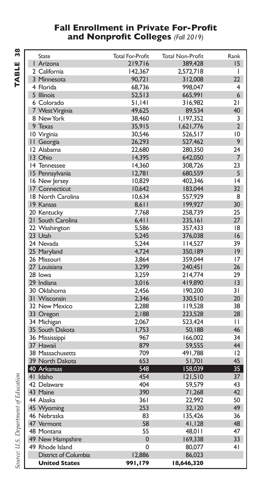#### **Fall Enrollment in Private For-Profit and Nonprofit Colleges** *(Fall 2019)*

| <b>State</b>         | <b>Total For-Profit</b> | <b>Total Non-Profit</b> | Rank            |
|----------------------|-------------------------|-------------------------|-----------------|
| I Arizona            | 219,716                 | 389,428                 | 15              |
| 2 California         | 142,367                 | 2,572,718               | I               |
| 3 Minnesota          | 90,721                  | 312,008                 | 22              |
| 4 Florida            | 68,736                  | 998,047                 | 4               |
| 5 Illinois           | 52,513                  | 665.991                 | 6               |
| 6 Colorado           | 51,141                  | 316,982                 | 21              |
| 7 West Virginia      | 49,625                  | 89,534                  | 40              |
| 8 New York           | 38,460                  | 1,197,352               | 3               |
| 9 Texas              | 35,915                  | 1,621,776               | $\overline{2}$  |
| 10 Virginia          | 30,546                  | 526,517                 | $\overline{10}$ |
| II Georgia           | 26,293                  | 527,462                 | 9               |
| 12 Alabama           | 22,680                  | 280,350                 | 24              |
| 13 Ohio              | 14,395                  | 642.050                 | 7               |
| 14 Tennessee         | 14,360                  | 308,726                 | 23              |
| 15 Pennsylvania      | 12,781                  | 680,559                 | 5               |
| 16 New Jersey        | 10,829                  | 402,346                 | 4               |
| 17 Connecticut       | 10,642                  | 183,044                 | 32              |
| 18 North Carolina    | 10.634                  | 557,929                 | 8               |
| 19 Kansas            | 8,611                   | 199,927                 | 30              |
| 20 Kentucky          | 7,768                   | 258,739                 | 25              |
| 21 South Carolina    | 6,411                   | 235,161                 | 27              |
| 22 Washington        | 5,586                   | 357,433                 | 18              |
| 23 Utah              | 5,245                   | 376,038                 | 16              |
| 24 Nevada            | 5,244                   | 14,527                  | 39              |
| 25 Maryland          | 4,724                   | 350,189                 | $ 9\rangle$     |
| 26 Missouri          | 3,864                   | 359,044                 | 17              |
| 27 Louisiana         | 3,299                   | 240,451                 | 26              |
| 28 lowa              | 3,259                   | 214,774                 | 29              |
| 29 Indiana           | 3,016                   | 419,890                 | 13              |
| 30 Oklahoma          | 2,456                   | 190,200                 | 31              |
| 31 Wisconsin         | 2,346                   | 330,510                 | 20              |
| 32 New Mexico        | 2,288                   | 119,528                 | 38              |
| 33 Oregon            | 2,188                   | 223,528                 | 28              |
| 34 Michigan          | 2,067                   | 523,424                 | $\mathbf{H}$    |
| 35 South Dakota      | 1,753                   | 50,188                  | 46              |
| 36 Mississippi       | 967                     | 166,002                 | 34              |
| 37 Hawaii            | 879                     | 59,555                  | 44              |
| 38 Massachusetts     | 709                     | 491,788                 | 12              |
| 39 North Dakota      | 653                     | 51,701                  | 45              |
| 40 Arkansas          | 548                     | 158,039                 | 35 <sup>2</sup> |
| 41 Idaho             | 454                     | 121,510                 | 37              |
| 42 Delaware          | 404                     | 59,579                  | 43              |
| 43 Maine             | 390                     | 71,268                  | 42              |
| 44 Alaska            | 361                     | 22,992                  | 50              |
| 45 Wyoming           | 253                     | 32,120                  | 49              |
| 46 Nebraska          | 83                      | 135,426                 | 36              |
| 47 Vermont           | 58                      | 41,128                  | 48              |
| 48 Montana           | 55                      | 48,011                  | 47              |
| 49 New Hampshire     | $\mathbf{0}$            | 169,338                 | 33              |
| 49 Rhode Island      | $\mathbf 0$             | 80,077                  | 4 <sub>1</sub>  |
| District of Columbia | 12,886                  | 86,023                  |                 |
| <b>United States</b> | 991,179                 | 18,646,320              |                 |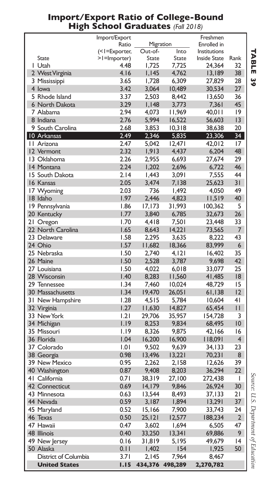|                      | Import/Export          |                      |              | Freshmen                    |                |
|----------------------|------------------------|----------------------|--------------|-----------------------------|----------------|
|                      | Ratio<br>(<1=Exporter, | Migration<br>Out-of- | Into         | Enrolled in<br>Institutions |                |
| State                | >I=Importer)           | State                | <b>State</b> | <b>Inside State</b>         | Rank           |
| I Utah               | 4.48                   | 1,725                | 7,725        | 24,364                      | 32             |
| 2 West Virginia      | 4.16                   | 1,145                | 4,762        | 13,189                      | 38             |
| 3 Mississippi        | 3.65                   | 1.728                | 6,309        | 27,829                      | 28             |
| 4 lowa               | 3.42                   | 3,064                | 10,489       | 30,534                      | 27             |
| 5 Rhode Island       | 3.37                   | 2,503                | 8,442        | 13,650                      | 36             |
| 6 North Dakota       | 3.29                   | I, I48               | 3,773        | 7,361                       | 45             |
| 7 Alabama            | 2.94                   | 4.073                | 11,969       | 40,01 I                     | 9              |
| 8 Indiana            | 2.76                   | 5,994                | 16,522       | 56,603                      | 13             |
| 9 South Carolina     | 2.68                   | 3,853                | 10,318       | 38,638                      | 20             |
| 10 Arkansas          | 2.49                   | 2,346                | 5,835        | 23,306                      | 34             |
| II Arizona           | 2.47                   | 5.042                | 12.471       | 42,012                      | 17             |
| 12 Vermont           | 2.32                   | 1,913                | 4,437        | 6,204                       | 48             |
| 13 Oklahoma          | 2.26                   | 2,955                | 6,693        | 27,674                      | 29             |
| 14 Montana           | 2.24                   | 1,202                | 2,696        | 6,722                       | 46             |
| 15 South Dakota      | 2.14                   | 1,443                | 3,091        | 7,555                       | 44             |
| 16 Kansas            | 2.05                   | 3,474                | 7,138        | 25,623                      | 31             |
| 17 Wyoming           | 2.03                   | 736                  | 1,492        | 4,050                       | 49             |
| 18 Idaho             | 1.97                   | 2,446                | 4.823        | 11,519                      | 40             |
| 19 Pennsylvania      | 1.86                   | 17,173               | 31,993       | 100,362                     | 5              |
| 20 Kentucky          | 1.77                   | 3,840                | 6,785        | 32,673                      | 26             |
| 21 Oregon            | 1.70                   | 4,418                | 7,501        | 23,448                      | 33             |
| 22 North Carolina    | 1.65                   | 8,643                | 14,221       | 73,565                      | 7              |
| 23 Delaware          | 1.58                   | 2,295                | 3,635        | 8,222                       | 43             |
| 24 Ohio              | 1.57                   | 11,682               | 18,366       | 83,999                      | 6              |
| 25 Nebraska          | 1.50                   | 2,740                | 4,121        | 16,402                      | 35             |
| 26 Maine             | 1.50                   | 2,528                | 3,787        | 9,698                       | 42             |
| 27 Louisiana         | 1.50                   | 4,022                | 6,018        | 33,077                      | 25             |
| 28 Wisconsin         | 1.40                   | 8,283                | 11,560       | 41,485                      | 18             |
| 29 Tennessee         | 1.34                   | 7,460                | 10,024       | 48,729                      | 15             |
| 30 Massachusetts     | 1.34                   | 19,470               | 26,051       | 61,138                      | 12             |
| 31 New Hampshire     | 1.28                   | 4,515                | 5,784        | 10,604                      | 41             |
| 32 Virginia          | 1.27                   | 11,630               | 14,827       | 65,454                      | П              |
| 33 New York          | 1.21                   | 29,706               | 35,957       | 154,728                     | 3              |
| 34 Michigan          | 1.19                   | 8,253                | 9,834        | 68,495                      | 10             |
| 35 Missouri          | 1.19                   | 8,326                | 9,875        | 42,166                      | 16             |
| 36 Florida           | 1.04                   | 16,200               | 16,900       | 18,091                      | $\overline{4}$ |
| 37 Colorado          | 1.01                   | 9,502                | 9,639        | 34, I 33                    | 23             |
| 38 Georgia           | 0.98                   | 13,496               | 13,221       | 70,231                      | 8              |
| 39 New Mexico        | 0.95                   | 2,262                | 2,158        | 12,626                      | 39             |
| 40 Washington        | 0.87                   | 9,408                | 8,203        | 36,294                      | 22             |
| 41 California        | 0.71                   | 38,319               | 27,100       | 272,438                     | I              |
| 42 Connecticut       | 0.69                   | 14, 179              | 9,846        | 26,924                      | 30             |
| 43 Minnesota         | 0.63                   | 13,544               | 8,493        | 37,133                      | 21             |
| 44 Nevada            | 0.59                   | 3,187                | 1,894        | 13,291                      | 37             |
| 45 Maryland          | 0.52                   | 15,166               | 7,900        | 33,743                      | 24             |
| 46 Texas             | 0.50                   | 25, 121              | 12,577       | 188,234                     | $\overline{2}$ |
| 47 Hawaii            | 0.47                   | 3,602                | 1,694        | 6,505                       | 47             |
| <b>48 Illinois</b>   | 0.40                   | 33,250               | 13,341       | 69,886                      | 9              |
| 49 New Jersey        | 0.16                   | 31,819               | 5,195        | 49,679                      | 4              |
| 50 Alaska            | 0.11                   | 1,402                | 154          | 1,925                       | 50             |
| District of Columbia | 3.71                   | 2,145                | 7,964        | 8,467                       |                |
| <b>United States</b> | 1.15                   | 434,376              | 498,289      | 2,270,782                   |                |

#### **Import/Export Ratio of College-Bound High School Graduates** *(Fall 2018)*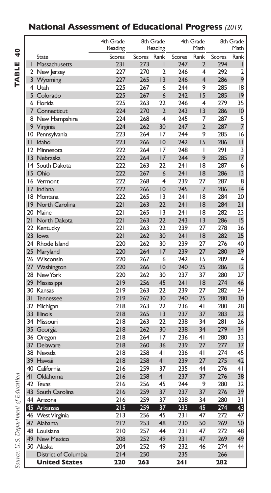### **National Assessment of Educational Progress** *(2019)*

TABLE 40 **TABLE 40**

|                 |                      | 4th Grade<br>Reading |               | 8th Grade<br>Reading |               | 4th Grade<br>Math       |               | 8th Grade<br>Math |
|-----------------|----------------------|----------------------|---------------|----------------------|---------------|-------------------------|---------------|-------------------|
|                 | State                | <b>Scores</b>        | <b>Scores</b> | Rank                 | <b>Scores</b> | Rank                    | <b>Scores</b> | Rank              |
| I               | Massachusetts        | 231                  | 273           | I                    | 247           | $\overline{2}$          | 294           | I                 |
|                 | 2 New Jersey         | 227                  | 270           | 2                    | 246           | $\overline{\mathbf{4}}$ | 292           | 2                 |
|                 | 3 Wyoming            | 227                  | 265           | 3                    | 246           | $\overline{4}$          | 286           | 9                 |
|                 | 4 Utah               | 225                  | 267           | 6                    | 244           | 9                       | 285           | 18                |
|                 | 5 Colorado           | 225                  | 267           | 6                    | 242           | 15                      | 285           | 9                 |
|                 | 6 Florida            | 225                  | 263           | 22                   | 246           | 4                       | 279           | 35                |
| 7               | Connecticut          | 224                  | 270           | $\overline{2}$       | 243           | 13                      | 286           | 10                |
| 8               | New Hampshire        | 224                  | 268           | $\overline{4}$       | 245           | 7                       | 287           | 5                 |
| 9               | Virginia             | 224                  | 262           | 30                   | 247           | $\overline{2}$          | 287           | 7                 |
|                 | 10 Pennsylvania      | 223                  | 264           | 17                   | 244           | 9                       | 285           | 16                |
| П               | Idaho                | 223                  | 266           | 10                   | 242           | 15                      | 286           | П                 |
|                 | 12 Minnesota         | 222                  | 264           | 17                   | 248           | I                       | 291           | 3                 |
| $\overline{3}$  | Nebraska             | 222                  | 264           | 17                   | 244           | 9                       | 285           | 17                |
| 14              | South Dakota         | 222                  | 263           | 22                   | 241           | 18                      | 287           | 6                 |
| 15              | Ohio                 | 222                  | 267           | 6                    | 241           | 18                      | 286           | 3                 |
| 16              | Vermont              | 222                  | 268           | $\overline{4}$       | 239           | 27                      | 287           | 8                 |
| 17              | Indiana              | 222                  | 266           | 10                   | 245           | 7                       | 286           | 4                 |
| 18              | Montana              | 222                  | 265           | 13                   | 241           | 8                       | 284           | 20                |
| 9               | North Carolina       | 221                  | 263           | 22                   | 241           | 18                      | 284           | 21                |
|                 | 20 Maine             | 221                  | 265           | 13                   | 241           | 8                       | 282           | 23                |
| 21              | North Dakota         | 221                  | 263           | 22                   | 243           | 3                       | 286           | 15                |
| 22              | Kentucky             | 221                  | 263           | 22                   | 239           | 27                      | 278           | 36                |
| 23 <sup>2</sup> | lowa                 | 221                  | 262           | 30                   | 241           | 18                      | 282           | 25                |
|                 | 24 Rhode Island      | 220                  | 262           | 30                   | 239           | 27                      | 276           | 40                |
|                 | 25 Maryland          | 220                  | 264           | 17                   | 239           | 27                      | 280           | 29                |
|                 | 26 Wisconsin         | 220                  | 267           | 6                    | 242           | 15                      | 289           | 4                 |
|                 | 27 Washington        | 220                  | 266           | 10                   | 240           | 25                      | 286           | 12                |
|                 | 28 New York          | 220                  | 262           | 30                   | 237           | 37                      | 280           | 27                |
| 29              | Mississippi          | 219                  | 256           | 45                   | 241           | 18                      | 274           | 46                |
|                 | 30 Kansas            | 219                  | 263           | 22                   | 239           | 27                      | 282           | 24                |
| 31              | Tennessee            | 219                  | 262           | 30                   | 240           | 25                      | 280           | 30                |
|                 | 32 Michigan          | 218                  | 263           | 22                   | 236           | 4 <sub>1</sub>          | 280           | 28                |
| 33              | <b>Illinois</b>      | 218                  | 265           | 3                    | 237           | 37                      | 283           | 22                |
|                 | 34 Missouri          | 218                  | 263           | 22                   | 238           | 34                      | 281           | 26                |
| 35              | Georgia              | 218                  | 262           | 30                   | 238           | 34                      | 279           | 34                |
| 36              | Oregon               | 218                  | 264           | 17                   | 236           | 4 <sub>1</sub>          | 280           | 33                |
| 37              | Delaware             | 218                  | 260           | 36                   | 239           | 27                      | 277           | 37                |
|                 | 38 Nevada            | 218                  | 258           | 41                   | 236           | 41                      | 274           | 45                |
|                 | 39 Hawaii            | 218                  | 258           | 4 <sub>1</sub>       | 239           | 27                      | 275           | 42                |
|                 | 40 California        | 216                  | 259           | 37                   | 235           | 44                      | 276           | 4 <sub>1</sub>    |
| 4 <sub>1</sub>  | Oklahoma             | 216                  | 258           | 4 <sub>1</sub>       | 237           | 37                      | 276           | 38                |
| 42              | Texas                | 216                  | 256           | 45                   | 244           | 9                       | 280           | 32                |
| 43              | South Carolina       | 216                  | 259           | 37                   | 237           | 37                      | 276           | 39                |
|                 | 44 Arizona           | 216                  | 259           | 37                   | 238           | 34                      | 280           | 31                |
|                 | 45 Arkansas          | 215                  | 259           | 37                   | 233           | 45                      | 274           | 43                |
|                 | 46 West Virginia     | 213                  | 256           | 45                   | 231           | 47                      | 272           | 47                |
| 47              | Alabama              | 212                  | 253           | 48                   | 230           | 50                      | 269           | 50                |
|                 | 48 Louisiana         | 210                  | 257           | 44                   | 231           | 47                      | 272           | 48                |
| 49              | <b>New Mexico</b>    | 208                  | 252           | 49                   | 231           | 47                      | 269           | 49                |
|                 | 50 Alaska            | 204                  | 252           | 49                   | 232           | 46                      | 274           | 44                |
|                 | District of Columbia | 214                  | 250           |                      | 235           |                         | 266           |                   |
|                 | <b>United States</b> | 220                  | 263           |                      | 241           |                         | 282           |                   |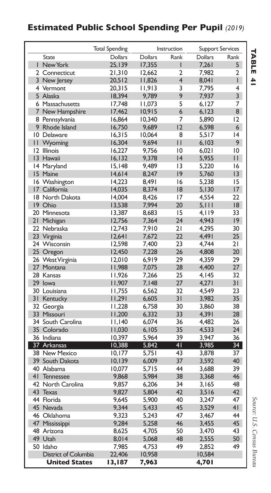### **Estimated Public School Spending Per Pupil** *(2019)*

|    |                      | <b>Total Spending</b> |                | Instruction    |                | <b>Support Services</b> |
|----|----------------------|-----------------------|----------------|----------------|----------------|-------------------------|
|    | <b>State</b>         | <b>Dollars</b>        | <b>Dollars</b> | Rank           | <b>Dollars</b> | Rank                    |
| I. | New York             | 25.139                | 17,355         | $\mathsf{I}$   | 7,261          | 5                       |
|    | 2 Connecticut        | 21,310                | 12,662         | 2              | 7,982          | 2                       |
|    | 3 New Jersey         | 20,512                | 11,826         | $\overline{4}$ | 8,041          | L                       |
|    | 4 Vermont            | 20,315                | 11,913         | 3              | 7,795          | 4                       |
|    | 5 Alaska             | 18,394                | 9.789          | 9              | 7,937          | 3                       |
|    | 6 Massachusetts      | 17,748                | 11,073         | 5              | 6,127          | 7                       |
|    | 7 New Hampshire      | 17,462                | 10,915         | $\overline{6}$ | 6, 123         | 8                       |
|    | 8 Pennsylvania       | 16,864                | 10,340         | 7              | 5,890          | 12                      |
|    | 9 Rhode Island       | 16,750                | 9,689          | $\overline{2}$ | 6,598          | $6\overline{6}$         |
|    | 10 Delaware          | 16,315                | 10,064         | 8              | 5,517          | 4                       |
|    | II Wyoming           | 16,304                | 9,694          | П              | 6,103          | 9                       |
|    | 12 Illinois          | 16,227                | 9,756          | 10             | 6,021          | 10                      |
|    | 13 Hawaii            | 16, 132               | 9,378          | 4              | 5,955          | $\mathsf{H}$            |
|    | 14 Maryland          | 15,148                | 9,489          | 13             | 5,220          | 16                      |
|    | 15 Maine             | 14,614                | 8,247          | 9              | 5,760          | $ 3\rangle$             |
|    | 16 Washington        | 14,223                | 8,491          | 16             | 5,238          | 15                      |
|    | 17 California        | 14,035                | 8,374          | 18             | 5,130          | 17                      |
|    | 18 North Dakota      | 14,004                | 8,426          | 17             | 4,554          | 22                      |
|    | 19 Ohio              | 13,538                | 7,994          | 20             | 5,111          | 18                      |
|    | 20 Minnesota         | 13,387                | 8,683          | 15             | 4,119          | 33                      |
|    | 21 Michigan          | 12,756                | 7,364          | 24             | 4,943          | $ 9\rangle$             |
|    | 22 Nebraska          | 12,743                | 7,910          | 21             | 4,295          | 30                      |
|    | 23 Virginia          | 12,641                | 7,672          | 22             | 4.491          | 25                      |
|    | 24 Wisconsin         | 12,598                | 7,400          | 23             | 4,744          | 21                      |
|    | 25 Oregon            | 12,450                | 7,228          | 26             | 4,808          | 20                      |
|    | 26 West Virginia     | 12,010                | 6,919          | 29             | 4,359          | 29                      |
|    | 27 Montana           | 11,988                | 7,075          | 28             | 4,400          | 27                      |
|    | 28 Kansas            | 11,926                | 7,266          | 25             | 4,145          | 32                      |
|    | 29 lowa              | 11,907                | 7,148          | 27             | 4,271          | 31                      |
|    | 30 Louisiana         | 11,755                | 6,562          | 32             | 4,549          | 23                      |
|    | 31 Kentucky          | 11,291                | 6,605          | 31             | 3,982          | 35                      |
|    | 32 Georgia           | 11,228                | 6,758          | 30             | 3,860          | 38                      |
|    | 33 Missouri          | 11,200                | 6,332          | 33             | 4,391          | 28                      |
|    | 34 South Carolina    | 11,140                | 6,074          | 36             | 4,482          | 26                      |
|    | 35 Colorado          | 11,030                | 6,105          | 35             | 4,533          | 24                      |
|    | 36 Indiana           | 10,397                | 5,964          | 39             | 3,947          | 36                      |
|    | 37 Arkansas          | 10,388                | 5.842          | 4 <sub>1</sub> | 3,985          | 34 <sup>2</sup>         |
|    | 38 New Mexico        | 10, 177               | 5,751          | 43             | 3,878          | 37                      |
|    | 39 South Dakota      | 10, 139               | 6.009          | 37             | 3,592          | 40                      |
|    | 40 Alabama           | 10,077                | 5,715          | 44             | 3,688          | 39                      |
|    | 41 Tennessee         | 9.868                 | 5,984          | 38             | 3,368          | 46                      |
|    | 42 North Carolina    | 9,857                 | 6,206          | 34             | 3,165          | 48                      |
|    | 43 Texas             | 9,827                 | 5,804          | 42             | 3,516          | 42                      |
|    | 44 Florida           | 9,645                 | 5,900          | 40             | 3,247          | 47                      |
|    | 45 Nevada            | 9,344                 | 5,433          | 45             | 3,529          | 41                      |
|    | 46 Oklahoma          | 9,323                 | 5,243          | 47             | 3,467          | 44                      |
|    | 47 Mississippi       | 9,284                 | 5,258          | 46             | 3,455          | 45                      |
|    | 48 Arizona           | 8,625                 | 4,705          | 50             | 3,470          | 43                      |
|    | 49 Utah              | 8,014                 | 5,068          | 48             | 2,555          | 50                      |
|    | 50 Idaho             | 7,985                 | 4,753          | 49             | 2,852          | 49                      |
|    | District of Columbia | 22,406                | 10,958         |                | 10,584         |                         |
|    | <b>United States</b> | 13,187                | 7,963          |                | 4,701          |                         |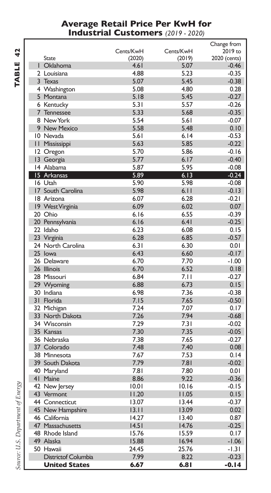#### **Average Retail Price Per KwH for Industrial Customers** *(2019 - 2020)*

|                            |           |                | Change from        |
|----------------------------|-----------|----------------|--------------------|
|                            | Cents/KwH | Cents/KwH      | 2019 to            |
| State                      | (2020)    | (2019)         | 2020 (cents)       |
| Oklahoma                   | 4.61      | 5.07           | $-0.46$            |
| 2 Louisiana                | 4.88      | 5.23           | $-0.35$            |
| 3 Texas                    | 5.07      | 5.45           | $-0.38$            |
| 4 Washington               | 5.08      | 4.80           | 0.28               |
| 5 Montana                  | 5.18      | 5.45           | $-0.27$            |
| 6 Kentucky                 | 5.31      | 5.57           | $-0.26$            |
| 7 Tennessee                | 5.33      | 5.68           | $-0.35$            |
| 8 New York                 | 5.54      | 5.61           | $-0.07$            |
| 9 New Mexico               | 5.58      | 5.48           | 0.10               |
| 10 Nevada                  | 5.61      | 6.14           | $-0.53$            |
| <b>II Mississippi</b>      | 5.63      | 5.85           | $-0.22$            |
| 12 Oregon                  | 5.70      | 5.86           | $-0.16$            |
| 13 Georgia                 | 5.77      | 6.17           | $-0.40$            |
| 14 Alabama                 | 5.87      | 5.95           | $-0.08$            |
| 15 Arkansas                | 5.89      | 6.13           | $-0.24$            |
| 16 Utah                    | 5.90      | 5.98           | $-0.08$            |
| 17 South Carolina          | 5.98      | 6.11           | $-0.13$            |
| 18 Arizona                 | 6.07      | 6.28           | $-0.21$            |
| 19 West Virginia           | 6.09      | 6.02           | 0.07               |
| 20 Ohio                    | 6.16      | 6.55           | $-0.39$            |
| 20 Pennsylvania            | 6.16      | 6.41           | $-0.25$            |
| 22 Idaho                   | 6.23      | 6.08           | 0.15               |
| 23 Virginia                | 6.28      | 6.85           | $-0.57$            |
| 24 North Carolina          | 6.31      | 6.30           | 0.01               |
| 25 Iowa                    | 6.43      | 6.60           | $-0.17$            |
| 26 Delaware                | 6.70      | 7.70           | $-1.00$            |
| 26 Illinois                | 6.70      | 6.52           | 0.18               |
| 28 Missouri                | 6.84      | 7.11           | $-0.27$            |
| 29 Wyoming                 | 6.88      | 6.73           | 0.15               |
| 30 Indiana                 | 6.98      | 7.36           | $-0.38$            |
| 31 Florida                 | 7.15      | 7.65           | $-0.50$            |
| 32 Michigan                | 7.24      | 7.07           | 0.17               |
| 33 North Dakota            | 7.26      | 7.94           | $-0.68$            |
| 34 Wisconsin               | 7.29      | 7.31           | $-0.02$            |
| 35 Kansas                  | 7.30      | 7.35           | $-0.05$            |
| 36 Nebraska                | 7.38      | 7.65           | $-0.27$            |
| 37 Colorado                | 7.48      | 7.40           | 0.08               |
| 38 Minnesota               | 7.67      | 7.53           | 0.14               |
| 39 South Dakota            | 7.79      | 7.81           | $-0.02$            |
| 40 Maryland                | 7.81      | 7.80           | 0.01               |
| 41 Maine                   | 8.86      | 9.22           | $-0.36$            |
| 42 New Jersey              | 10.01     | 10.16          | $-0.15$            |
| 43 Vermont                 | 11.20     | 11.05          | 0.15               |
| 44 Connecticut             | 13.07     | 13.44          | $-0.37$            |
| 45 New Hampshire           | 13.11     | 13.09          | 0.02               |
| 46 California              | 14.27     | 13.40          | 0.87               |
| 47 Massachusetts           | 14.51     | 14.76          | $-0.25$            |
| 48 Rhode Island            | 15.76     |                |                    |
| 49 Alaska                  | 15.88     | 15.59          | 0.17               |
| 50 Hawaii                  | 24.45     | 16.94<br>25.76 | $-1.06$<br>$-1.31$ |
|                            |           |                |                    |
| <b>Districtof Columbia</b> | 7.99      | 8.22           | $-0.23$            |
| <b>United States</b>       | 6.67      | 6.81           | $-0.14$            |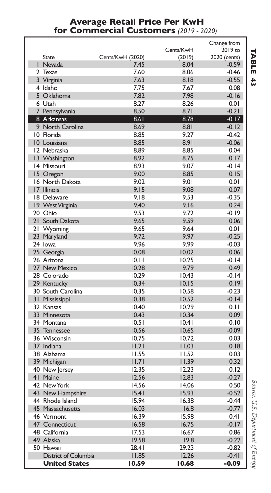#### **Average Retail Price Per KwH for Commercial Customers** *(2019 - 2020)*

|   |                      |                         |                | Change from        |
|---|----------------------|-------------------------|----------------|--------------------|
|   |                      |                         | Cents/KwH      | 2019 to            |
|   | State                | <b>Cents/KwH (2020)</b> | (2019)         | 2020 (cents)       |
|   | I Nevada             | 7.45                    | 8.04           | -0.59              |
| 2 | Texas                | 7.60                    | 8.06           | $-0.46$            |
|   | 3 Virginia           | 7.63                    | 8.18           | $-0.55$            |
|   | 4 Idaho              | 7.75                    | 7.67           | 0.08               |
|   | 5 Oklahoma           | 7.82                    | 7.98           | $-0.16$            |
|   | 6 Utah               | 8.27                    | 8.26           | 0.01               |
|   | 7 Pennsylvania       | 8.50                    | 8.71           | $-0.21$            |
|   | 8 Arkansas           | 8.61                    | 8.78           | $-0.17$            |
|   | 9 North Carolina     | 8.69                    | 8.81           | $-0.12$            |
|   | 10 Florida           | 8.85                    | 9.27           | $-0.42$            |
|   | 10 Louisiana         | 8.85                    | 8.91           | $-0.06$            |
|   | 12 Nebraska          | 8.89                    | 8.85           | 0.04               |
|   | 13 Washington        | 8.92                    | 8.75           | 0.17               |
|   | 14 Missouri          | 8.93                    | 9.07           | -0.14              |
|   | 15 Oregon            | 9.00                    | 8.85           | 0.15               |
|   | 16 North Dakota      | 9.02                    | 9.01           | 0.01               |
|   | 17 Illinois          | 9.15                    | 9.08           | 0.07               |
|   | 18 Delaware          | 9.18                    | 9.53           | $-0.35$            |
|   | 19 West Virginia     | 9.40                    | 9.16           | 0.24               |
|   | 20 Ohio              | 9.53                    | 9.72           | $-0.19$            |
|   | 21 South Dakota      | 9.65                    | 9.59           | 0.06               |
|   | 21 Wyoming           | 9.65                    | 9.64           | 0.01               |
|   | 23 Maryland          | 9.72                    | 9.97           | $-0.25$            |
|   | 24 lowa              | 9.96                    | 9.99           | $-0.03$            |
|   | 25 Georgia           | 10.08                   | 10.02          | 0.06               |
|   | 26 Arizona           | 10.11                   | 10.25          | $-0.14$            |
|   | 27 New Mexico        | 10.28                   | 9.79           | 0.49               |
|   | 28 Colorado          | 10.29                   | 10.43          | $-0.14$            |
|   | 29 Kentucky          | 10.34                   | 10.15          | 0.19               |
|   | 30 South Carolina    | 10.35                   | 10.58          | $-0.23$            |
|   | 31 Mississippi       | 10.38                   | 10.52          | $-0.14$            |
|   | 32 Kansas            | 10.40                   | 10.29          | 0.11               |
|   | 33 Minnesota         | 10.43                   | 10.34          | 0.09               |
|   | 34 Montana           | 10.51                   | 10.41          | 0.10               |
|   | 35 Tennessee         | 10.56                   | 10.65          | $-0.09$            |
|   | 36 Wisconsin         | 10.75                   | 10.72          | 0.03               |
|   | 37 Indiana           | 11.21                   | 11.03          | 0.18               |
|   | 38 Alabama           | 11.55                   | 11.52          | 0.03               |
|   | 39 Michigan          | 11.71                   | 11.39          | 0.32               |
|   | 40 New Jersey        | 12.35                   | 12.23          | 0.12               |
|   | 41 Maine             | 12.56                   | 12.83          | $-0.27$            |
|   | 42 New York          | 14.56                   | 14.06          | 0.50               |
|   | 43 New Hampshire     | 15.41                   | 15.93          | $-0.52$            |
|   | 44 Rhode Island      | 15.94                   | 16.38          | $-0.44$            |
|   | 45 Massachusetts     | 16.03                   | 16.8           | $-0.77$            |
|   | 46 Vermont           | 16.39                   | 15.98          | 0.41               |
|   | 47 Connecticut       | 16.58                   | 16.75          | $-0.17$            |
|   | 48 California        | 17.53                   | 16.67          | 0.86               |
|   | 49 Alaska            | 19.58                   | 19.8           | $-0.22$            |
|   | 50 Hawaii            |                         |                |                    |
|   | District of Columbia | 28.41<br>11.85          | 29.23<br>12.26 | $-0.82$            |
|   | <b>United States</b> | 10.59                   | 10.68          | $-0.41$<br>$-0.09$ |
|   |                      |                         |                |                    |

**TABLE TABLE 43**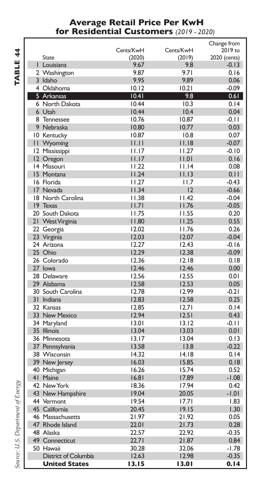#### **Average Retail Price Per KwH for Residential Customers** *(2019 - 2020)*

|                          |                |              | Change from  |
|--------------------------|----------------|--------------|--------------|
|                          | Cents/KwH      | Cents/KwH    | 2019 to      |
| <b>State</b>             | (2020)         | (2019)       | 2020 (cents) |
| I Louisiana              | 9.67           | 9.8          | $-0.13$      |
| 2 Washington             | 9.87           | 9.71         | 0.16         |
| 3 Idaho                  | 9.95           | 9.89         | 0.06         |
| 4 Oklahoma               |                |              | $-0.09$      |
| 5 Arkansas               | 10.12          | 10.21        |              |
|                          | 10.41          | 9.8          | 0.61         |
| 6 North Dakota<br>6 Utah | 10.44<br>10.44 | 10.3<br>10.4 | 0.14<br>0.04 |
|                          | 10.76          | 10.87        | $-0.11$      |
| 8 Tennessee              |                | 10.77        |              |
| 9 Nebraska               | 10.80          |              | 0.03         |
| 10 Kentucky              | 10.87          | 10.8         | 0.07         |
| II Wyoming               | 11.11          | 11.18        | $-0.07$      |
| 12 Mississippi           | 11.17          | 11.27        | $-0.10$      |
| 12 Oregon                | 11.17          | 11.01        | 0.16         |
| 14 Missouri              | 11.22          | 11.14        | 0.08         |
| 15 Montana               | 11.24          | 11.13        | 0.11         |
| 16 Florida               | 11.27          | 11.7         | $-0.43$      |
| 17 Nevada                | 11.34          | 12           | $-0.66$      |
| 18 North Carolina        | 11.38          | 11.42        | $-0.04$      |
| 19 Texas                 | 1.7            | 11.76        | $-0.05$      |
| 20 South Dakota          | 11.75          | 11.55        | 0.20         |
| 21 West Virginia         | 11.80          | 11.25        | 0.55         |
| 22 Georgia               | 12.02          | 11.76        | 0.26         |
| 23 Virginia              | 12.03          | 12.07        | $-0.04$      |
| 24 Arizona               | 12.27          | 12.43        | $-0.16$      |
| 25 Ohio                  | 12.29          | 12.38        | $-0.09$      |
| 26 Colorado              | 12.36          | 12.18        | 0.18         |
| 27 lowa                  | 12.46          | 12.46        | 0.00         |
| 28 Delaware              | 12.56          | 12.55        | 0.01         |
| 29 Alabama               | 12.58          | 12.53        | 0.05         |
| 30 South Carolina        | 12.78          | 12.99        | $-0.21$      |
| 31 Indiana               | 12.83          | 12.58        | 0.25         |
| 32 Kansas                | 12.85          | 12.71        | 0.14         |
| 33 New Mexico            | 12.94          | 12.51        |              |
|                          |                |              | 0.43         |
| 34 Maryland              | 13.01          | 13.12        | $-0.11$      |
| 35 Illinois              | 13.04          | 13.03        | 0.01         |
| 36 Minnesota             | 13.17          | 13.04        | 0.13         |
| 37 Pennsylvania          | 13.58          | 13.8         | $-0.22$      |
| 38 Wisconsin             | 14.32          | 14.18        | 0.14         |
| 39 New Jersey            | 16.03          | 15.85        | 0.18         |
| 40 Michigan              | 16.26          | 15.74        | 0.52         |
| 41 Maine                 | 16.81          | 17.89        | $-1.08$      |
| 42 New York              | 18.36          | 17.94        | 0.42         |
| 43 New Hampshire         | 19.04          | 20.05        | $-1.01$      |
| 44 Vermont               | 19.54          | 17.71        | 1.83         |
| 45 California            | 20.45          | 19.15        | 1.30         |
| 46 Massachusetts         | 21.97          | 21.92        | 0.05         |
| 47 Rhode Island          | 22.01          | 21.73        | 0.28         |
| 48 Alaska                | 22.57          | 22.92        | $-0.35$      |
| 49 Connecticut           | 22.71          | 21.87        | 0.84         |
| 50 Hawaii                | 30.28          | 32.06        | $-1.78$      |
| District of Columbia     | 12.63          | 12.98        | $-0.35$      |
| <b>United States</b>     | 13.15          | 13.01        | 0.14         |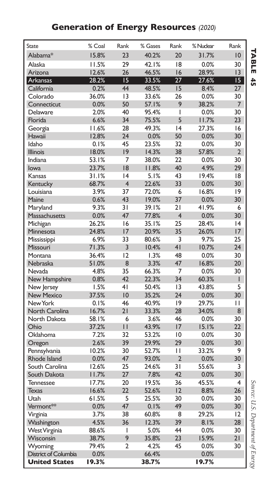### **Generation of Energy Resources** *(2020)*

| <b>State</b>                    | % Coal        | Rank           | % Gases       | Rank           | % Nuclear    | Rank            |
|---------------------------------|---------------|----------------|---------------|----------------|--------------|-----------------|
| Alabama*                        | 15.8%         | 23             | 40.2%         | 20             | 31.7%        | 10              |
| Alaska                          | 11.5%         | 29             | 42.1%         | 18             | 0.0%         | 30              |
| Arizona                         | 12.6%         | 26             | 46.5%         | 16             | 28.9%        | 13              |
| Arkansas                        | 28.2%         | 15             | 33.5%         | 27             | 27.6%        | 15 <sub>1</sub> |
| California                      | 0.2%          | 44             | 48.5%         | 15             | 8.4%         | 27              |
| Colorado                        | 36.0%         | 13             | 33.6%         | 26             | 0.0%         | 30              |
| Connecticut                     | 0.0%          | 50             | 57.1%         | 9              | 38.2%        | $\overline{7}$  |
| Delaware                        | 2.0%          | 40             | 95.4%         | I              | 0.0%         | 30              |
| Florida                         | 6.6%          | 34             | 75.5%         | 5              | 11.7%        | 23              |
| Georgia                         | 11.6%         | 28             | 49.3%         | 4              | 27.3%        | 16              |
| Hawaii                          | 12.8%         | 24             | 0.0%          | 50             | 0.0%         | 30              |
| Idaho                           | 0.1%          | 45             | 23.5%         | 32             | 0.0%         | 30              |
| <b>Illinois</b>                 | 18.0%         | 9              | 14.3%         | 38             | 57.8%        | $\overline{2}$  |
| Indiana                         | 53.1%         | $\overline{7}$ | 38.0%         | 22             | 0.0%         | 30              |
| lowa                            | 23.7%         | 18             | 11.8%         | 40             | 4.9%         | 29              |
| Kansas                          | 31.1%         | 4              | 5.1%          | 43             | 19.4%        | 8               |
| Kentucky                        | 68.7%         | $\overline{4}$ | 22.6%         | 33             | 0.0%         | 30              |
| Louisiana                       | 3.9%          | 37             | 72.0%         | 6              | 16.8%        | 9               |
| Maine                           | 0.6%          | 43             | 19.0%         | 37             | 0.0%         | 30              |
| Maryland                        | 9.3%          | 31             | 39.1%         | 21             | 41.9%        | 6               |
| Massachusetts                   | 0.0%          | 47             | 77.8%         | $\overline{4}$ | 0.0%         | 30              |
| Michigan                        | 26.2%         | 16             | 35.1%         | 25             | 28.4%        | 4               |
| Minnesota                       | 24.8%         | 17             | 20.9%         | 35             | 26.0%        | 17              |
| Mississippi                     | 6.9%          | 33             | 80.6%         | 3              | 9.7%         | 25              |
| Missouri                        | 71.3%         | 3              | 10.4%         | 41             | 10.7%        | 24              |
| Montana                         | 36.4%         | 12             | 1.3%          | 48             | 0.0%         | 30              |
| Nebraska                        | 51.0%         | 8              | 3.3%          | 47             | 16.8%        | 20              |
| Nevada                          | 4.8%          | 35             | 66.3%         | 7              | 0.0%         | 30              |
| New Hampshire                   | 0.8%          | 42             | 22.3%         | 34             | 60.3%        | T               |
| New Jersey                      | 1.5%          | 4 <sub>1</sub> | 50.4%         | 13             | 43.8%        | 5               |
| <b>New Mexico</b>               | 37.5%         | 10             | 35.2%         | 24             | 0.0%         | 30              |
| New York                        | 0.1%          | 46             | 40.9%         | 9              | 29.7%        | П               |
| North Carolina                  | 16.7%         | 21             | 33.3%         | 28             | 34.0%        | 8               |
| North Dakota                    | 58.1%         | 6              | 3.6%          | 46             | 0.0%         | 30              |
| Ohio                            | 37.2%         | $\mathbf{H}$   | 43.9%         | 17             | 15.1%        | 22              |
| Oklahoma                        | 7.2%          | 32             | 53.2%         | $\overline{0}$ | 0.0%         | 30              |
| Oregon                          | 2.6%          | 39             | 29.9%         | 29             | 0.0%         | 30              |
| Pennsylvania                    | 10.2%         | 30             | 52.7%         | П              | 33.2%        | 9               |
| Rhode Island                    | 0.0%          | 47             | 93.0%         | $\overline{2}$ | 0.0%         | 30              |
| South Carolina                  | 12.6%         | 25             | 24.6%         | 31             | 55.6%        | 3               |
| South Dakota                    | 11.7%         | 27             | 7.8%          | 42             | 0.0%         | 30              |
| <b>Tennessee</b>                | 17.7%         | 20             | 19.5%         | 36             | 45.5%        | $\overline{4}$  |
| <b>Texas</b>                    | 16.6%         | 22             | 52.6%         | 12             | 8.8%         | 26              |
| Utah                            | 61.5%         | 5              | 25.5%         | 30             | 0.0%         | 30              |
| Vermont**                       | 0.0%          | 47             | 0.1%          | 49             | 0.0%         | 30              |
| Virginia                        | 3.7%          | 38             | 60.8%         | 8              | 29.2%        | 12              |
| Washington                      | 4.5%          | 36             | 12.3%         | 39             | 8.1%         | 28              |
| West Virginia                   | 88.6%         | I              | 5.0%          | 44             | 0.0%         | 30              |
| Wisconsin                       | 38.7%         | 9              | 35.8%         | 23             | 15.9%        | 21              |
| Wyoming<br>District of Columbia | 79.4%<br>0.0% | $\overline{2}$ | 4.2%<br>66.4% | 45             | 0.0%<br>0.0% | 30              |
| <b>United States</b>            |               |                |               |                |              |                 |
|                                 | 19.3%         |                | 38.7%         |                | 19.7%        |                 |

**TABLE 45** 

*Source: U.S. Department of Energy* **TABLE**Source: U.S. Department of Energy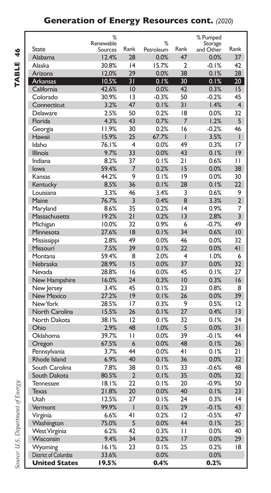### **Generation of Energy Resources cont.** *(2020)*

TABLE 46 **TABLE 46**

|                      | %         |                |           |                 | % Pumped  |                 |
|----------------------|-----------|----------------|-----------|-----------------|-----------|-----------------|
|                      | Renewable |                | %         |                 | Storage   |                 |
| State                | Sources   | Rank           | Petroleum | Rank            | and Other | Rank            |
| Alabama              | 12.4%     | 28             | 0.0%      | 47              | 0.0%      | 37              |
| Alaska               | 30.8%     | 4              | 15.7%     | $\mathfrak{p}$  | $-0.1%$   | 42              |
| Arizona              | 12.0%     | 29             | 0.0%      | 38              | 0.1%      | 28              |
| <b>Arkansas</b>      | 10.5%     | 31             | 0.1%      | 30              | 0.1%      | 20 <sub>1</sub> |
| California           | 42.6%     | 10             | 0.0%      | 42              | 0.3%      | 15              |
| Colorado             | 30.9%     | 13             | $-0.3%$   | 50              | $-0.2%$   | 45              |
| Connecticut          | 3.2%      | 47             | 0.1%      | 31              | 1.4%      | $\overline{4}$  |
| Delaware             | 2.5%      | 50             | 0.2%      | 18              | 0.0%      | 32              |
| Florida              | 4.3%      | 43             | 0.7%      | $\overline{7}$  | 1.2%      | 5               |
| Georgia              | 11.9%     | 30             | 0.2%      | 16              | $-0.2%$   | 46              |
| Hawaii               | 15.9%     | 25             | 67.7%     | I               | 3.5%      | $\mathsf{I}$    |
| Idaho                | 76.1%     | 4              | 0.0%      | 49              | 0.3%      | 17              |
| <b>Illinois</b>      | 9.7%      | 33             | 0.0%      | 43              | 0.1%      | $ 9\rangle$     |
| Indiana              | 8.2%      | 37             | 0.1%      | 21              | 0.6%      | $\mathbf{H}$    |
| lowa                 | 59.4%     | $\overline{7}$ | 0.2%      | 15              | 0.0%      | 38              |
| Kansas               | 44.2%     | 9              | 0.1%      | 9               | 0.0%      | 30              |
| Kentucky             | 8.5%      | 36             | 0.1%      | 28              | 0.1%      | 22              |
| Louisiana            | 3.3%      | 46             | 3.4%      | 3               | 0.6%      | 9               |
| Maine                | 76.7%     | 3              | 0.4%      | 8               | 3.3%      | $\overline{2}$  |
| Maryland             | 8.6%      | 35             | 0.2%      | 4               | 0.9%      | 7               |
| Massachusetts        | 19.2%     | 21             | 0.2%      | $\overline{13}$ | 2.8%      | $\overline{3}$  |
| Michigan             | 10.0%     | 32             | 0.9%      | 6               | $-0.7%$   | 49              |
| Minnesota            | 27.6%     | 18             | 0.1%      | 34              | 0.6%      | 10              |
| Mississippi          | 2.8%      | 49             | 0.0%      | 46              | 0.0%      | 32              |
| Missouri             | 7.5%      | 39             | 0.1%      | 22              | 0.0%      | 4 <sub>1</sub>  |
| Montana              | 59.4%     | 8              | 2.0%      | 4               | 1.0%      | 6               |
| Nebraska             | 28.9%     | 15             | 0.0%      | 37              | 0.0%      | 32 <sub>2</sub> |
| Nevada               | 28.8%     | 16             | 0.0%      | 45              | 0.1%      | 27              |
| New Hampshire        | 16.0%     | 24             | 0.3%      | 10              | 0.3%      | 16              |
| New Jersey           | 3.4%      | 45             | 0.1%      | 23              | 0.8%      | 8               |
| <b>New Mexico</b>    | 27.2%     | 9              | 0.1%      | 26              | 0.0%      | 39              |
| New York             | 28.5%     | 17             | 0.3%      | 9               | 0.5%      | 12              |
| North Carolina       | 15.5%     | 26             | 0.1%      | 27              | 0.4%      | $\overline{13}$ |
| North Dakota         | 38.1%     | 12             | 0.1%      | 32              | 0.1%      | 24              |
| Ohio                 | 2.9%      | 48             | 1.0%      | 5               | 0.0%      | $\overline{31}$ |
| Oklahoma             | 39.7%     | $\mathbf{L}$   | 0.0%      | 39              | $-0.1%$   | 44              |
| Oregon               | 67.5%     | 6              | 0.0%      | 48              | 0.1%      | 26              |
| Pennsylvania         | 3.7%      | 44             | 0.0%      | 4 <sub>1</sub>  | 0.1%      | 21              |
| Rhode Island         | 6.9%      | 40             | 0.1%      | 36              | 0.0%      | 32 <sub>2</sub> |
| South Carolina       | 7.8%      | 38             | 0.1%      | 33              | $-0.6%$   | 48              |
| South Dakota         | 80.5%     | $\overline{2}$ | 0.1%      | 35              | 0.0%      | 32 <sub>2</sub> |
| <b>Tennessee</b>     | 18.1%     | 22             | 0.1%      | 20              | $-0.9%$   | 50              |
| <b>Texas</b>         | 21.8%     | 20             | 0.0%      | 40              | 0.1%      | 23              |
| Utah                 | 12.5%     | 27             | 0.1%      | 24              | 0.3%      | 4               |
| Vermont              | 99.9%     | $\overline{1}$ | 0.1%      | 29              | $-0.1%$   | 43              |
| Virginia             | 6.6%      | 4 <sub>1</sub> | 0.2%      | 12              | $-0.5%$   | 47              |
| Washington           | 75.0%     | 5              | 0.0%      | 44              | 0.1%      | 25              |
| <b>West Virginia</b> | 6.2%      | 42             | 0.3%      | $\mathbf{I}$    | 0.0%      | 40              |
| Wisconsin            | 9.4%      | 34             | 0.2%      | 17              | 0.0%      | 29              |
| Wyoming              | 16.1%     | 23             | 0.1%      | 25              | 0.2%      | 18              |
| District of Columbia | 33.6%     |                | 0.0%      |                 | 0.0%      |                 |
| <b>United States</b> | 19.5%     |                | 0.4%      |                 | 0.2%      |                 |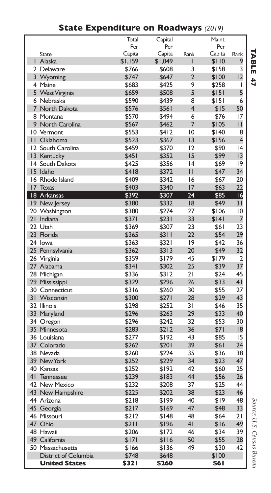|                 |                            | Total   | Capital |                | Maint. |                         |
|-----------------|----------------------------|---------|---------|----------------|--------|-------------------------|
|                 |                            | Per     | Per     |                | Per    |                         |
|                 | <b>State</b>               | Capita  | Capita  | Rank           | Capita | Rank                    |
|                 | Alaska                     | \$1,159 | \$1,049 | ı              | \$110  | 9                       |
|                 | 2 Delaware                 | \$766   | \$608   | 3              | \$158  | 3                       |
|                 | 3 Wyoming                  | \$747   | \$647   | $\overline{2}$ | \$100  | 12                      |
|                 | 4 Maine                    | \$683   | \$425   | 9              | \$258  | $\overline{1}$          |
|                 | 5 West Virginia            | \$659   | \$508   | 5              | \$151  | 5                       |
| 6               | Nebraska                   | \$590   | \$439   | 8              | \$151  | 6                       |
| 7               | North Dakota               | \$576   | \$561   | 4              | \$15   | 50                      |
|                 | 8 Montana                  | \$570   | \$494   | 6              | \$76   | 17                      |
|                 | 9 North Carolina           | \$567   | \$462   | 7              | \$105  | П                       |
| 10              | Vermont                    | \$553   | \$412   | 10             | \$140  | 8                       |
| Ĥ               | Oklahoma                   | \$523   | \$367   | 3              | \$156  | $\overline{\mathbf{4}}$ |
|                 | 12 South Carolina          | \$459   | \$370   | 12             | \$90   | 4                       |
|                 | 13 Kentucky                | \$451   | \$352   | 15             | \$99   | 13                      |
| 4               | South Dakota               | \$425   | \$356   | 4              | \$69   | 9                       |
|                 | 15 Idaho                   | \$418   | \$372   | $\mathsf{I}$   | \$47   | 34                      |
|                 | 16 Rhode Island            | \$409   | \$342   | 16             | \$67   | 20                      |
| 17              | <b>Texas</b>               | \$403   | \$340   | 17             | \$63   | 22                      |
|                 | 18 Arkansas                | \$392   | \$307   | 24             | \$85   | 6                       |
|                 | 19 New Jersey              | \$380   | \$332   | 18             | \$49   | 31                      |
| 20              | Washington                 | \$380   | \$274   | 27             | \$106  | 10                      |
| 21              | Indiana                    | \$371   | \$231   | 33             | \$141  | 7                       |
|                 | 22 Utah                    | \$369   | \$307   | 23             | \$61   | 23                      |
|                 | 23 Florida                 | \$365   | \$311   | 22             | \$54   | 29                      |
|                 | 24 lowa                    | \$363   | \$321   | 9              | \$42   | 36                      |
| 25              | Pennsylvania               | \$362   | \$313   | 20             | \$49   | 32                      |
|                 | 26 Virginia                | \$359   | \$179   | 45             | \$179  | $\overline{2}$          |
|                 | 27 Alabama                 | \$341   | \$302   | 25             | \$39   | 37                      |
|                 | 28 Michigan                | \$336   | \$312   | 21             | \$24   | 45                      |
|                 | 29 Mississippi             | \$329   | \$296   | 26             | \$33   | 41                      |
|                 | 30 Connecticut             | \$316   | \$260   | 30             | \$55   | 27                      |
| 31              | Wisconsin                  | \$300   | \$271   | 28             | \$29   | 43                      |
|                 | 32 Illinois                | \$298   | \$252   | 31             | \$46   | 35                      |
|                 | 33 Maryland                | \$296   | \$263   | 29             | \$33   | 40                      |
|                 | 34 Oregon                  | \$296   | \$242   | 32             | \$53   | 30                      |
| 35 <sup>2</sup> | Minnesota                  | \$283   | \$212   | 36             | \$71   | 8                       |
|                 | 36 Louisiana               | \$277   | \$192   | 43             | \$85   | 15                      |
|                 | 37 Colorado                | \$262   | \$201   | 39             | \$61   | 24                      |
|                 | 38 Nevada                  | \$260   | \$224   | 35             | \$36   | 38                      |
| 39              | New York                   | \$252   | \$229   | 34             | \$23   | 47                      |
|                 | 40 Kansas                  | \$252   | \$192   | 42             | \$60   | 25                      |
| 41              | Tennessee                  | \$239   | \$183   | 44             | \$56   | 26                      |
|                 | 42 New Mexico              | \$232   | \$208   | 37             | \$25   | 44                      |
|                 | 43 New Hampshire           | \$225   | \$202   | 38             | \$23   | 46                      |
|                 | 44 Arizona                 | \$218   | \$199   | 40             | \$19   | 48                      |
|                 | 45 Georgia                 | \$217   | \$169   | 47             | \$48   | 33                      |
|                 | 46 Missouri                | \$212   | \$148   | 48             | \$64   | 21                      |
|                 | 47 Ohio                    |         |         | 41             |        | 49                      |
|                 |                            | \$211   | \$196   | 46             | \$16   | 39                      |
|                 | 48 Hawaii<br>49 California | \$206   | \$172   |                | \$34   | 28                      |
|                 |                            | \$171   | \$116   | 50             | \$55   |                         |
|                 | 50 Massachusetts           | \$166   | \$136   | 49             | \$30   | 42                      |
|                 | District of Columbia       | \$748   | \$648   |                | \$100  |                         |
|                 | <b>United States</b>       | \$321   | \$260   |                | \$61   |                         |

### **State Expenditure on Roadways** *(2019)*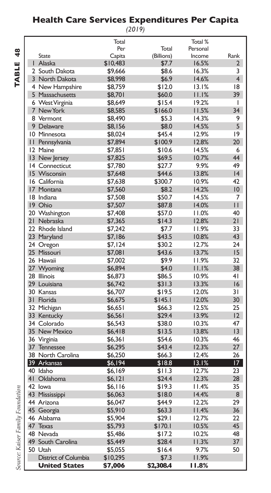#### **Health Care Services Expenditures Per Capita**

*(2019)*

| ٢<br>۰<br>۲ |
|-------------|
|             |
|             |

|              |                      | Total    |            | Total %  |                 |
|--------------|----------------------|----------|------------|----------|-----------------|
|              |                      | Per      | Total      | Personal |                 |
|              | State                | Capita   | (Billions) | Income   | Rank            |
|              | Alaska               | \$10,483 | \$7.7      | 16.5%    | $\overline{2}$  |
|              | 2 South Dakota       | \$9,666  | \$8.6      | 16.3%    | 3               |
|              | 3 North Dakota       | \$8,998  | \$6.9      | 14.6%    | $\overline{4}$  |
|              | 4 New Hampshire      | \$8,759  | \$12.0     | 13.1%    | 18              |
|              | 5 Massachusetts      | \$8,701  | \$60.0     | 11.1%    | 39              |
|              | 6 West Virginia      | \$8,649  | \$15.4     | 19.2%    | ı               |
|              | 7 New York           | \$8,585  | \$166.0    | 11.5%    | 34              |
|              | 8 Vermont            | \$8,490  | \$5.3      | 14.3%    | 9               |
|              |                      |          |            |          | 5               |
|              | 9 Delaware           | \$8,156  | \$8.0      | 14.5%    |                 |
|              | 10 Minnesota         | \$8,024  | \$45.4     | 12.9%    | 9               |
| $\mathbf{H}$ | Pennsylvania         | \$7,894  | \$100.9    | 12.8%    | 20              |
|              | 12 Maine             | \$7.851  | \$10.6     | 14.5%    | 6               |
|              | 13 New Jersey        | \$7,825  | \$69.5     | 10.7%    | 44              |
| 14           | Connecticut          | \$7,780  | \$27.7     | 9.9%     | 49              |
|              | 15 Wisconsin         | \$7,648  | \$44.6     | 13.8%    | 4               |
|              | 16 California        | \$7,638  | \$300.7    | 10.9%    | 42              |
|              | 17 Montana           | \$7,560  | \$8.2      | 14.2%    | 10              |
|              | 18 Indiana           | \$7,508  | \$50.7     | 14.5%    | 7               |
|              | 19 Ohio              | \$7,507  | \$87.8     | 14.0%    | $\mathbf{H}$    |
|              | 20 Washington        | \$7,408  | \$57.0     | 11.0%    | 40              |
|              | 21 Nebraska          | \$7,365  | \$14.3     | 12.8%    | 21              |
|              | 22 Rhode Island      | \$7,242  | \$7.7      | 11.9%    | 33              |
|              | 23 Maryland          | \$7,186  | \$43.5     | 10.8%    | 43              |
|              | 24 Oregon            | \$7,124  | \$30.2     | 12.7%    | 24              |
|              | 25 Missouri          | \$7,081  | \$43.6     | 13.7%    | 15              |
|              | 26 Hawaii            |          | \$9.9      | 11.9%    | 32              |
|              |                      | \$7,002  |            |          |                 |
|              | 27 Wyoming           | \$6,894  | \$4.0      | 11.1%    | 38              |
|              | 28 Illinois          | \$6,873  | \$86.5     | 10.9%    | 4 <sub>1</sub>  |
|              | 29 Louisiana         | \$6,742  | \$31.3     | 13.3%    | 16              |
|              | 30 Kansas            | \$6,707  | \$19.5     | 12.0%    | 31              |
|              | 31 Florida           | \$6,675  | \$145.1    | 12.0%    | 30              |
|              | 32 Michigan          | \$6,651  | \$66.3     | 12.5%    | 25              |
|              | 33 Kentucky          | \$6,561  | \$29.4     | 13.9%    | 12              |
|              | 34 Colorado          | \$6,543  | \$38.0     | 10.3%    | 47              |
|              | 35 New Mexico        | \$6,418  | \$13.5     | 13.8%    | 13              |
|              | 36 Virginia          | \$6,361  | \$54.6     | 10.3%    | 46              |
| 37           | Tennessee            | \$6,295  | \$43.4     | 12.3%    | 27              |
|              | 38 North Carolina    | \$6,250  | \$66.3     | 12.4%    | 26              |
|              | 39 Arkansas          | \$6,194  | \$18.8     | 13.1%    | 17 <sup>2</sup> |
|              | 40 Idaho             | \$6,169  | \$11.3     | 12.7%    | 23              |
|              | 41 Oklahoma          | \$6,121  | \$24.4     | 12.3%    | 28              |
|              | 42 lowa              | \$6,116  | \$19.3     | 11.4%    | 35              |
|              | 43 Mississippi       | \$6,063  | \$18.0     | 14.4%    | 8               |
|              | 44 Arizona           | \$6,047  | \$44.9     | 12.2%    | 29              |
|              |                      | \$5,910  | \$63.3     | 11.4%    | 36              |
|              | 45 Georgia           |          |            |          |                 |
|              | 46 Alabama           | \$5,904  | \$29.1     | 12.7%    | 22              |
| 47           | <b>Texas</b>         | \$5,793  | \$170.1    | 10.5%    | 45              |
|              | 48 Nevada            | \$5,486  | \$17.2     | 10.2%    | 48              |
|              | 49 South Carolina    | \$5,449  | \$28.4     | 11.3%    | 37              |
|              | 50 Utah              | \$5,055  | \$16.4     | 9.7%     | 50              |
|              | District of Columbia | \$10,295 | \$7.3      | 11.9%    |                 |
|              | <b>United States</b> | \$7,006  | \$2,308.4  | 11.8%    |                 |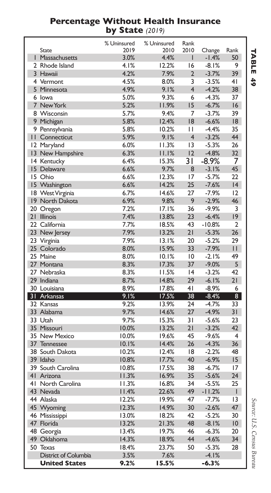#### **Percentage Without Health Insurance by State** *(2019)*

|                 |                      | % Uninsured | % Uninsured | Rank           |          |                 |
|-----------------|----------------------|-------------|-------------|----------------|----------|-----------------|
|                 | <b>State</b>         | 2019        | 2010        | 2010           | Change   | Rank            |
| L               | Massachusetts        | 3.0%        | 4.4%        | ı              | $-1.4%$  | 50              |
|                 | 2 Rhode Island       | 4.1%        | 12.2%       | 16             | $-8.1%$  | 9               |
|                 | 3 Hawaii             | 4.2%        | 7.9%        | $\overline{2}$ | $-3.7%$  | 39              |
|                 | 4 Vermont            | 4.5%        | 8.0%        | 3              | $-3.5%$  | 4 <sub>1</sub>  |
|                 | 5 Minnesota          | 4.9%        | 9.1%        | $\overline{4}$ | $-4.2%$  | 38              |
|                 | 6 Iowa               | 5.0%        | 9.3%        | 6              | $-4.3%$  | 37              |
|                 | 7 New York           | 5.2%        | 11.9%       | 15             | $-6.7%$  | 16              |
|                 | 8 Wisconsin          | 5.7%        | 9.4%        | 7              | $-3.7%$  | 39              |
|                 | 9 Michigan           | 5.8%        | 12.4%       | 18             | $-6.6%$  | 18              |
|                 | 9 Pennsylvania       | 5.8%        | 10.2%       | П              | $-4.4%$  | 35              |
|                 | II Connecticut       | 5.9%        | 9.1%        | $\overline{4}$ | $-3.2%$  | 44              |
|                 | 12 Maryland          | 6.0%        | 11.3%       | 13             | $-5.3%$  | 26              |
| $\overline{13}$ | New Hampshire        | 6.3%        | 11.1%       | 12             | $-4.8%$  | 32              |
| 14              | Kentucky             | 6.4%        | 15.3%       | 31             | $-8.9\%$ | 7               |
|                 | 15 Delaware          | 6.6%        | 9.7%        | 8              | $-3.1%$  | 45              |
|                 | 15 Ohio              | 6.6%        | 12.3%       | 17             | $-5.7%$  | 22              |
|                 | 15 Washington        | 6.6%        | 14.2%       | 25             | $-7.6%$  | 4               |
|                 | 18 West Virginia     | 6.7%        | 14.6%       | 27             | $-7.9%$  | 12              |
|                 | 19 North Dakota      | 6.9%        | 9.8%        | 9              | $-2.9%$  | 46              |
|                 | 20 Oregon            | 7.2%        | 17.1%       | 36             | $-9.9%$  | 3               |
| 21              | <b>Illinois</b>      | 7.4%        | 13.8%       | 23             | $-6.4%$  | 19              |
|                 | 22 California        | 7.7%        | 18.5%       | 43             | $-10.8%$ | $\overline{2}$  |
|                 | 23 New Jersey        | 7.9%        | 13.2%       | 21             | $-5.3%$  | 26              |
|                 | 23 Virginia          | 7.9%        | 13.1%       | 20             | $-5.2%$  | 29              |
|                 | 25 Colorado          | 8.0%        | 15.9%       | 33             | $-7.9%$  | П               |
|                 | 25 Maine             | 8.0%        | 10.1%       | 10             | $-2.1%$  | 49              |
|                 | 27 Montana           | 8.3%        | 17.3%       | 37             | $-9.0%$  | 5               |
|                 | 27 Nebraska          | 8.3%        | 11.5%       | 4              | $-3.2%$  | 42              |
|                 | 29 Indiana           | 8.7%        | 14.8%       | 29             | $-6.1%$  | 21              |
|                 | 30 Louisiana         | 8.9%        | 17.8%       | 41             | $-8.9%$  | 6               |
|                 | 31 Arkansas          | 9.1%        | 17.5%       | 38             | $-8.4%$  | $\overline{8}$  |
|                 | 32 Kansas            | 9.2%        | 13.9%       | 24             | $-4.7%$  | 33              |
|                 | 33 Alabama           | 9.7%        | 14.6%       | 27             | $-4.9%$  | 31              |
|                 | 33 Utah              | 9.7%        | 15.3%       | 31             | $-5.6%$  | 23              |
|                 | 35 Missouri          | 10.0%       | 13.2%       | 21             | $-3.2%$  | 42              |
|                 | 35 New Mexico        | 10.0%       | 19.6%       | 45             | $-9.6%$  | 4               |
| 37              | Tennessee            | 10.1%       | 14.4%       | 26             | $-4.3%$  | 36              |
|                 | 38 South Dakota      | 10.2%       | 12.4%       | 18             | $-2.2%$  | 48              |
|                 | 39 Idaho             | 10.8%       | 17.7%       | 40             | $-6.9%$  | 15              |
| 39              | South Carolina       | 10.8%       | 17.5%       | 38             | $-6.7%$  | 17              |
| 41              | Arizona              | 11.3%       | 16.9%       | 35             | $-5.6%$  | 24              |
|                 | 41 North Carolina    | 11.3%       | 16.8%       | 34             | $-5.5%$  | 25              |
|                 | 43 Nevada            | 11.4%       | 22.6%       | 49             | $-11.2%$ | I               |
|                 | 44 Alaska            | 12.2%       | 19.9%       | 47             | $-7.7%$  | $\overline{13}$ |
| 45              | Wyoming              | 12.3%       | 14.9%       | 30             | $-2.6%$  | 47              |
|                 | 46 Mississippi       | 13.0%       | 18.2%       | 42             | $-5.2%$  | 30              |
|                 | 47 Florida           | 13.2%       | 21.3%       | 48             | $-8.1%$  | 10              |
|                 | 48 Georgia           | 13.4%       | 19.7%       | 46             | $-6.3%$  | 20              |
|                 | 49 Oklahoma          | 14.3%       | 18.9%       | 44             | $-4.6%$  | 34              |
|                 | 50 Texas             | 18.4%       | 23.7%       | 50             | $-5.3%$  | 28              |
|                 | District of Columbia | 3.5%        | 7.6%        |                | $-4.1%$  |                 |
|                 | <b>United States</b> | 9.2%        | 15.5%       |                | $-6.3%$  |                 |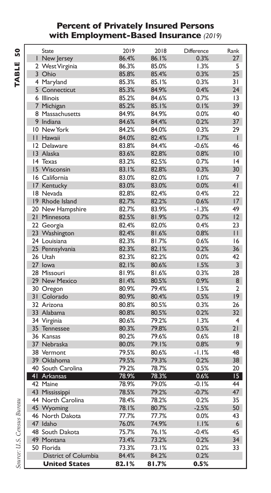#### **Percent of Privately Insured Persons with Employment-Based Insurance** *(2019)*

| State                | 2019  | 2018  | <b>Difference</b> | Rank           |
|----------------------|-------|-------|-------------------|----------------|
| I New Jersey         | 86.4% | 86.1% | 0.3%              | 27             |
| 2 West Virginia      | 86.3% | 85.0% | 1.3%              | 5              |
| 3 Ohio               | 85.8% | 85.4% | 0.3%              | 25             |
| 4 Maryland           | 85.3% | 85.1% | 0.3%              | 31             |
| 5 Connecticut        | 85.3% | 84.9% | 0.4%              | 24             |
| 6 Illinois           | 85.2% | 84.6% | 0.7%              | 13             |
| 7 Michigan           | 85.2% | 85.1% | 0.1%              | 39             |
| 8 Massachusetts      | 84.9% | 84.9% | 0.0%              | 40             |
| 9 Indiana            | 84.6% | 84.4% | 0.2%              | 37             |
| 10 New York          | 84.2% | 84.0% | 0.3%              | 29             |
| II Hawaii            | 84.0% | 82.4% | 1.7%              | $\mathsf I$    |
| 12 Delaware          | 83.8% | 84.4% | $-0.6%$           | 46             |
| 13 Alaska            | 83.6% | 82.8% | 0.8%              | 10             |
| 14 Texas             | 83.2% | 82.5% | 0.7%              | 4              |
| 15 Wisconsin         | 83.1% | 82.8% | 0.3%              | 30             |
| 16 California        | 83.0% | 82.0% | 1.0%              | 7              |
| 17 Kentucky          | 83.0% | 83.0% | 0.0%              | 41             |
| 18 Nevada            | 82.8% | 82.4% | 0.4%              | 22             |
| 19 Rhode Island      | 82.7% | 82.2% | 0.6%              | 17             |
| 20 New Hampshire     | 82.7% | 83.9% | $-1.3%$           | 49             |
| 21 Minnesota         | 82.5% | 81.9% | 0.7%              | 12             |
| 22 Georgia           | 82.4% | 82.0% | 0.4%              | 23             |
| 23 Washington        | 82.4% | 81.6% | 0.8%              | П              |
| 24 Louisiana         | 82.3% | 81.7% | 0.6%              | 16             |
| 25 Pennsylvania      | 82.3% | 82.1% | 0.2%              | 36             |
| 26 Utah              | 82.3% | 82.2% | 0.0%              | 42             |
| 27 lowa              | 82.1% | 80.6% | 1.5%              | 3              |
| 28 Missouri          | 81.9% | 81.6% | 0.3%              | 28             |
| 29 New Mexico        | 81.4% | 80.5% | 0.9%              | 8              |
| 30 Oregon            | 80.9% | 79.4% | 1.5%              | $\overline{2}$ |
| 31 Colorado          | 80.9% | 80.4% | 0.5%              | 9              |
| 32 Arizona           | 80.8% | 80.5% | 0.3%              | 26             |
| 33 Alabama           | 80.8% | 80.5% | 0.2%              | 32             |
| 34 Virginia          | 80.6% | 79.2% | 1.3%              | $\overline{4}$ |
| 35 Tennessee         | 80.3% | 79.8% | 0.5%              | 21             |
| 36 Kansas            | 80.2% | 79.6% | 0.6%              | 18             |
| 37 Nebraska          | 80.0% | 79.1% | 0.8%              | 9              |
| 38 Vermont           | 79.5% | 80.6% | $-1.1%$           | 48             |
| 39 Oklahoma          | 79.5% | 79.3% | 0.2%              | 38             |
| 40 South Carolina    | 79.2% | 78.7% | 0.5%              | 20             |
| 41 Arkansas          | 78.9% | 78.3% | 0.6%              | $15-1$         |
| 42 Maine             | 78.9% | 79.0% | $-0.1%$           | 44             |
| 43 Mississippi       | 78.5% | 79.2% | $-0.7%$           | 47             |
| 44 North Carolina    | 78.4% | 78.2% | 0.2%              | 35             |
| 45 Wyoming           | 78.1% | 80.7% | $-2.5%$           | 50             |
| 46 North Dakota      | 77.7% | 77.7% | 0.0%              | 43             |
| 47 Idaho             | 76.0% | 74.9% | 1.1%              | 6              |
| 48 South Dakota      | 75.7% | 76.1% | $-0.4%$           | 45             |
| 49 Montana           | 73.4% | 73.2% | 0.2%              | 34             |
| 50 Florida           | 73.3% | 73.1% | 0.2%              | 33             |
| District of Columbia | 84.4% | 84.2% | 0.2%              |                |
| <b>United States</b> | 82.I% | 81.7% | 0.5%              |                |
|                      |       |       |                   |                |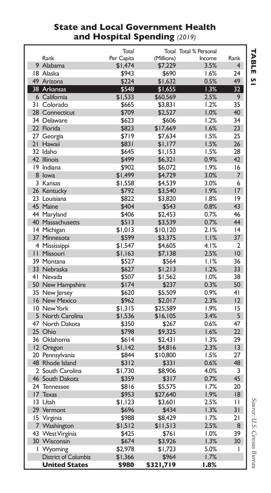#### **State and Local Government Health and Hospital Spending** *(2019)*

| Per Capita<br>(Millions)<br>Rank<br>Income<br>Rank<br>9 Alabama<br>\$1,474<br>3.5%<br>\$7,229<br>4<br>\$943<br>\$690<br>1.6%<br>24<br>18 Alaska<br>49 Arizona<br>\$224<br>\$1,632<br>0.5%<br>49<br>1.3%<br>38 Arkansas<br>\$548<br>\$1,655<br>32<br>6 California<br>\$1,533<br>\$60,569<br>2.5%<br>9<br>1.2%<br>35<br>31 Colorado<br>\$665<br>\$3,831<br>28 Connecticut<br>\$709<br>\$2,527<br>1.0%<br>40<br>34 Delaware<br>1.2%<br>34<br>\$623<br>\$606<br>22 Florida<br>1.6%<br>23<br>\$823<br>\$17,669<br>27 Georgia<br>\$719<br>1.5%<br>25<br>\$7,634<br>21<br>1.5%<br>Hawaii<br>\$831<br>\$1,177<br>26<br>32 Idaho<br>1.5%<br>\$645<br>\$1,153<br>28<br>42 Illinois<br>\$499<br>0.9%<br>42<br>\$6,321<br>1.9%<br>19 Indiana<br>\$902<br>\$6,072<br>16<br>8 lowa<br>3.0%<br>7<br>\$1,499<br>\$4,729<br>3.0%<br>3 Kansas<br>\$1,558<br>\$4,539<br>6<br>26 Kentucky<br>1.9%<br>17<br>\$792<br>\$3,540<br>23 Louisiana<br>1.8%<br> 9<br>\$822<br>\$3,820<br>45 Maine<br>\$404<br>0.8%<br>43<br>\$543<br>44 Maryland<br>\$406<br>\$2,453<br>0.7%<br>46<br>40 Massachusetts<br>0.7%<br>44<br>\$513<br>\$3,539<br>2.1%<br>14 Michigan<br>\$1,013<br> 4<br>\$10,120<br>1.1%<br>37<br>37<br>Minnesota<br>\$599<br>\$3,375<br>4.1%<br>$\overline{2}$<br>4 Mississippi<br>\$1,547<br>\$4,605<br>П<br>Missouri<br>2.5%<br>10<br>\$1,163<br>\$7,138<br>39 Montana<br>1.1%<br>36<br>\$527<br>\$564<br>33 Nebraska<br>\$627<br>\$1,213<br>1.2%<br>33<br>41 Nevada<br>1.0%<br>38<br>\$507<br>\$1,562<br>0.3%<br>50 New Hampshire<br>\$174<br>\$237<br>50<br>35 New Jersey<br>\$620<br>\$5,509<br>0.9%<br>41<br>2.3%<br>16 New Mexico<br>\$962<br>\$2,017<br>12<br>1.9%<br>10 New York<br>\$1,315<br>\$25,589<br>15<br>5 North Carolina<br>3.4%<br>5<br>\$1,536<br>\$16,105<br>47 North Dakota<br>\$350<br>0.6%<br>47<br>\$267<br>25 Ohio<br>\$798<br>1.6%<br>22<br>\$9,325<br>36 Oklahoma<br>1.3%<br>29<br>\$614<br>\$2.431<br>2.3%<br>13<br>12 Oregon<br>\$1,142<br>\$4,816<br>1.5%<br>20 Pennsylvania<br>\$844<br>\$10,800<br>27<br>48 Rhode Island<br>0.6%<br>48<br>\$312<br>\$331<br>2 South Carolina<br>\$1,730<br>\$8.906<br>4.0%<br>3<br>0.7%<br>46 South Dakota<br>45<br>\$359<br>\$317<br>24 Tennessee<br>1.7%<br>20<br>\$816<br>\$5,575<br>17<br>1.9%<br>18<br>Texas<br>\$953<br>\$27,640<br>13 Utah<br>2.5%<br>\$1,123<br>\$3,601<br>п<br>29 Vermont<br>\$696<br>\$434<br>1.3%<br>31<br>1.7%<br>21<br>15 Virginia<br>\$988<br>\$8,429<br>2.5%<br>8<br>7 Washington<br>\$1,512<br>\$11,513<br>43 West Virginia<br>1.0%<br>39<br>\$425<br>\$761<br>30 Wisconsin<br>\$3,926<br>1.3%<br>30<br>\$674<br>5.0%<br>I<br>Wyoming<br>\$2.978<br>\$1,723<br>ı<br>District of Columbia<br>\$1,366<br>\$964<br>1.7% |                      | Total |           | Total Total % Personal |  |
|--------------------------------------------------------------------------------------------------------------------------------------------------------------------------------------------------------------------------------------------------------------------------------------------------------------------------------------------------------------------------------------------------------------------------------------------------------------------------------------------------------------------------------------------------------------------------------------------------------------------------------------------------------------------------------------------------------------------------------------------------------------------------------------------------------------------------------------------------------------------------------------------------------------------------------------------------------------------------------------------------------------------------------------------------------------------------------------------------------------------------------------------------------------------------------------------------------------------------------------------------------------------------------------------------------------------------------------------------------------------------------------------------------------------------------------------------------------------------------------------------------------------------------------------------------------------------------------------------------------------------------------------------------------------------------------------------------------------------------------------------------------------------------------------------------------------------------------------------------------------------------------------------------------------------------------------------------------------------------------------------------------------------------------------------------------------------------------------------------------------------------------------------------------------------------------------------------------------------------------------------------------------------------------------------------------------------------------------------------------------------------------------------------------------------------------------------------------------------------------------------------------------------------------------------------------------------------------------------------------------------------------------------------------------------------------------------------|----------------------|-------|-----------|------------------------|--|
|                                                                                                                                                                                                                                                                                                                                                                                                                                                                                                                                                                                                                                                                                                                                                                                                                                                                                                                                                                                                                                                                                                                                                                                                                                                                                                                                                                                                                                                                                                                                                                                                                                                                                                                                                                                                                                                                                                                                                                                                                                                                                                                                                                                                                                                                                                                                                                                                                                                                                                                                                                                                                                                                                                        |                      |       |           |                        |  |
|                                                                                                                                                                                                                                                                                                                                                                                                                                                                                                                                                                                                                                                                                                                                                                                                                                                                                                                                                                                                                                                                                                                                                                                                                                                                                                                                                                                                                                                                                                                                                                                                                                                                                                                                                                                                                                                                                                                                                                                                                                                                                                                                                                                                                                                                                                                                                                                                                                                                                                                                                                                                                                                                                                        |                      |       |           |                        |  |
|                                                                                                                                                                                                                                                                                                                                                                                                                                                                                                                                                                                                                                                                                                                                                                                                                                                                                                                                                                                                                                                                                                                                                                                                                                                                                                                                                                                                                                                                                                                                                                                                                                                                                                                                                                                                                                                                                                                                                                                                                                                                                                                                                                                                                                                                                                                                                                                                                                                                                                                                                                                                                                                                                                        |                      |       |           |                        |  |
|                                                                                                                                                                                                                                                                                                                                                                                                                                                                                                                                                                                                                                                                                                                                                                                                                                                                                                                                                                                                                                                                                                                                                                                                                                                                                                                                                                                                                                                                                                                                                                                                                                                                                                                                                                                                                                                                                                                                                                                                                                                                                                                                                                                                                                                                                                                                                                                                                                                                                                                                                                                                                                                                                                        |                      |       |           |                        |  |
|                                                                                                                                                                                                                                                                                                                                                                                                                                                                                                                                                                                                                                                                                                                                                                                                                                                                                                                                                                                                                                                                                                                                                                                                                                                                                                                                                                                                                                                                                                                                                                                                                                                                                                                                                                                                                                                                                                                                                                                                                                                                                                                                                                                                                                                                                                                                                                                                                                                                                                                                                                                                                                                                                                        |                      |       |           |                        |  |
|                                                                                                                                                                                                                                                                                                                                                                                                                                                                                                                                                                                                                                                                                                                                                                                                                                                                                                                                                                                                                                                                                                                                                                                                                                                                                                                                                                                                                                                                                                                                                                                                                                                                                                                                                                                                                                                                                                                                                                                                                                                                                                                                                                                                                                                                                                                                                                                                                                                                                                                                                                                                                                                                                                        |                      |       |           |                        |  |
|                                                                                                                                                                                                                                                                                                                                                                                                                                                                                                                                                                                                                                                                                                                                                                                                                                                                                                                                                                                                                                                                                                                                                                                                                                                                                                                                                                                                                                                                                                                                                                                                                                                                                                                                                                                                                                                                                                                                                                                                                                                                                                                                                                                                                                                                                                                                                                                                                                                                                                                                                                                                                                                                                                        |                      |       |           |                        |  |
|                                                                                                                                                                                                                                                                                                                                                                                                                                                                                                                                                                                                                                                                                                                                                                                                                                                                                                                                                                                                                                                                                                                                                                                                                                                                                                                                                                                                                                                                                                                                                                                                                                                                                                                                                                                                                                                                                                                                                                                                                                                                                                                                                                                                                                                                                                                                                                                                                                                                                                                                                                                                                                                                                                        |                      |       |           |                        |  |
|                                                                                                                                                                                                                                                                                                                                                                                                                                                                                                                                                                                                                                                                                                                                                                                                                                                                                                                                                                                                                                                                                                                                                                                                                                                                                                                                                                                                                                                                                                                                                                                                                                                                                                                                                                                                                                                                                                                                                                                                                                                                                                                                                                                                                                                                                                                                                                                                                                                                                                                                                                                                                                                                                                        |                      |       |           |                        |  |
|                                                                                                                                                                                                                                                                                                                                                                                                                                                                                                                                                                                                                                                                                                                                                                                                                                                                                                                                                                                                                                                                                                                                                                                                                                                                                                                                                                                                                                                                                                                                                                                                                                                                                                                                                                                                                                                                                                                                                                                                                                                                                                                                                                                                                                                                                                                                                                                                                                                                                                                                                                                                                                                                                                        |                      |       |           |                        |  |
|                                                                                                                                                                                                                                                                                                                                                                                                                                                                                                                                                                                                                                                                                                                                                                                                                                                                                                                                                                                                                                                                                                                                                                                                                                                                                                                                                                                                                                                                                                                                                                                                                                                                                                                                                                                                                                                                                                                                                                                                                                                                                                                                                                                                                                                                                                                                                                                                                                                                                                                                                                                                                                                                                                        |                      |       |           |                        |  |
|                                                                                                                                                                                                                                                                                                                                                                                                                                                                                                                                                                                                                                                                                                                                                                                                                                                                                                                                                                                                                                                                                                                                                                                                                                                                                                                                                                                                                                                                                                                                                                                                                                                                                                                                                                                                                                                                                                                                                                                                                                                                                                                                                                                                                                                                                                                                                                                                                                                                                                                                                                                                                                                                                                        |                      |       |           |                        |  |
|                                                                                                                                                                                                                                                                                                                                                                                                                                                                                                                                                                                                                                                                                                                                                                                                                                                                                                                                                                                                                                                                                                                                                                                                                                                                                                                                                                                                                                                                                                                                                                                                                                                                                                                                                                                                                                                                                                                                                                                                                                                                                                                                                                                                                                                                                                                                                                                                                                                                                                                                                                                                                                                                                                        |                      |       |           |                        |  |
|                                                                                                                                                                                                                                                                                                                                                                                                                                                                                                                                                                                                                                                                                                                                                                                                                                                                                                                                                                                                                                                                                                                                                                                                                                                                                                                                                                                                                                                                                                                                                                                                                                                                                                                                                                                                                                                                                                                                                                                                                                                                                                                                                                                                                                                                                                                                                                                                                                                                                                                                                                                                                                                                                                        |                      |       |           |                        |  |
|                                                                                                                                                                                                                                                                                                                                                                                                                                                                                                                                                                                                                                                                                                                                                                                                                                                                                                                                                                                                                                                                                                                                                                                                                                                                                                                                                                                                                                                                                                                                                                                                                                                                                                                                                                                                                                                                                                                                                                                                                                                                                                                                                                                                                                                                                                                                                                                                                                                                                                                                                                                                                                                                                                        |                      |       |           |                        |  |
|                                                                                                                                                                                                                                                                                                                                                                                                                                                                                                                                                                                                                                                                                                                                                                                                                                                                                                                                                                                                                                                                                                                                                                                                                                                                                                                                                                                                                                                                                                                                                                                                                                                                                                                                                                                                                                                                                                                                                                                                                                                                                                                                                                                                                                                                                                                                                                                                                                                                                                                                                                                                                                                                                                        |                      |       |           |                        |  |
|                                                                                                                                                                                                                                                                                                                                                                                                                                                                                                                                                                                                                                                                                                                                                                                                                                                                                                                                                                                                                                                                                                                                                                                                                                                                                                                                                                                                                                                                                                                                                                                                                                                                                                                                                                                                                                                                                                                                                                                                                                                                                                                                                                                                                                                                                                                                                                                                                                                                                                                                                                                                                                                                                                        |                      |       |           |                        |  |
|                                                                                                                                                                                                                                                                                                                                                                                                                                                                                                                                                                                                                                                                                                                                                                                                                                                                                                                                                                                                                                                                                                                                                                                                                                                                                                                                                                                                                                                                                                                                                                                                                                                                                                                                                                                                                                                                                                                                                                                                                                                                                                                                                                                                                                                                                                                                                                                                                                                                                                                                                                                                                                                                                                        |                      |       |           |                        |  |
|                                                                                                                                                                                                                                                                                                                                                                                                                                                                                                                                                                                                                                                                                                                                                                                                                                                                                                                                                                                                                                                                                                                                                                                                                                                                                                                                                                                                                                                                                                                                                                                                                                                                                                                                                                                                                                                                                                                                                                                                                                                                                                                                                                                                                                                                                                                                                                                                                                                                                                                                                                                                                                                                                                        |                      |       |           |                        |  |
|                                                                                                                                                                                                                                                                                                                                                                                                                                                                                                                                                                                                                                                                                                                                                                                                                                                                                                                                                                                                                                                                                                                                                                                                                                                                                                                                                                                                                                                                                                                                                                                                                                                                                                                                                                                                                                                                                                                                                                                                                                                                                                                                                                                                                                                                                                                                                                                                                                                                                                                                                                                                                                                                                                        |                      |       |           |                        |  |
|                                                                                                                                                                                                                                                                                                                                                                                                                                                                                                                                                                                                                                                                                                                                                                                                                                                                                                                                                                                                                                                                                                                                                                                                                                                                                                                                                                                                                                                                                                                                                                                                                                                                                                                                                                                                                                                                                                                                                                                                                                                                                                                                                                                                                                                                                                                                                                                                                                                                                                                                                                                                                                                                                                        |                      |       |           |                        |  |
|                                                                                                                                                                                                                                                                                                                                                                                                                                                                                                                                                                                                                                                                                                                                                                                                                                                                                                                                                                                                                                                                                                                                                                                                                                                                                                                                                                                                                                                                                                                                                                                                                                                                                                                                                                                                                                                                                                                                                                                                                                                                                                                                                                                                                                                                                                                                                                                                                                                                                                                                                                                                                                                                                                        |                      |       |           |                        |  |
|                                                                                                                                                                                                                                                                                                                                                                                                                                                                                                                                                                                                                                                                                                                                                                                                                                                                                                                                                                                                                                                                                                                                                                                                                                                                                                                                                                                                                                                                                                                                                                                                                                                                                                                                                                                                                                                                                                                                                                                                                                                                                                                                                                                                                                                                                                                                                                                                                                                                                                                                                                                                                                                                                                        |                      |       |           |                        |  |
|                                                                                                                                                                                                                                                                                                                                                                                                                                                                                                                                                                                                                                                                                                                                                                                                                                                                                                                                                                                                                                                                                                                                                                                                                                                                                                                                                                                                                                                                                                                                                                                                                                                                                                                                                                                                                                                                                                                                                                                                                                                                                                                                                                                                                                                                                                                                                                                                                                                                                                                                                                                                                                                                                                        |                      |       |           |                        |  |
|                                                                                                                                                                                                                                                                                                                                                                                                                                                                                                                                                                                                                                                                                                                                                                                                                                                                                                                                                                                                                                                                                                                                                                                                                                                                                                                                                                                                                                                                                                                                                                                                                                                                                                                                                                                                                                                                                                                                                                                                                                                                                                                                                                                                                                                                                                                                                                                                                                                                                                                                                                                                                                                                                                        |                      |       |           |                        |  |
|                                                                                                                                                                                                                                                                                                                                                                                                                                                                                                                                                                                                                                                                                                                                                                                                                                                                                                                                                                                                                                                                                                                                                                                                                                                                                                                                                                                                                                                                                                                                                                                                                                                                                                                                                                                                                                                                                                                                                                                                                                                                                                                                                                                                                                                                                                                                                                                                                                                                                                                                                                                                                                                                                                        |                      |       |           |                        |  |
|                                                                                                                                                                                                                                                                                                                                                                                                                                                                                                                                                                                                                                                                                                                                                                                                                                                                                                                                                                                                                                                                                                                                                                                                                                                                                                                                                                                                                                                                                                                                                                                                                                                                                                                                                                                                                                                                                                                                                                                                                                                                                                                                                                                                                                                                                                                                                                                                                                                                                                                                                                                                                                                                                                        |                      |       |           |                        |  |
|                                                                                                                                                                                                                                                                                                                                                                                                                                                                                                                                                                                                                                                                                                                                                                                                                                                                                                                                                                                                                                                                                                                                                                                                                                                                                                                                                                                                                                                                                                                                                                                                                                                                                                                                                                                                                                                                                                                                                                                                                                                                                                                                                                                                                                                                                                                                                                                                                                                                                                                                                                                                                                                                                                        |                      |       |           |                        |  |
|                                                                                                                                                                                                                                                                                                                                                                                                                                                                                                                                                                                                                                                                                                                                                                                                                                                                                                                                                                                                                                                                                                                                                                                                                                                                                                                                                                                                                                                                                                                                                                                                                                                                                                                                                                                                                                                                                                                                                                                                                                                                                                                                                                                                                                                                                                                                                                                                                                                                                                                                                                                                                                                                                                        |                      |       |           |                        |  |
|                                                                                                                                                                                                                                                                                                                                                                                                                                                                                                                                                                                                                                                                                                                                                                                                                                                                                                                                                                                                                                                                                                                                                                                                                                                                                                                                                                                                                                                                                                                                                                                                                                                                                                                                                                                                                                                                                                                                                                                                                                                                                                                                                                                                                                                                                                                                                                                                                                                                                                                                                                                                                                                                                                        |                      |       |           |                        |  |
|                                                                                                                                                                                                                                                                                                                                                                                                                                                                                                                                                                                                                                                                                                                                                                                                                                                                                                                                                                                                                                                                                                                                                                                                                                                                                                                                                                                                                                                                                                                                                                                                                                                                                                                                                                                                                                                                                                                                                                                                                                                                                                                                                                                                                                                                                                                                                                                                                                                                                                                                                                                                                                                                                                        |                      |       |           |                        |  |
|                                                                                                                                                                                                                                                                                                                                                                                                                                                                                                                                                                                                                                                                                                                                                                                                                                                                                                                                                                                                                                                                                                                                                                                                                                                                                                                                                                                                                                                                                                                                                                                                                                                                                                                                                                                                                                                                                                                                                                                                                                                                                                                                                                                                                                                                                                                                                                                                                                                                                                                                                                                                                                                                                                        |                      |       |           |                        |  |
|                                                                                                                                                                                                                                                                                                                                                                                                                                                                                                                                                                                                                                                                                                                                                                                                                                                                                                                                                                                                                                                                                                                                                                                                                                                                                                                                                                                                                                                                                                                                                                                                                                                                                                                                                                                                                                                                                                                                                                                                                                                                                                                                                                                                                                                                                                                                                                                                                                                                                                                                                                                                                                                                                                        |                      |       |           |                        |  |
|                                                                                                                                                                                                                                                                                                                                                                                                                                                                                                                                                                                                                                                                                                                                                                                                                                                                                                                                                                                                                                                                                                                                                                                                                                                                                                                                                                                                                                                                                                                                                                                                                                                                                                                                                                                                                                                                                                                                                                                                                                                                                                                                                                                                                                                                                                                                                                                                                                                                                                                                                                                                                                                                                                        |                      |       |           |                        |  |
|                                                                                                                                                                                                                                                                                                                                                                                                                                                                                                                                                                                                                                                                                                                                                                                                                                                                                                                                                                                                                                                                                                                                                                                                                                                                                                                                                                                                                                                                                                                                                                                                                                                                                                                                                                                                                                                                                                                                                                                                                                                                                                                                                                                                                                                                                                                                                                                                                                                                                                                                                                                                                                                                                                        |                      |       |           |                        |  |
|                                                                                                                                                                                                                                                                                                                                                                                                                                                                                                                                                                                                                                                                                                                                                                                                                                                                                                                                                                                                                                                                                                                                                                                                                                                                                                                                                                                                                                                                                                                                                                                                                                                                                                                                                                                                                                                                                                                                                                                                                                                                                                                                                                                                                                                                                                                                                                                                                                                                                                                                                                                                                                                                                                        |                      |       |           |                        |  |
|                                                                                                                                                                                                                                                                                                                                                                                                                                                                                                                                                                                                                                                                                                                                                                                                                                                                                                                                                                                                                                                                                                                                                                                                                                                                                                                                                                                                                                                                                                                                                                                                                                                                                                                                                                                                                                                                                                                                                                                                                                                                                                                                                                                                                                                                                                                                                                                                                                                                                                                                                                                                                                                                                                        |                      |       |           |                        |  |
|                                                                                                                                                                                                                                                                                                                                                                                                                                                                                                                                                                                                                                                                                                                                                                                                                                                                                                                                                                                                                                                                                                                                                                                                                                                                                                                                                                                                                                                                                                                                                                                                                                                                                                                                                                                                                                                                                                                                                                                                                                                                                                                                                                                                                                                                                                                                                                                                                                                                                                                                                                                                                                                                                                        |                      |       |           |                        |  |
|                                                                                                                                                                                                                                                                                                                                                                                                                                                                                                                                                                                                                                                                                                                                                                                                                                                                                                                                                                                                                                                                                                                                                                                                                                                                                                                                                                                                                                                                                                                                                                                                                                                                                                                                                                                                                                                                                                                                                                                                                                                                                                                                                                                                                                                                                                                                                                                                                                                                                                                                                                                                                                                                                                        |                      |       |           |                        |  |
|                                                                                                                                                                                                                                                                                                                                                                                                                                                                                                                                                                                                                                                                                                                                                                                                                                                                                                                                                                                                                                                                                                                                                                                                                                                                                                                                                                                                                                                                                                                                                                                                                                                                                                                                                                                                                                                                                                                                                                                                                                                                                                                                                                                                                                                                                                                                                                                                                                                                                                                                                                                                                                                                                                        |                      |       |           |                        |  |
|                                                                                                                                                                                                                                                                                                                                                                                                                                                                                                                                                                                                                                                                                                                                                                                                                                                                                                                                                                                                                                                                                                                                                                                                                                                                                                                                                                                                                                                                                                                                                                                                                                                                                                                                                                                                                                                                                                                                                                                                                                                                                                                                                                                                                                                                                                                                                                                                                                                                                                                                                                                                                                                                                                        |                      |       |           |                        |  |
|                                                                                                                                                                                                                                                                                                                                                                                                                                                                                                                                                                                                                                                                                                                                                                                                                                                                                                                                                                                                                                                                                                                                                                                                                                                                                                                                                                                                                                                                                                                                                                                                                                                                                                                                                                                                                                                                                                                                                                                                                                                                                                                                                                                                                                                                                                                                                                                                                                                                                                                                                                                                                                                                                                        |                      |       |           |                        |  |
|                                                                                                                                                                                                                                                                                                                                                                                                                                                                                                                                                                                                                                                                                                                                                                                                                                                                                                                                                                                                                                                                                                                                                                                                                                                                                                                                                                                                                                                                                                                                                                                                                                                                                                                                                                                                                                                                                                                                                                                                                                                                                                                                                                                                                                                                                                                                                                                                                                                                                                                                                                                                                                                                                                        |                      |       |           |                        |  |
|                                                                                                                                                                                                                                                                                                                                                                                                                                                                                                                                                                                                                                                                                                                                                                                                                                                                                                                                                                                                                                                                                                                                                                                                                                                                                                                                                                                                                                                                                                                                                                                                                                                                                                                                                                                                                                                                                                                                                                                                                                                                                                                                                                                                                                                                                                                                                                                                                                                                                                                                                                                                                                                                                                        |                      |       |           |                        |  |
|                                                                                                                                                                                                                                                                                                                                                                                                                                                                                                                                                                                                                                                                                                                                                                                                                                                                                                                                                                                                                                                                                                                                                                                                                                                                                                                                                                                                                                                                                                                                                                                                                                                                                                                                                                                                                                                                                                                                                                                                                                                                                                                                                                                                                                                                                                                                                                                                                                                                                                                                                                                                                                                                                                        |                      |       |           |                        |  |
|                                                                                                                                                                                                                                                                                                                                                                                                                                                                                                                                                                                                                                                                                                                                                                                                                                                                                                                                                                                                                                                                                                                                                                                                                                                                                                                                                                                                                                                                                                                                                                                                                                                                                                                                                                                                                                                                                                                                                                                                                                                                                                                                                                                                                                                                                                                                                                                                                                                                                                                                                                                                                                                                                                        |                      |       |           |                        |  |
|                                                                                                                                                                                                                                                                                                                                                                                                                                                                                                                                                                                                                                                                                                                                                                                                                                                                                                                                                                                                                                                                                                                                                                                                                                                                                                                                                                                                                                                                                                                                                                                                                                                                                                                                                                                                                                                                                                                                                                                                                                                                                                                                                                                                                                                                                                                                                                                                                                                                                                                                                                                                                                                                                                        |                      |       |           |                        |  |
|                                                                                                                                                                                                                                                                                                                                                                                                                                                                                                                                                                                                                                                                                                                                                                                                                                                                                                                                                                                                                                                                                                                                                                                                                                                                                                                                                                                                                                                                                                                                                                                                                                                                                                                                                                                                                                                                                                                                                                                                                                                                                                                                                                                                                                                                                                                                                                                                                                                                                                                                                                                                                                                                                                        |                      |       |           |                        |  |
|                                                                                                                                                                                                                                                                                                                                                                                                                                                                                                                                                                                                                                                                                                                                                                                                                                                                                                                                                                                                                                                                                                                                                                                                                                                                                                                                                                                                                                                                                                                                                                                                                                                                                                                                                                                                                                                                                                                                                                                                                                                                                                                                                                                                                                                                                                                                                                                                                                                                                                                                                                                                                                                                                                        |                      |       |           |                        |  |
|                                                                                                                                                                                                                                                                                                                                                                                                                                                                                                                                                                                                                                                                                                                                                                                                                                                                                                                                                                                                                                                                                                                                                                                                                                                                                                                                                                                                                                                                                                                                                                                                                                                                                                                                                                                                                                                                                                                                                                                                                                                                                                                                                                                                                                                                                                                                                                                                                                                                                                                                                                                                                                                                                                        |                      |       |           |                        |  |
|                                                                                                                                                                                                                                                                                                                                                                                                                                                                                                                                                                                                                                                                                                                                                                                                                                                                                                                                                                                                                                                                                                                                                                                                                                                                                                                                                                                                                                                                                                                                                                                                                                                                                                                                                                                                                                                                                                                                                                                                                                                                                                                                                                                                                                                                                                                                                                                                                                                                                                                                                                                                                                                                                                        |                      |       |           |                        |  |
|                                                                                                                                                                                                                                                                                                                                                                                                                                                                                                                                                                                                                                                                                                                                                                                                                                                                                                                                                                                                                                                                                                                                                                                                                                                                                                                                                                                                                                                                                                                                                                                                                                                                                                                                                                                                                                                                                                                                                                                                                                                                                                                                                                                                                                                                                                                                                                                                                                                                                                                                                                                                                                                                                                        | <b>United States</b> | \$980 | \$321,719 | 1.8%                   |  |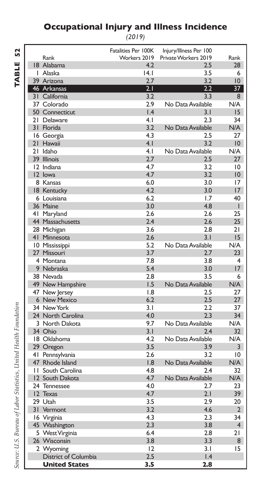#### **Occupational Injury and Illness Incidence**

*(2019)*

| f<br>L |  |
|--------|--|
| u      |  |
| ı      |  |
|        |  |

|                          | Fatalities Per 100K | Injury/Illness Per 100 |                 |
|--------------------------|---------------------|------------------------|-----------------|
| Rank                     | Workers 2019        | Private Workers 2019   | Rank            |
| 18 Alabama               | 4.2                 | 2.5                    | 28              |
| I Alaska                 | 4.1                 | 3.5                    | 6               |
| 39 Arizona               | 2.7                 | 3.2                    | 10              |
| 46 Arkansas              | 2.1                 | 2.2                    | $\overline{37}$ |
| 31 California            | 3.2                 | 3.3                    | 8               |
| 37 Colorado              | 2.9                 | No Data Available      | N/A             |
| 50 Connecticut           | 1.4                 | 3.1                    | 15              |
| 21 Delaware              | 4.1                 | 2.3                    | 34              |
| 31 Florida               | 3.2                 | No Data Available      | N/A             |
| 16 Georgia               | 4.3                 | 2.5                    | 27              |
| 21 Hawaii                | 4.1                 | 3.2                    | 10              |
| 21 Idaho                 | 4.1                 | No Data Available      | N/A             |
| 39 Illinois              | 2.7                 | 2.5                    | 27              |
| 12 Indiana               | 4.7                 | 3.2                    | 10              |
| 12 lowa                  | 4.7                 | 3.2                    | 10              |
| 8 Kansas                 | 6.0                 | 3.0                    | 17              |
| 18 Kentucky              | 4.2                 | 3.0                    | 17              |
| 6 Louisiana              | 6.2                 | 1.7                    | 40              |
| 36 Maine                 | 3.0                 | 4.8                    | $\mathbf{I}$    |
| 41 Maryland              | 2.6                 | 2.6                    | 25              |
| 44 Massachusetts         | 2.4                 | 2.6                    | 25              |
| 28 Michigan              | 3.6                 | 2.8                    | 21              |
| 41 Minnesota             | 2.6                 | 3.1                    | 15              |
| 10 Mississippi           | 5.2                 | No Data Available      | N/A             |
| 27 Missouri              | 3.7                 | 2.7                    | 23              |
| 4 Montana                | 7.8                 | 3.8                    | 4               |
| 9 Nebraska               | 5.4                 | 3.0                    | 17              |
| 38 Nevada                | 2.8                 | 3.5                    | 6               |
| 49 New Hampshire         | 1.5                 | No Data Available      | N/A             |
| 47 New Jersey            | 1.8                 | 2.5                    | 27              |
| 6 New Mexico             | 6.2                 | 2.5                    | 27              |
| 34 New York              | 3.1                 | 2.2                    | 37              |
| 24 North Carolina        | 4.0                 | 2.3                    | 34              |
| 3 North Dakota           | 9.7                 | No Data Available      | N/A             |
| 34 Ohio                  | 3.1                 | 2.4                    | 32              |
| 18 Oklahoma              | 4.2                 | No Data Available      | N/A             |
| 29 Oregon                | 3.5                 | 3.9                    | 3               |
| 41 Pennsylvania          | 2.6                 | 3.2                    | 10              |
| 47 Rhode Island          | 1.8                 | No Data Available      | N/A             |
| <b>11 South Carolina</b> | 4.8                 | 2.4                    | 32              |
| 12 South Dakota          | 4.7                 | No Data Available      | N/A             |
| 24 Tennessee             | 4.0                 | 2.7                    | 23              |
| 12 Texas                 | 4.7                 | 2.1                    | 39              |
| 29 Utah                  | 3.5                 | 2.9                    | 20              |
| 31 Vermont               | 3.2                 | 4.6                    | $\overline{2}$  |
| 16 Virginia              | 4.3                 | 2.3                    | 34              |
| 45 Washington            | 2.3                 | 3.8                    | $\overline{4}$  |
| 5 West Virginia          | 6.4                 | 2.8                    | 21              |
| 26 Wisconsin             | 3.8                 | 3.3                    | 8               |
| 2 Wyoming                | 12                  | 3.1                    | 15              |
| District of Columbia     | 2.5                 | 1.4                    |                 |
| <b>United States</b>     | 3.5                 | 2.8                    |                 |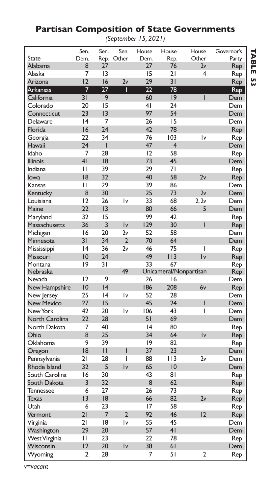### **Partisan Composition of State Governments**

*(September 15, 2021)*

|                   | Sen.           | Sen.            | Sen.           | House          | House          | House                  | Governor's |
|-------------------|----------------|-----------------|----------------|----------------|----------------|------------------------|------------|
| State             | Dem.           | Rep.            | Other          | Dem.           | Rep.           | Other                  | Party      |
| Alabama           | 8              | 27              |                | 27             | 76             | 2v                     | Rep        |
| Alaska            | 7              | 3               |                | 15             | 21             | 4                      | Rep        |
| Arizona           | 12             | 16              | 2v             | 29             | 31             |                        | Rep        |
| Arkansas          | 7              | 27              | Ī              | 22             | 78             |                        | Rep        |
| California        | 31             | 9               |                | 60             | 9              | $\overline{1}$         | Dem        |
| Colorado          | 20             | 15              |                | 4 <sub>1</sub> | 24             |                        | Dem        |
| Connecticut       | 23             | $\overline{13}$ |                | 97             | 54             |                        | Dem        |
| Delaware          | 4              | 7               |                | 26             | 15             |                        | Dem        |
| Florida           | 16             | 24              |                | 42             | 78             |                        | Rep        |
| Georgia           | 22             | 34              |                | 76             | 103            | İ٧                     | Rep        |
| Hawaii            | 24             | T               |                | 47             | $\overline{4}$ |                        | Dem        |
| Idaho             | 7              | 28              |                | 12             | 58             |                        | Rep        |
| <b>Illinois</b>   | 41             | 8               |                | 73             | 45             |                        | Dem        |
| Indiana           | П              | 39              |                | 29             | 71             |                        | Rep        |
| lowa              | 18             | 32              |                | 40             | 58             | 2v                     | Rep        |
| Kansas            | П              | 29              |                | 39             | 86             |                        | Dem        |
| Kentucky          | 8              | 30              |                | 25             | 73             | 2v                     | Dem        |
| Louisiana         | 12             | 26              | l٧             | 33             | 68             | 2, 2v                  | Dem        |
| Maine             | 22             | 3               |                | 80             | 66             | 5                      | Dem        |
| Maryland          | 32             | 15              |                | 99             | 42             |                        | Rep        |
| Massachusetts     | 36             | 3               | Iv             | 129            | 30             | I                      | Rep        |
| Michigan          | 16             | 20              | 2v             | 52             | 58             |                        | Dem        |
| Minnesota         | 31             | 34              | $\overline{2}$ | 70             | 64             |                        | Dem        |
| Mississippi       | 4              | 36              | 2v             | 46             | 75             | I                      | Rep        |
| Missouri          | 10             | 24              |                | 49             | 113            | $\mathsf{I}\mathsf{v}$ | Rep        |
| Montana           | 9              | 31              |                | 33             | 67             |                        | Rep        |
| Nebraska          |                |                 | 49             |                |                | Unicameral/Nonpartisan | Rep        |
| Nevada            | 12             | 9               |                | 26             | 16             |                        | Dem        |
| New Hampshire     | 10             | 4               |                | 186            | 208            | 6v                     | Rep        |
| New Jersey        | 25             | 4               | İ٧             | 52             | 28             |                        | Dem        |
| <b>New Mexico</b> | 27             | 15              |                | 45             | 24             | I                      | Dem        |
| New York          | 42             | 20              | İ٧             | 106            | 43             | I                      | Dem        |
| North Carolina    | 22             | 28              |                | 51             | 69             |                        | Dem        |
| North Dakota      | 7              | 40              |                | 4              | 80             |                        | Rep        |
| Ohio              | 8              | 25              |                | 34             | 64             | Iv                     | Rep        |
| Oklahoma          | 9              | 39              |                | 19             | 82             |                        | Rep        |
| Oregon            | 18             | П               | Ī              | 37             | 23             |                        | Dem        |
| Pennsylvania      | 21             | 28              | Ī              | 88             | 113            | 2v                     | Dem        |
| Rhode Island      | 32             | 5               | İv             | 65             | 10             |                        | Dem        |
| South Carolina    | 16             | 30              |                | 43             | 81             |                        | Rep        |
| South Dakota      | 3              | 32              |                | 8              | 62             |                        | Rep        |
| <b>Tennessee</b>  | 6              | 27              |                | 26             | 73             |                        | Rep        |
| <b>Texas</b>      | 13             | 8               |                | 66             | 82             | 2v                     | Rep        |
| Utah              | 6              | 23              |                | 17             | 58             |                        | Rep        |
| Vermont           | 21             | 7               | $\overline{2}$ | 92             | 46             | 12                     | Rep        |
| Virginia          | 21             | 18              | İ٧             | 55             | 45             |                        | Dem        |
| Washington        | 29             | 20              |                | 57             | 4 <sub>1</sub> |                        | Dem        |
| West Virginia     | $\mathbf{H}$   | 23              |                | 22             | 78             |                        | Rep        |
| Wisconsin         | 12             | 20              | İ٧             | 38             | 61             |                        | Dem        |
| Wyoming           | $\overline{2}$ | 28              |                | 7              | 51             | $\overline{2}$         | Rep        |

**TABLE 53**

 $\overline{a}$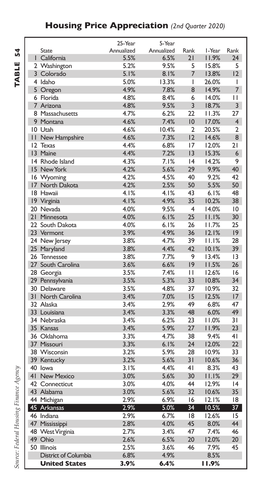### **Housing Price Appreciation** *(2nd Quarter 2020)*

TABLE 54 **TABLE 54**

|                                  | 25-Year      | 5-Year       |                |                |                 |
|----------------------------------|--------------|--------------|----------------|----------------|-----------------|
| <b>State</b>                     | Annualized   | Annualized   | Rank           | I-Year         | Rank            |
| I California                     | 5.5%         | 6.5%         | 21             | 11.9%          | 24              |
| 2 Washington                     | 5.2%         | 9.5%         | 5              | 15.8%          | 5               |
| 3 Colorado                       | 5.1%         | 8.1%         | 7              | 13.8%          | $ 2\rangle$     |
| 4 Idaho                          | 5.0%         | 13.3%        | I              | 26.0%          | I               |
| 5 Oregon                         | 4.9%         | 7.8%         | 8              | 14.9%          | $\overline{7}$  |
| 6 Florida                        | 4.8%         | 8.4%         | 6              | 14.0%          | П               |
| 7 Arizona                        | 4.8%         | 9.5%         | 3              | 18.7%          | 3               |
| 8 Massachusetts                  | 4.7%         | 6.2%         | 22             | 11.3%          | 27              |
| 9 Montana                        | 4.6%         | 7.4%         | 10             | 17.0%          | 4               |
| 10 Utah                          | 4.6%         | 10.4%        | $\overline{2}$ | 20.5%          | $\overline{2}$  |
| <b>11 New Hampshire</b>          | 4.6%         | 7.3%         | 12             | 14.6%          | 8               |
| 12 Texas                         | 4.4%         | 6.8%         | 17             | 12.0%          | 21              |
| 13 Maine                         | 4.4%         | 7.2%         | 13             | 15.3%          | 6               |
| 14 Rhode Island                  | 4.3%         | 7.1%         | 4              | 14.2%          | 9               |
| 15 New York                      | 4.2%         | 5.6%         | 29             | 9.9%           | 40              |
| 16 Wyoming                       | 4.2%         | 4.5%         | 40             | 9.2%           | 42              |
| 17 North Dakota                  | 4.2%         | 2.5%         | 50             | 5.5%           | 50              |
| 18 Hawaii                        | 4.1%         | 4.1%         | 43             | 6.1%           | 48              |
| 19 Virginia                      | 4.1%         | 4.9%         | 35             | 10.2%          | 38              |
| 20 Nevada                        | 4.0%         | 9.5%         | $\overline{4}$ | 14.0%          | 10              |
| 21 Minnesota                     | 4.0%         | 6.1%         | 25             | 11.1%          | 30              |
| 22 South Dakota                  | 4.0%         | 6.1%         | 26             | 11.7%          | 25              |
| 23 Vermont                       | 3.9%         | 4.9%         | 36             | 12.1%          | 9               |
| 24 New Jersey                    | 3.8%         | 4.7%         | 39             | 11.1%          | 28              |
| 25 Maryland                      | 3.8%         | 4.4%         | 42             | 10.1%          | 39              |
| 26 Tennessee                     | 3.8%         | 7.7%         | 9              | 13.4%          | 13              |
| 27 South Carolina                | 3.6%         | 6.6%         | 9              | 11.5%          | 26              |
|                                  | 3.5%         | 7.4%         | П              | 12.6%          | 16              |
| 28 Georgia                       | 3.5%         | 5.3%         | 33             | 10.8%          | 34              |
| 29 Pennsylvania                  |              |              |                |                |                 |
| 30 Delaware<br>31 North Carolina | 3.5%<br>3.4% | 4.8%<br>7.0% | 37<br>15       | 10.9%<br>12.5% | 32<br>17        |
|                                  |              |              | 49             |                | 47              |
| 32 Alaska                        | 3.4%         | 2.9%         | 48             | 6.8%           | 49              |
| 33 Louisiana                     | 3.4%         | 3.3%         |                | 6.0%           |                 |
| 34 Nebraska                      | 3.4%         | 6.2%         | 23             | 11.0%          | 31              |
| 35 Kansas                        | 3.4%         | 5.9%         | 27             | 11.9%          | 23              |
| 36 Oklahoma                      | 3.3%         | 4.7%         | 38             | 9.4%           | 4 <sub>1</sub>  |
| 37 Missouri                      | 3.3%         | 6.1%         | 24             | 12.0%          | 22              |
| 38 Wisconsin                     | 3.2%         | 5.9%         | 28             | 10.9%          | 33              |
| 39 Kentucky                      | 3.2%         | 5.6%         | 31             | 10.6%          | 36              |
| 40 lowa                          | 3.1%         | 4.4%         | 4 <sub>1</sub> | 8.3%           | 43              |
| 41 New Mexico                    | 3.0%         | 5.6%         | 30             | 11.1%          | 29              |
| 42 Connecticut                   | 3.0%         | 4.0%         | 44             | 12.9%          | 4               |
| 43 Alabama                       | 3.0%         | 5.6%         | 32             | 10.6%          | 35              |
| 44 Michigan                      | 2.9%         | 6.9%         | 16             | 12.1%          | 18              |
| 45 Arkansas                      | 2.9%         | 5.0%         | 34             | 10.5%          | 37 <sup>2</sup> |
| 46 Indiana                       | 2.9%         | 6.7%         | 18             | 12.6%          | 15              |
| 47 Mississippi                   | 2.8%         | 4.0%         | 45             | 8.0%           | 44              |
| 48 West Virginia                 | 2.7%         | 3.4%         | 47             | 7.4%           | 46              |
| 49 Ohio                          | 2.6%         | 6.5%         | 20             | 12.0%          | 20              |
| 50 Illinois                      | 2.5%         | 3.6%         | 46             | 7.9%           | 45              |
| District of Columbia             | 6.8%         | 4.9%         |                | 8.5%           |                 |
| <b>United States</b>             | 3.9%         | 6.4%         |                | 11.9%          |                 |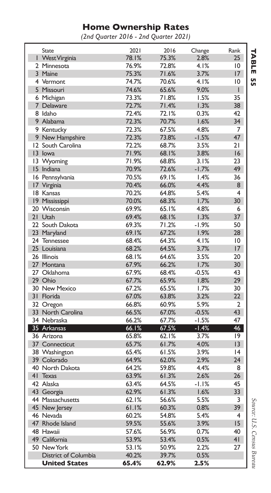### **Home Ownership Rates**

*(2nd Quarter 2016 - 2nd Quarter 2021)*

| <b>State</b>         | 2021  | 2016  | Change  | Rank            |
|----------------------|-------|-------|---------|-----------------|
| I West Virginia      | 78.1% | 75.3% | 2.8%    | 25              |
| 2 Minnesota          | 76.9% | 72.8% | 4.1%    | $\overline{10}$ |
| 3 Maine              | 75.3% | 71.6% | 3.7%    | 17              |
| 4 Vermont            | 74.7% | 70.6% | 4.1%    | $\overline{10}$ |
| 5 Missouri           | 74.6% | 65.6% | 9.0%    | L               |
| 6 Michigan           | 73.3% | 71.8% | 1.5%    | 35              |
| 7 Delaware           | 72.7% | 71.4% | 1.3%    | 38              |
| 8 Idaho              | 72.4% | 72.I% | 0.3%    | 42              |
| 9 Alabama            | 72.3% | 70.7% | 1.6%    | 34              |
| 9 Kentucky           | 72.3% | 67.5% | 4.8%    | 7               |
| 9 New Hampshire      | 72.3% | 73.8% | $-1.5%$ | 47              |
| 12 South Carolina    | 72.2% | 68.7% | 3.5%    | 21              |
| 13 lowa              | 71.9% | 68.1% | 3.8%    | 16              |
| 13 Wyoming           | 71.9% | 68.8% | 3.1%    | 23              |
| 15 Indiana           | 70.9% | 72.6% | $-1.7%$ | 49              |
| 16 Pennsylvania      | 70.5% | 69.1% | 1.4%    | 36              |
| 17 Virginia          | 70.4% | 66.0% | 4.4%    | 8               |
| 18 Kansas            | 70.2% | 64.8% | 5.4%    | $\overline{4}$  |
| 19 Mississippi       | 70.0% | 68.3% | 1.7%    | 30              |
| 20 Wisconsin         | 69.9% | 65.1% | 4.8%    | 6               |
| 21 Utah              | 69.4% | 68.1% | 1.3%    | 37              |
| 22 South Dakota      | 69.3% | 71.2% | $-1.9%$ | 50              |
| 23 Maryland          | 69.1% | 67.2% | 1.9%    | 28              |
| 24 Tennessee         | 68.4% | 64.3% | 4.1%    | $\overline{10}$ |
| 25 Louisiana         | 68.2% | 64.5% | 3.7%    | 17              |
| 26 Illinois          | 68.1% | 64.6% | 3.5%    | 20              |
| 27 Montana           | 67.9% | 66.2% | 1.7%    | 30              |
| 27 Oklahoma          | 67.9% | 68.4% | $-0.5%$ | 43              |
| 29 Ohio              | 67.7% | 65.9% | 1.8%    | 29              |
| 30 New Mexico        | 67.2% | 65.5% | 1.7%    | 30              |
| 31 Florida           | 67.0% | 63.8% | 3.2%    | 22              |
| 32 Oregon            | 66.8% | 60.9% | 5.9%    | $\overline{2}$  |
| 33 North Carolina    | 66.5% | 67.0% | $-0.5%$ | 43              |
| 34 Nebraska          | 66.2% | 67.7% | $-1.5%$ | 47              |
| 35 Arkansas          | 66.1% | 67.5% | $-1.4%$ | 46              |
| 36 Arizona           | 65.8% | 62.1% | 3.7%    | 9               |
| 37 Connecticut       | 65.7% | 61.7% | 4.0%    | $\overline{3}$  |
| 38 Washington        | 65.4% | 61.5% | 3.9%    | 4               |
| 39 Colorado          | 64.9% | 62.0% | 2.9%    | 24              |
| 40 North Dakota      | 64.2% | 59.8% | 4.4%    | 8               |
| 41 Texas             | 63.9% | 61.3% | 2.6%    | 26              |
| 42 Alaska            | 63.4% | 64.5% | $-1.1%$ | 45              |
| 43 Georgia           | 62.9% | 61.3% | 1.6%    | 33              |
| 44 Massachusetts     | 62.1% | 56.6% | 5.5%    | 3               |
| 45 New Jersey        | 61.1% | 60.3% | 0.8%    | 39              |
| 46 Nevada            | 60.2% | 54.8% | 5.4%    | 4               |
| 47 Rhode Island      | 59.5% | 55.6% | 3.9%    | 15              |
| 48 Hawaii            | 57.6% | 56.9% | 0.7%    | 40              |
| 49 California        | 53.9% | 53.4% | 0.5%    | 41              |
| 50 New York          | 53.1% | 50.9% | 2.2%    | 27              |
| District of Columbia | 40.2% | 39.7% | 0.5%    |                 |
| <b>United States</b> | 65.4% | 62.9% | 2.5%    |                 |
|                      |       |       |         |                 |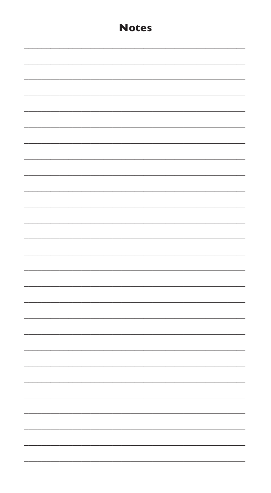| <b>Notes</b> |
|--------------|
|              |
|              |
|              |
|              |
|              |
|              |
|              |
|              |
|              |
|              |
|              |
|              |
|              |
|              |
|              |
|              |
|              |
|              |
|              |
|              |
|              |
|              |
|              |
|              |
|              |
|              |
|              |
|              |
|              |
|              |